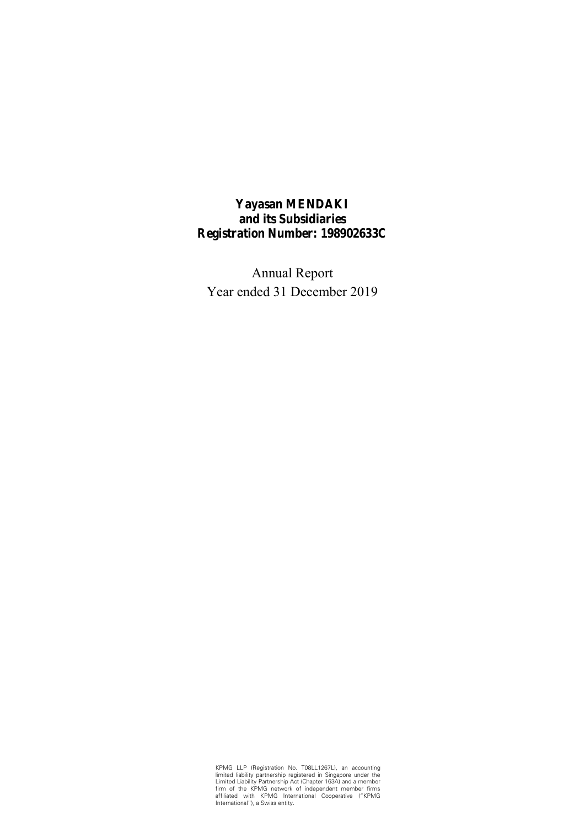**Yayasan MENDAKI and its Subsidiaries Registration Number: 198902633C** 

Annual Report Year ended 31 December 2019

KPMG LLP (Registration No. T08LL1267L), an accounting<br>limited liability partnership registered in Singapore under the<br>Limited Liability Partnership Act (Chapter 163A) and a member<br>firm of the KPMG network of independent me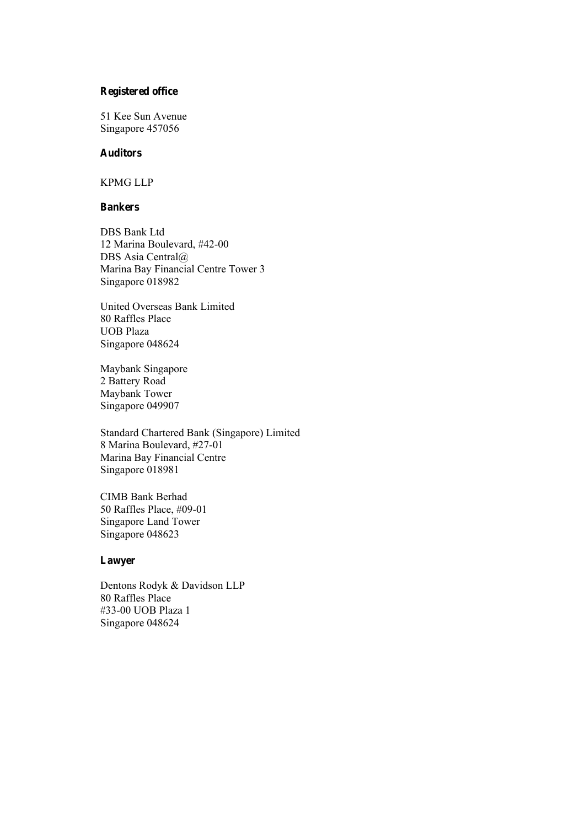## **Registered office**

51 Kee Sun Avenue Singapore 457056

## **Auditors**

KPMG LLP

### **Bankers**

DBS Bank Ltd 12 Marina Boulevard, #42-00 DBS Asia Central@ Marina Bay Financial Centre Tower 3 Singapore 018982

United Overseas Bank Limited 80 Raffles Place UOB Plaza Singapore 048624

Maybank Singapore 2 Battery Road Maybank Tower Singapore 049907

Standard Chartered Bank (Singapore) Limited 8 Marina Boulevard, #27-01 Marina Bay Financial Centre Singapore 018981

CIMB Bank Berhad 50 Raffles Place, #09-01 Singapore Land Tower Singapore 048623

## **Lawyer**

Dentons Rodyk & Davidson LLP 80 Raffles Place #33-00 UOB Plaza 1 Singapore 048624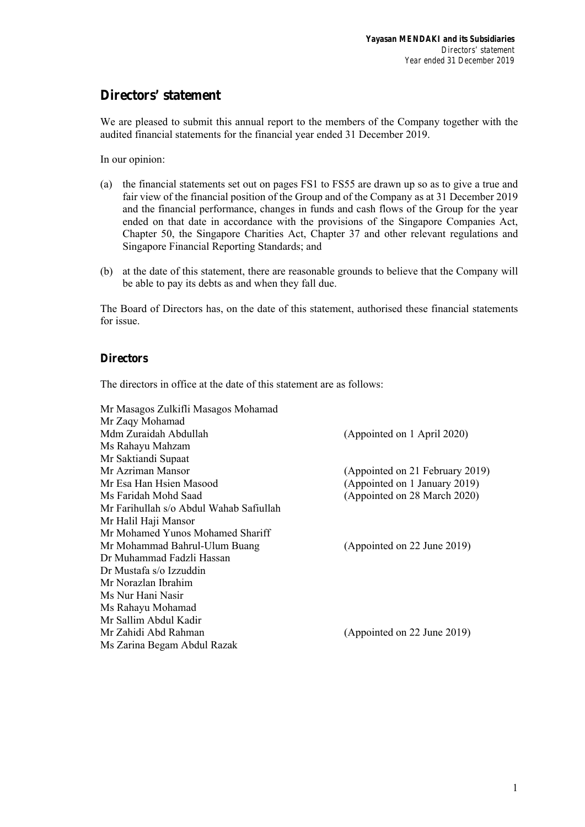## **Directors' statement**

We are pleased to submit this annual report to the members of the Company together with the audited financial statements for the financial year ended 31 December 2019.

In our opinion:

- (a) the financial statements set out on pages FS1 to FS55 are drawn up so as to give a true and fair view of the financial position of the Group and of the Company as at 31 December 2019 and the financial performance, changes in funds and cash flows of the Group for the year ended on that date in accordance with the provisions of the Singapore Companies Act, Chapter 50, the Singapore Charities Act, Chapter 37 and other relevant regulations and Singapore Financial Reporting Standards; and
- (b) at the date of this statement, there are reasonable grounds to believe that the Company will be able to pay its debts as and when they fall due.

The Board of Directors has, on the date of this statement, authorised these financial statements for issue.

## **Directors**

The directors in office at the date of this statement are as follows:

| Mr Masagos Zulkifli Masagos Mohamad     |                                 |
|-----------------------------------------|---------------------------------|
| Mr Zaqy Mohamad                         |                                 |
| Mdm Zuraidah Abdullah                   | (Appointed on 1 April 2020)     |
| Ms Rahayu Mahzam                        |                                 |
| Mr Saktiandi Supaat                     |                                 |
| Mr Azriman Mansor                       | (Appointed on 21 February 2019) |
| Mr Esa Han Hsien Masood                 | (Appointed on 1 January 2019)   |
| Ms Faridah Mohd Saad                    | (Appointed on 28 March 2020)    |
| Mr Farihullah s/o Abdul Wahab Safiullah |                                 |
| Mr Halil Haji Mansor                    |                                 |
| Mr Mohamed Yunos Mohamed Shariff        |                                 |
| Mr Mohammad Bahrul-Ulum Buang           | (Appointed on 22 June 2019)     |
| Dr Muhammad Fadzli Hassan               |                                 |
| Dr Mustafa s/o Izzuddin                 |                                 |
| Mr Norazlan Ibrahim                     |                                 |
| Ms Nur Hani Nasir                       |                                 |
| Ms Rahayu Mohamad                       |                                 |
| Mr Sallim Abdul Kadir                   |                                 |
| Mr Zahidi Abd Rahman                    | (Appointed on 22 June 2019)     |
| Ms Zarina Begam Abdul Razak             |                                 |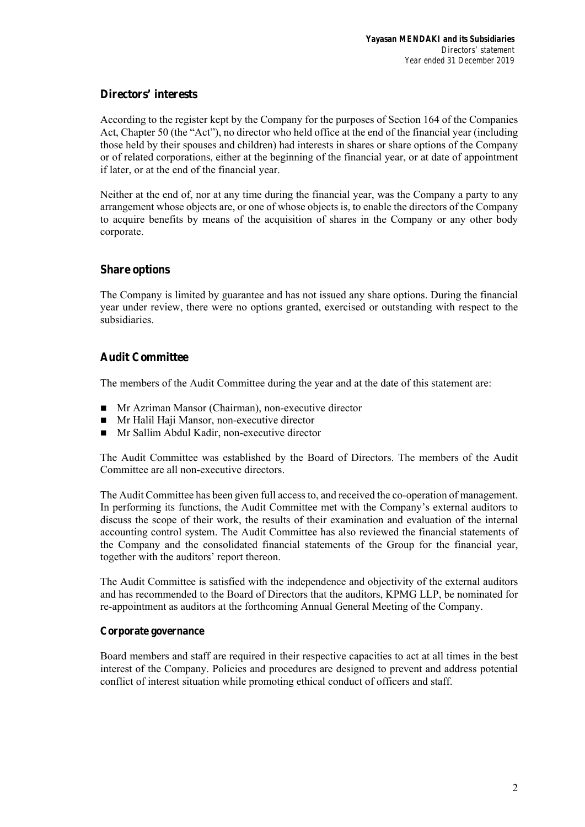## **Directors' interests**

According to the register kept by the Company for the purposes of Section 164 of the Companies Act, Chapter 50 (the "Act"), no director who held office at the end of the financial year (including those held by their spouses and children) had interests in shares or share options of the Company or of related corporations, either at the beginning of the financial year, or at date of appointment if later, or at the end of the financial year.

Neither at the end of, nor at any time during the financial year, was the Company a party to any arrangement whose objects are, or one of whose objects is, to enable the directors of the Company to acquire benefits by means of the acquisition of shares in the Company or any other body corporate.

## **Share options**

The Company is limited by guarantee and has not issued any share options. During the financial year under review, there were no options granted, exercised or outstanding with respect to the subsidiaries.

## **Audit Committee**

The members of the Audit Committee during the year and at the date of this statement are:

- Mr Azriman Mansor (Chairman), non-executive director
- **Mr Halil Haji Mansor, non-executive director**
- Mr Sallim Abdul Kadir, non-executive director

The Audit Committee was established by the Board of Directors. The members of the Audit Committee are all non-executive directors.

The Audit Committee has been given full access to, and received the co-operation of management. In performing its functions, the Audit Committee met with the Company's external auditors to discuss the scope of their work, the results of their examination and evaluation of the internal accounting control system. The Audit Committee has also reviewed the financial statements of the Company and the consolidated financial statements of the Group for the financial year, together with the auditors' report thereon.

The Audit Committee is satisfied with the independence and objectivity of the external auditors and has recommended to the Board of Directors that the auditors, KPMG LLP, be nominated for re-appointment as auditors at the forthcoming Annual General Meeting of the Company.

## **Corporate governance**

Board members and staff are required in their respective capacities to act at all times in the best interest of the Company. Policies and procedures are designed to prevent and address potential conflict of interest situation while promoting ethical conduct of officers and staff.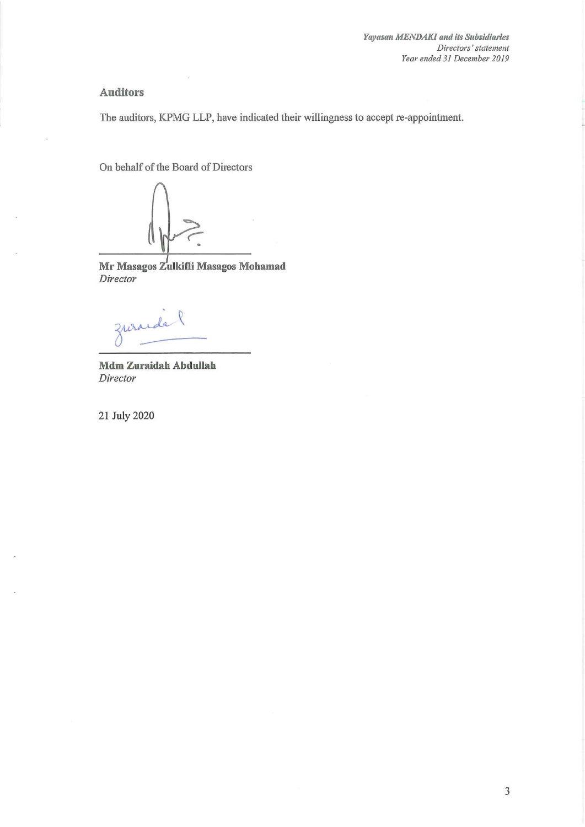## **Auditors**

The auditors, KPMG LLP, have indicated their willingness to accept re-appointment.

On behalf of the Board of Directors

Mr Masagos Zulkifli Masagos Mohamad Director

zurande l

Mdm Zuraidah Abdullah Director

21 July 2020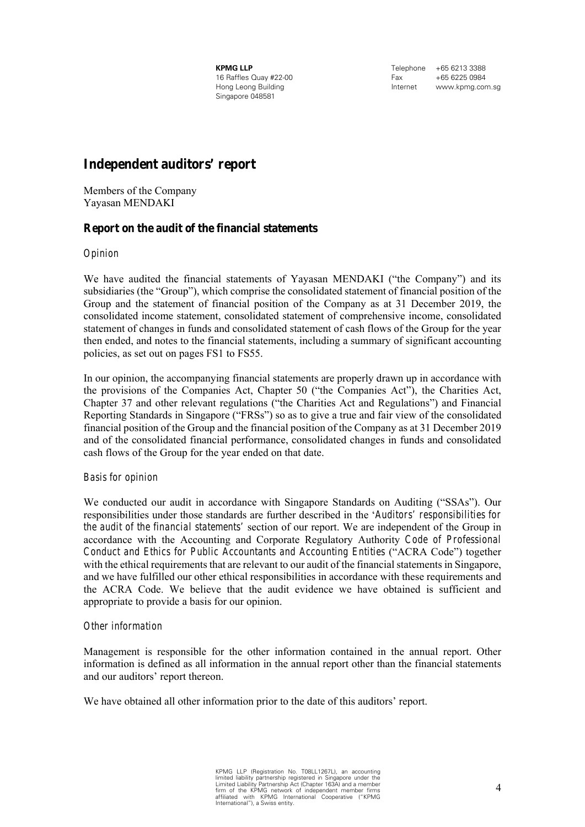**KPMG LLP**  16 Raffles Quay #22-00 Hong Leong Building Singapore 048581

Telephone +65 6213 3388 Fax +65 6225 0984 Internet www.kpmg.com.sg

## **Independent auditors' report**

Members of the Company Yayasan MENDAKI

## **Report on the audit of the financial statements**

### *Opinion*

We have audited the financial statements of Yayasan MENDAKI ("the Company") and its subsidiaries (the "Group"), which comprise the consolidated statement of financial position of the Group and the statement of financial position of the Company as at 31 December 2019, the consolidated income statement, consolidated statement of comprehensive income, consolidated statement of changes in funds and consolidated statement of cash flows of the Group for the year then ended, and notes to the financial statements, including a summary of significant accounting policies, as set out on pages FS1 to FS55.

In our opinion, the accompanying financial statements are properly drawn up in accordance with the provisions of the Companies Act, Chapter 50 ("the Companies Act"), the Charities Act, Chapter 37 and other relevant regulations ("the Charities Act and Regulations") and Financial Reporting Standards in Singapore ("FRSs") so as to give a true and fair view of the consolidated financial position of the Group and the financial position of the Company as at 31 December 2019 and of the consolidated financial performance, consolidated changes in funds and consolidated cash flows of the Group for the year ended on that date.

## *Basis for opinion*

We conducted our audit in accordance with Singapore Standards on Auditing ("SSAs"). Our responsibilities under those standards are further described in the '*Auditors' responsibilities for the audit of the financial statements'* section of our report. We are independent of the Group in accordance with the Accounting and Corporate Regulatory Authority *Code of Professional Conduct and Ethics for Public Accountants and Accounting Entities* ("ACRA Code") together with the ethical requirements that are relevant to our audit of the financial statements in Singapore, and we have fulfilled our other ethical responsibilities in accordance with these requirements and the ACRA Code. We believe that the audit evidence we have obtained is sufficient and appropriate to provide a basis for our opinion.

## *Other information*

Management is responsible for the other information contained in the annual report. Other information is defined as all information in the annual report other than the financial statements and our auditors' report thereon.

We have obtained all other information prior to the date of this auditors' report.

KPMG LLP (Registration No. T08LL1267L), an accounting limited liability partnership registered in Singapore under the Limited Liability Partnership Act (Chapter 163A) and a member firm of the KPMG network of independent member firms affiliated with KPMG International Cooperative ("KPMG International"), a Swiss entity.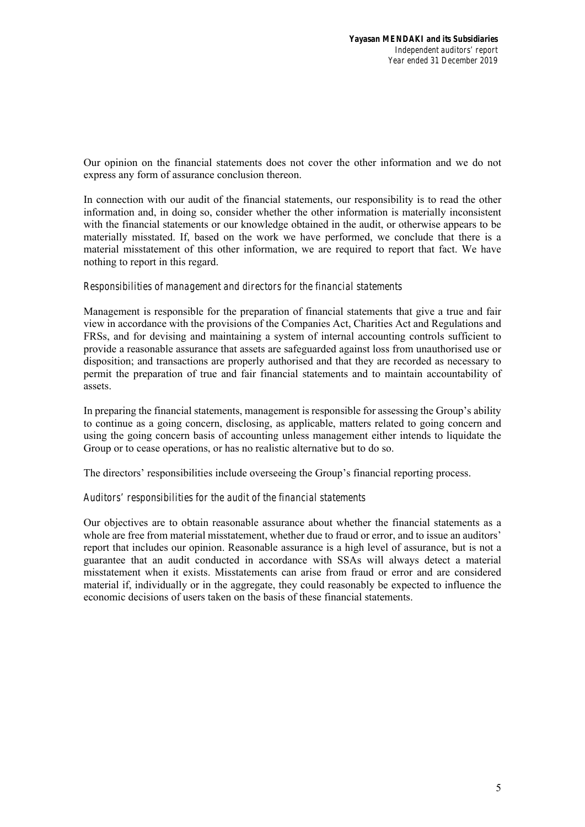Our opinion on the financial statements does not cover the other information and we do not express any form of assurance conclusion thereon.

In connection with our audit of the financial statements, our responsibility is to read the other information and, in doing so, consider whether the other information is materially inconsistent with the financial statements or our knowledge obtained in the audit, or otherwise appears to be materially misstated. If, based on the work we have performed, we conclude that there is a material misstatement of this other information, we are required to report that fact. We have nothing to report in this regard.

### *Responsibilities of management and directors for the financial statements*

Management is responsible for the preparation of financial statements that give a true and fair view in accordance with the provisions of the Companies Act, Charities Act and Regulations and FRSs, and for devising and maintaining a system of internal accounting controls sufficient to provide a reasonable assurance that assets are safeguarded against loss from unauthorised use or disposition; and transactions are properly authorised and that they are recorded as necessary to permit the preparation of true and fair financial statements and to maintain accountability of assets.

In preparing the financial statements, management is responsible for assessing the Group's ability to continue as a going concern, disclosing, as applicable, matters related to going concern and using the going concern basis of accounting unless management either intends to liquidate the Group or to cease operations, or has no realistic alternative but to do so.

The directors' responsibilities include overseeing the Group's financial reporting process.

## *Auditors' responsibilities for the audit of the financial statements*

Our objectives are to obtain reasonable assurance about whether the financial statements as a whole are free from material misstatement, whether due to fraud or error, and to issue an auditors' report that includes our opinion. Reasonable assurance is a high level of assurance, but is not a guarantee that an audit conducted in accordance with SSAs will always detect a material misstatement when it exists. Misstatements can arise from fraud or error and are considered material if, individually or in the aggregate, they could reasonably be expected to influence the economic decisions of users taken on the basis of these financial statements.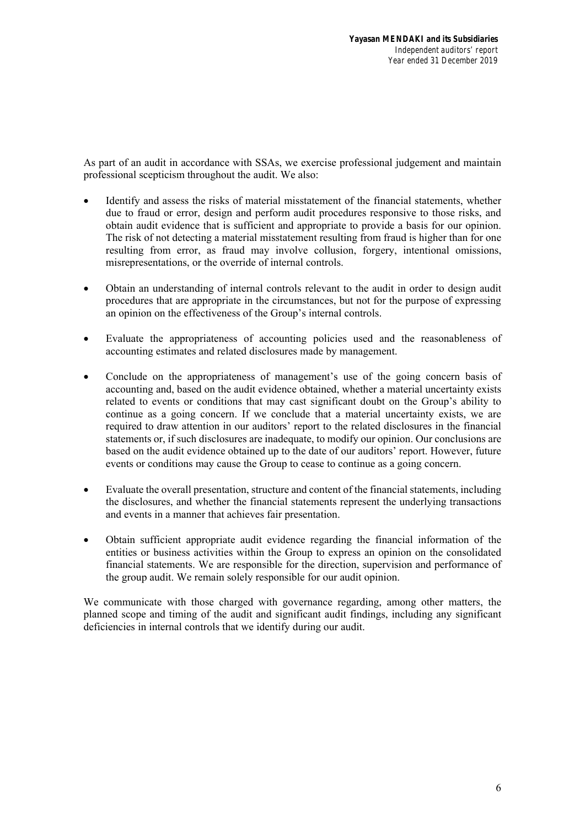As part of an audit in accordance with SSAs, we exercise professional judgement and maintain professional scepticism throughout the audit. We also:

- Identify and assess the risks of material misstatement of the financial statements, whether due to fraud or error, design and perform audit procedures responsive to those risks, and obtain audit evidence that is sufficient and appropriate to provide a basis for our opinion. The risk of not detecting a material misstatement resulting from fraud is higher than for one resulting from error, as fraud may involve collusion, forgery, intentional omissions, misrepresentations, or the override of internal controls.
- Obtain an understanding of internal controls relevant to the audit in order to design audit procedures that are appropriate in the circumstances, but not for the purpose of expressing an opinion on the effectiveness of the Group's internal controls.
- Evaluate the appropriateness of accounting policies used and the reasonableness of accounting estimates and related disclosures made by management.
- Conclude on the appropriateness of management's use of the going concern basis of accounting and, based on the audit evidence obtained, whether a material uncertainty exists related to events or conditions that may cast significant doubt on the Group's ability to continue as a going concern. If we conclude that a material uncertainty exists, we are required to draw attention in our auditors' report to the related disclosures in the financial statements or, if such disclosures are inadequate, to modify our opinion. Our conclusions are based on the audit evidence obtained up to the date of our auditors' report. However, future events or conditions may cause the Group to cease to continue as a going concern.
- Evaluate the overall presentation, structure and content of the financial statements, including the disclosures, and whether the financial statements represent the underlying transactions and events in a manner that achieves fair presentation.
- Obtain sufficient appropriate audit evidence regarding the financial information of the entities or business activities within the Group to express an opinion on the consolidated financial statements. We are responsible for the direction, supervision and performance of the group audit. We remain solely responsible for our audit opinion.

We communicate with those charged with governance regarding, among other matters, the planned scope and timing of the audit and significant audit findings, including any significant deficiencies in internal controls that we identify during our audit.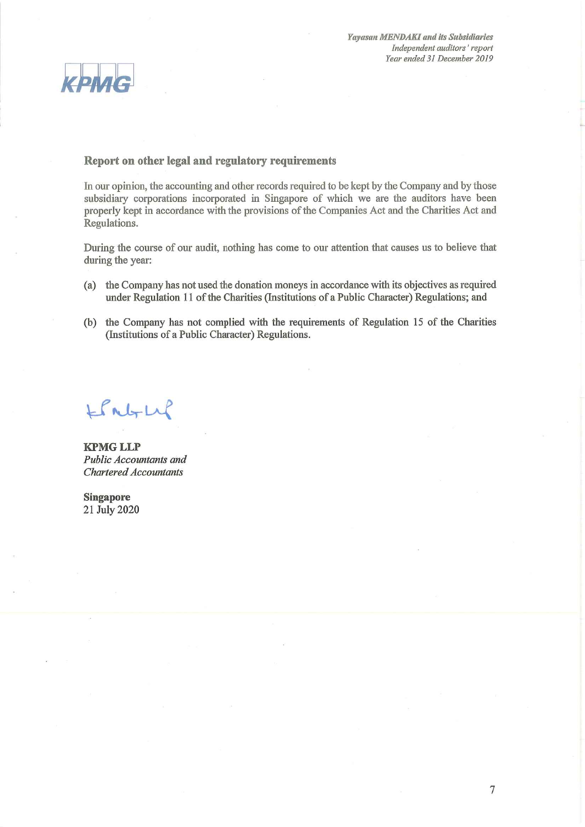

## Report on other legal and regulatory requirements

In our opinion, the accounting and other records required to be kept by the Company and by those subsidiary corporations incorporated in Singapore of which we are the auditors have been properly kept in accordance with the provisions of the Companies Act and the Charities Act and Regulations.

During the course of our audit, nothing has come to our attention that causes us to believe that during the year:

- (a) the Company has not used the donation moneys in accordance with its objectives as required under Regulation 11 of the Charities (Institutions of a Public Character) Regulations; and
- (b) the Company has not complied with the requirements of Regulation 15 of the Charities (Institutions of a Public Character) Regulations.

LPNGLLP

**KPMG LLP** Public Accountants and **Chartered Accountants** 

**Singapore** 21 July 2020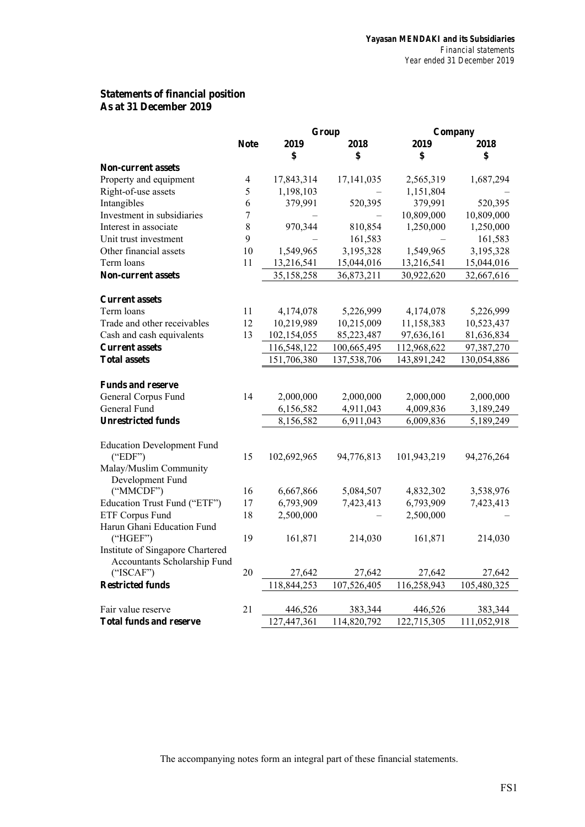## **Statements of financial position As at 31 December 2019**

| 2019<br><b>Note</b><br>2018<br>2019<br>2018<br>\$<br>\$<br>\$<br>\$<br><b>Non-current assets</b><br>Property and equipment<br>17,843,314<br>17,141,035<br>1,687,294<br>4<br>2,565,319<br>Right-of-use assets<br>5<br>1,198,103<br>1,151,804<br>Intangibles<br>379,991<br>379,991<br>520,395<br>6<br>520,395<br>Investment in subsidiaries<br>7<br>10,809,000<br>10,809,000<br>8<br>Interest in associate<br>970,344<br>810,854<br>1,250,000<br>1,250,000<br>9<br>Unit trust investment<br>161,583<br>161,583<br>10<br>Other financial assets<br>1,549,965<br>3,195,328<br>1,549,965<br>3,195,328<br>Term loans<br>11<br>13,216,541<br>15,044,016<br>13,216,541<br>15,044,016 |
|------------------------------------------------------------------------------------------------------------------------------------------------------------------------------------------------------------------------------------------------------------------------------------------------------------------------------------------------------------------------------------------------------------------------------------------------------------------------------------------------------------------------------------------------------------------------------------------------------------------------------------------------------------------------------|
|                                                                                                                                                                                                                                                                                                                                                                                                                                                                                                                                                                                                                                                                              |
|                                                                                                                                                                                                                                                                                                                                                                                                                                                                                                                                                                                                                                                                              |
|                                                                                                                                                                                                                                                                                                                                                                                                                                                                                                                                                                                                                                                                              |
|                                                                                                                                                                                                                                                                                                                                                                                                                                                                                                                                                                                                                                                                              |
|                                                                                                                                                                                                                                                                                                                                                                                                                                                                                                                                                                                                                                                                              |
|                                                                                                                                                                                                                                                                                                                                                                                                                                                                                                                                                                                                                                                                              |
|                                                                                                                                                                                                                                                                                                                                                                                                                                                                                                                                                                                                                                                                              |
|                                                                                                                                                                                                                                                                                                                                                                                                                                                                                                                                                                                                                                                                              |
|                                                                                                                                                                                                                                                                                                                                                                                                                                                                                                                                                                                                                                                                              |
|                                                                                                                                                                                                                                                                                                                                                                                                                                                                                                                                                                                                                                                                              |
|                                                                                                                                                                                                                                                                                                                                                                                                                                                                                                                                                                                                                                                                              |
| <b>Non-current assets</b><br>35,158,258<br>36,873,211<br>30,922,620<br>32,667,616                                                                                                                                                                                                                                                                                                                                                                                                                                                                                                                                                                                            |
| <b>Current assets</b>                                                                                                                                                                                                                                                                                                                                                                                                                                                                                                                                                                                                                                                        |
| Term loans<br>11<br>4,174,078<br>5,226,999<br>4,174,078<br>5,226,999                                                                                                                                                                                                                                                                                                                                                                                                                                                                                                                                                                                                         |
| Trade and other receivables<br>12<br>10,219,989<br>10,215,009<br>11,158,383<br>10,523,437                                                                                                                                                                                                                                                                                                                                                                                                                                                                                                                                                                                    |
| 13<br>Cash and cash equivalents<br>102,154,055<br>85,223,487<br>97,636,161<br>81,636,834                                                                                                                                                                                                                                                                                                                                                                                                                                                                                                                                                                                     |
| 116,548,122<br>100,665,495<br>97,387,270<br><b>Current assets</b><br>112,968,622                                                                                                                                                                                                                                                                                                                                                                                                                                                                                                                                                                                             |
| 151,706,380<br>137,538,706<br>143,891,242<br><b>Total assets</b><br>130,054,886                                                                                                                                                                                                                                                                                                                                                                                                                                                                                                                                                                                              |
| <b>Funds and reserve</b>                                                                                                                                                                                                                                                                                                                                                                                                                                                                                                                                                                                                                                                     |
| General Corpus Fund<br>14<br>2,000,000<br>2,000,000<br>2,000,000<br>2,000,000                                                                                                                                                                                                                                                                                                                                                                                                                                                                                                                                                                                                |
| General Fund<br>6,156,582<br>4,911,043<br>4,009,836<br>3,189,249                                                                                                                                                                                                                                                                                                                                                                                                                                                                                                                                                                                                             |
| <b>Unrestricted funds</b><br>8,156,582<br>6,911,043<br>6,009,836<br>5,189,249                                                                                                                                                                                                                                                                                                                                                                                                                                                                                                                                                                                                |
|                                                                                                                                                                                                                                                                                                                                                                                                                                                                                                                                                                                                                                                                              |
| <b>Education Development Fund</b>                                                                                                                                                                                                                                                                                                                                                                                                                                                                                                                                                                                                                                            |
| 15<br>102,692,965<br>94,776,813<br>101,943,219<br>("EDF")<br>94,276,264                                                                                                                                                                                                                                                                                                                                                                                                                                                                                                                                                                                                      |
| Malay/Muslim Community<br>Development Fund                                                                                                                                                                                                                                                                                                                                                                                                                                                                                                                                                                                                                                   |
| ("MMCDF")<br>16<br>6,667,866<br>5,084,507<br>4,832,302<br>3,538,976                                                                                                                                                                                                                                                                                                                                                                                                                                                                                                                                                                                                          |
| Education Trust Fund ("ETF")<br>17<br>6,793,909<br>6,793,909<br>7,423,413<br>7,423,413                                                                                                                                                                                                                                                                                                                                                                                                                                                                                                                                                                                       |
| <b>ETF Corpus Fund</b><br>18<br>2,500,000<br>2,500,000                                                                                                                                                                                                                                                                                                                                                                                                                                                                                                                                                                                                                       |
| Harun Ghani Education Fund                                                                                                                                                                                                                                                                                                                                                                                                                                                                                                                                                                                                                                                   |
| ("HGEF")<br>19<br>161,871<br>214,030<br>161,871<br>214,030                                                                                                                                                                                                                                                                                                                                                                                                                                                                                                                                                                                                                   |
| Institute of Singapore Chartered                                                                                                                                                                                                                                                                                                                                                                                                                                                                                                                                                                                                                                             |
| Accountants Scholarship Fund                                                                                                                                                                                                                                                                                                                                                                                                                                                                                                                                                                                                                                                 |
| 20<br>("ISCAF")<br>27,642<br>27,642<br>27,642<br>27,642                                                                                                                                                                                                                                                                                                                                                                                                                                                                                                                                                                                                                      |
| <b>Restricted funds</b><br>118,844,253<br>107,526,405<br>116,258,943<br>105,480,325                                                                                                                                                                                                                                                                                                                                                                                                                                                                                                                                                                                          |
| Fair value reserve<br>21<br>446,526<br>383,344<br>383,344<br>446,526                                                                                                                                                                                                                                                                                                                                                                                                                                                                                                                                                                                                         |
| 127,447,361<br>122,715,305<br>114,820,792<br>111,052,918<br><b>Total funds and reserve</b>                                                                                                                                                                                                                                                                                                                                                                                                                                                                                                                                                                                   |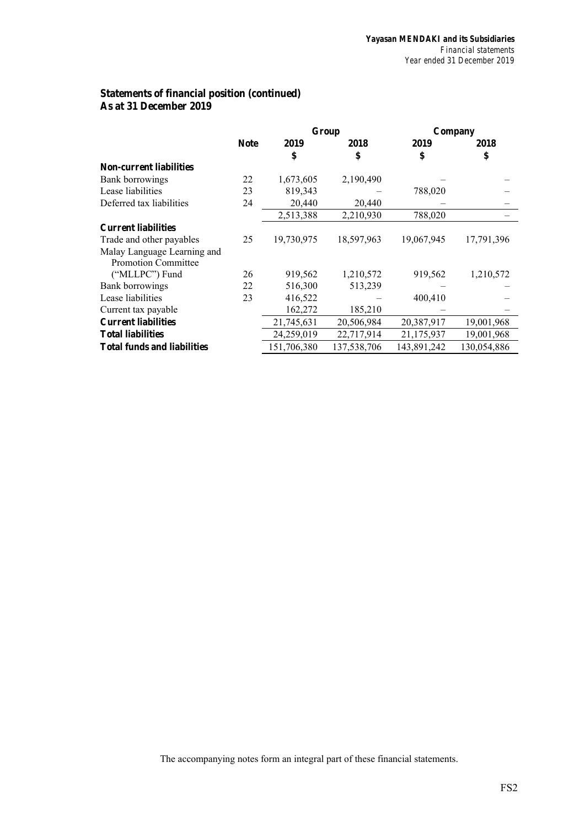## **Statements of financial position (continued) As at 31 December 2019**

|                                    |             |             | Group       | Company     |             |  |
|------------------------------------|-------------|-------------|-------------|-------------|-------------|--|
|                                    | <b>Note</b> | 2019        | 2018        | 2019        | 2018        |  |
|                                    |             | \$          | \$          | \$          | \$          |  |
| <b>Non-current liabilities</b>     |             |             |             |             |             |  |
| Bank borrowings                    | 22          | 1,673,605   | 2,190,490   |             |             |  |
| Lease liabilities                  | 23          | 819,343     |             | 788,020     |             |  |
| Deferred tax liabilities           | 24          | 20,440      | 20,440      |             |             |  |
|                                    |             | 2,513,388   | 2,210,930   | 788,020     |             |  |
| <b>Current liabilities</b>         |             |             |             |             |             |  |
| Trade and other payables           | 25          | 19,730,975  | 18,597,963  | 19,067,945  | 17,791,396  |  |
| Malay Language Learning and        |             |             |             |             |             |  |
| <b>Promotion Committee</b>         |             |             |             |             |             |  |
| ("MLLPC") Fund                     | 26          | 919,562     | 1,210,572   | 919,562     | 1,210,572   |  |
| Bank borrowings                    | 22          | 516,300     | 513,239     |             |             |  |
| Lease liabilities                  | 23          | 416,522     |             | 400,410     |             |  |
| Current tax payable                |             | 162,272     | 185,210     |             |             |  |
| <b>Current liabilities</b>         |             | 21,745,631  | 20,506,984  | 20,387,917  | 19,001,968  |  |
| <b>Total liabilities</b>           |             | 24,259,019  | 22,717,914  | 21,175,937  | 19,001,968  |  |
| <b>Total funds and liabilities</b> |             | 151,706,380 | 137,538,706 | 143,891,242 | 130,054,886 |  |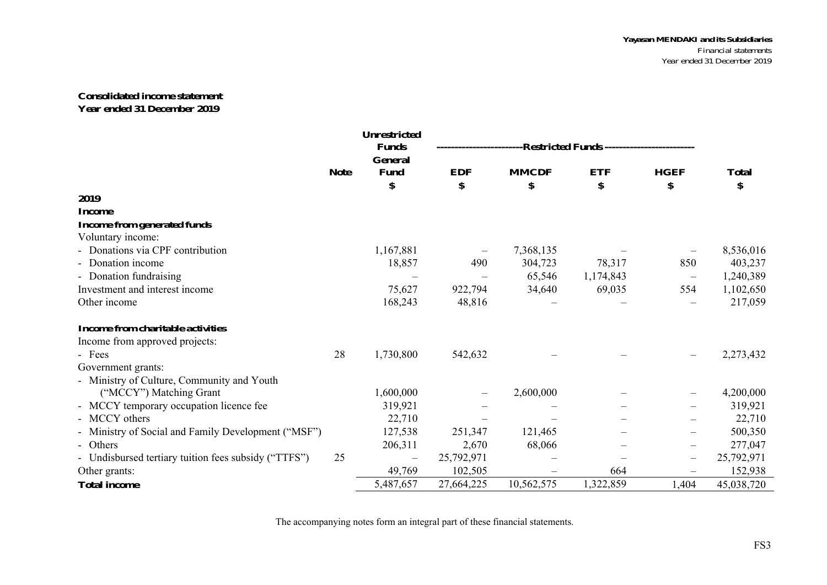#### **Consolidated income statement Year ended 31 December 2019**

|                                                      |             | <b>Unrestricted</b><br><b>Funds</b><br><b>General</b> | ------------------Restricted Funds ---------------------- |              |            |                          |              |
|------------------------------------------------------|-------------|-------------------------------------------------------|-----------------------------------------------------------|--------------|------------|--------------------------|--------------|
|                                                      | <b>Note</b> | <b>Fund</b>                                           | <b>EDF</b>                                                | <b>MMCDF</b> | <b>ETF</b> | <b>HGEF</b>              | <b>Total</b> |
|                                                      |             | \$                                                    | \$                                                        | \$           | \$         | \$                       | \$           |
| 2019                                                 |             |                                                       |                                                           |              |            |                          |              |
| <b>Income</b>                                        |             |                                                       |                                                           |              |            |                          |              |
| <b>Income from generated funds</b>                   |             |                                                       |                                                           |              |            |                          |              |
| Voluntary income:                                    |             |                                                       |                                                           |              |            |                          |              |
| Donations via CPF contribution                       |             | 1,167,881                                             |                                                           | 7,368,135    |            |                          | 8,536,016    |
| Donation income                                      |             | 18,857                                                | 490                                                       | 304,723      | 78,317     | 850                      | 403,237      |
| - Donation fundraising                               |             |                                                       |                                                           | 65,546       | 1,174,843  | $\overline{\phantom{m}}$ | 1,240,389    |
| Investment and interest income                       |             | 75,627                                                | 922,794                                                   | 34,640       | 69,035     | 554                      | 1,102,650    |
| Other income                                         |             | 168,243                                               | 48,816                                                    |              |            |                          | 217,059      |
| Income from charitable activities                    |             |                                                       |                                                           |              |            |                          |              |
| Income from approved projects:                       |             |                                                       |                                                           |              |            |                          |              |
| - Fees                                               | 28          | 1,730,800                                             | 542,632                                                   |              |            | $\qquad \qquad -$        | 2,273,432    |
| Government grants:                                   |             |                                                       |                                                           |              |            |                          |              |
| - Ministry of Culture, Community and Youth           |             |                                                       |                                                           |              |            |                          |              |
| ("MCCY") Matching Grant                              |             | 1,600,000                                             |                                                           | 2,600,000    |            | $\overline{\phantom{m}}$ | 4,200,000    |
| - MCCY temporary occupation licence fee              |             | 319,921                                               |                                                           |              |            |                          | 319,921      |
| - MCCY others                                        |             | 22,710                                                |                                                           |              |            |                          | 22,710       |
| - Ministry of Social and Family Development ("MSF")  |             | 127,538                                               | 251,347                                                   | 121,465      |            | $\overline{\phantom{m}}$ | 500,350      |
| - Others                                             |             | 206,311                                               | 2,670                                                     | 68,066       |            |                          | 277,047      |
| - Undisbursed tertiary tuition fees subsidy ("TTFS") | 25          |                                                       | 25,792,971                                                |              |            | $\overline{\phantom{m}}$ | 25,792,971   |
| Other grants:                                        |             | 49,769                                                | 102,505                                                   |              | 664        | $\overline{\phantom{m}}$ | 152,938      |
| <b>Total income</b>                                  |             | 5,487,657                                             | 27,664,225                                                | 10,562,575   | 1,322,859  | 1,404                    | 45,038,720   |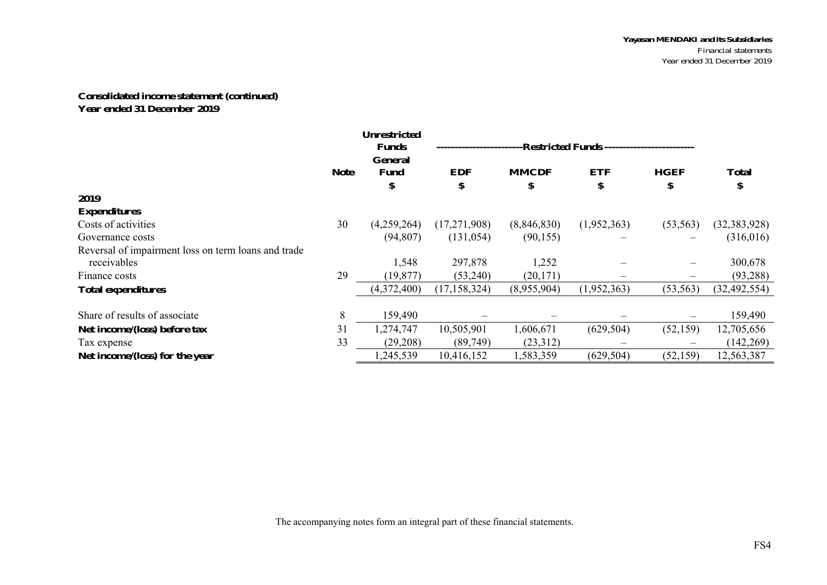## **Consolidated income statement (continued) Year ended 31 December 2019**

|                                                     | <b>Unrestricted</b> |                               |                |                                            |             |             |                |  |  |
|-----------------------------------------------------|---------------------|-------------------------------|----------------|--------------------------------------------|-------------|-------------|----------------|--|--|
|                                                     |                     | <b>Funds</b>                  |                | -Restricted Funds ------------------------ |             |             |                |  |  |
|                                                     | <b>Note</b>         | <b>General</b><br><b>Fund</b> | <b>EDF</b>     | <b>MMCDF</b>                               | <b>ETF</b>  | <b>HGEF</b> | <b>Total</b>   |  |  |
|                                                     |                     | \$                            | \$             | \$                                         | \$          | \$          | \$             |  |  |
| 2019                                                |                     |                               |                |                                            |             |             |                |  |  |
| <b>Expenditures</b>                                 |                     |                               |                |                                            |             |             |                |  |  |
| Costs of activities                                 | 30                  | (4,259,264)                   | (17,271,908)   | (8,846,830)                                | (1,952,363) | (53, 563)   | (32, 383, 928) |  |  |
| Governance costs                                    |                     | (94, 807)                     | (131, 054)     | (90, 155)                                  |             |             | (316,016)      |  |  |
| Reversal of impairment loss on term loans and trade |                     |                               |                |                                            |             |             |                |  |  |
| receivables                                         |                     | 1,548                         | 297,878        | 1,252                                      |             |             | 300,678        |  |  |
| Finance costs                                       | 29                  | (19, 877)                     | (53,240)       | (20, 171)                                  |             |             | (93, 288)      |  |  |
| <b>Total expenditures</b>                           |                     | (4,372,400)                   | (17, 158, 324) | (8,955,904)                                | (1,952,363) | (53, 563)   | (32, 492, 554) |  |  |
|                                                     |                     |                               |                |                                            |             |             |                |  |  |
| Share of results of associate                       | 8                   | 159,490                       |                |                                            |             |             | 159,490        |  |  |
| Net income/(loss) before tax                        | 31                  | 1,274,747                     | 10,505,901     | 1,606,671                                  | (629, 504)  | (52, 159)   | 12,705,656     |  |  |
| Tax expense                                         | 33                  | (29, 208)                     | (89, 749)      | (23,312)                                   |             |             | (142, 269)     |  |  |
| Net income/(loss) for the year                      |                     | 1,245,539                     | 10,416,152     | 1,583,359                                  | (629, 504)  | (52, 159)   | 12,563,387     |  |  |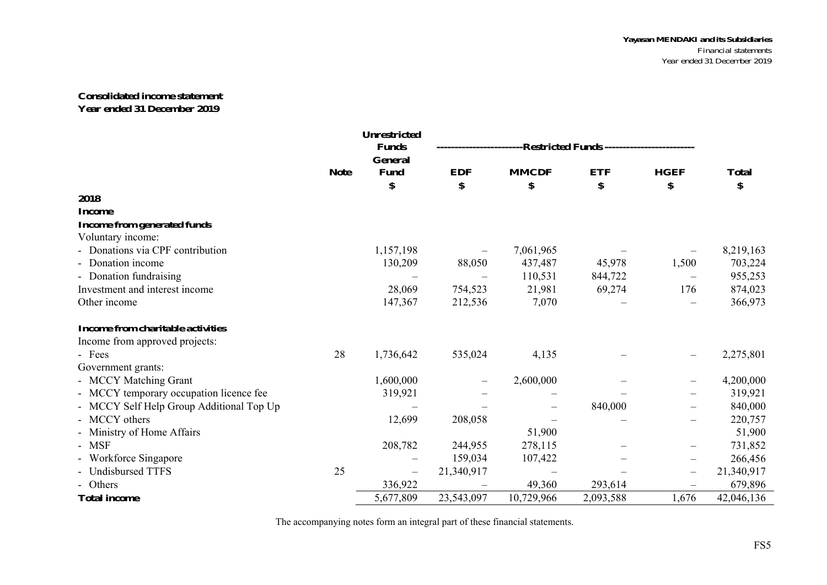#### **Consolidated income statement Year ended 31 December 2019**

|                                          |             | Unrestricted<br><b>Funds</b> |                          | --Restricted Funds ------------------------ |            |                          |              |  |  |
|------------------------------------------|-------------|------------------------------|--------------------------|---------------------------------------------|------------|--------------------------|--------------|--|--|
|                                          | <b>Note</b> | <b>General</b><br>Fund       | <b>EDF</b>               | <b>MMCDF</b>                                | <b>ETF</b> | <b>HGEF</b>              | <b>Total</b> |  |  |
|                                          |             | \$                           | \$                       | \$                                          | \$         | \$                       | \$           |  |  |
| 2018                                     |             |                              |                          |                                             |            |                          |              |  |  |
| <b>Income</b>                            |             |                              |                          |                                             |            |                          |              |  |  |
| <b>Income from generated funds</b>       |             |                              |                          |                                             |            |                          |              |  |  |
| Voluntary income:                        |             |                              |                          |                                             |            |                          |              |  |  |
| Donations via CPF contribution           |             | 1,157,198                    |                          | 7,061,965                                   |            |                          | 8,219,163    |  |  |
| Donation income                          |             | 130,209                      | 88,050                   | 437,487                                     | 45,978     | 1,500                    | 703,224      |  |  |
| - Donation fundraising                   |             |                              |                          | 110,531                                     | 844,722    | $\overline{\phantom{m}}$ | 955,253      |  |  |
| Investment and interest income           |             | 28,069                       | 754,523                  | 21,981                                      | 69,274     | 176                      | 874,023      |  |  |
| Other income                             |             | 147,367                      | 212,536                  | 7,070                                       |            |                          | 366,973      |  |  |
| Income from charitable activities        |             |                              |                          |                                             |            |                          |              |  |  |
| Income from approved projects:           |             |                              |                          |                                             |            |                          |              |  |  |
| - Fees                                   | 28          | 1,736,642                    | 535,024                  | 4,135                                       |            |                          | 2,275,801    |  |  |
| Government grants:                       |             |                              |                          |                                             |            |                          |              |  |  |
| - MCCY Matching Grant                    |             | 1,600,000                    | $\overline{\phantom{0}}$ | 2,600,000                                   |            |                          | 4,200,000    |  |  |
| - MCCY temporary occupation licence fee  |             | 319,921                      |                          |                                             |            |                          | 319,921      |  |  |
| - MCCY Self Help Group Additional Top Up |             |                              |                          |                                             | 840,000    |                          | 840,000      |  |  |
| - MCCY others                            |             | 12,699                       | 208,058                  |                                             |            |                          | 220,757      |  |  |
| Ministry of Home Affairs                 |             |                              |                          | 51,900                                      |            |                          | 51,900       |  |  |
| - MSF                                    |             | 208,782                      | 244,955                  | 278,115                                     |            |                          | 731,852      |  |  |
| Workforce Singapore                      |             |                              | 159,034                  | 107,422                                     |            | $\overline{\phantom{0}}$ | 266,456      |  |  |
| <b>Undisbursed TTFS</b>                  | 25          | $\overline{\phantom{m}}$     | 21,340,917               |                                             |            | $\qquad \qquad -$        | 21,340,917   |  |  |
| - Others                                 |             | 336,922                      |                          | 49,360                                      | 293,614    |                          | 679,896      |  |  |
| <b>Total income</b>                      |             | 5,677,809                    | 23,543,097               | 10,729,966                                  | 2,093,588  | 1,676                    | 42,046,136   |  |  |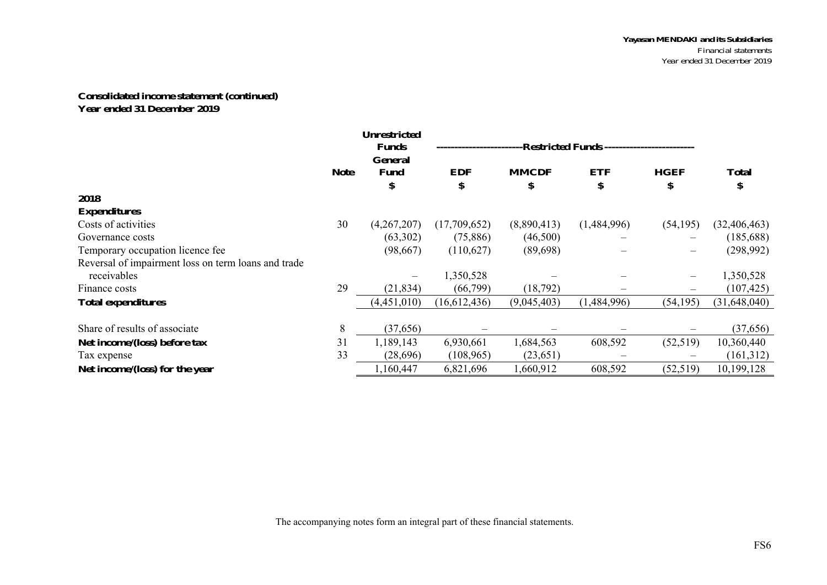## **Consolidated income statement (continued) Year ended 31 December 2019**

|                                                     | <b>Unrestricted</b><br>-Restricted Funds ------------------------<br><b>Funds</b> |             |              |              |             |             |                |  |  |  |
|-----------------------------------------------------|-----------------------------------------------------------------------------------|-------------|--------------|--------------|-------------|-------------|----------------|--|--|--|
|                                                     |                                                                                   | General     |              |              |             |             |                |  |  |  |
|                                                     | <b>Note</b>                                                                       | <b>Fund</b> | <b>EDF</b>   | <b>MMCDF</b> | <b>ETF</b>  | <b>HGEF</b> | <b>Total</b>   |  |  |  |
|                                                     |                                                                                   | \$          |              | \$           | \$          | D           | \$             |  |  |  |
| 2018                                                |                                                                                   |             |              |              |             |             |                |  |  |  |
| <b>Expenditures</b>                                 |                                                                                   |             |              |              |             |             |                |  |  |  |
| Costs of activities                                 | 30                                                                                | (4,267,207) | (17,709,652) | (8,890,413)  | (1,484,996) | (54, 195)   | (32, 406, 463) |  |  |  |
| Governance costs                                    |                                                                                   | (63,302)    | (75,886)     | (46,500)     |             |             | (185, 688)     |  |  |  |
| Temporary occupation licence fee                    |                                                                                   | (98,667)    | (110,627)    | (89,698)     |             |             | (298, 992)     |  |  |  |
| Reversal of impairment loss on term loans and trade |                                                                                   |             |              |              |             |             |                |  |  |  |
| receivables                                         |                                                                                   |             | 1,350,528    |              |             |             | 1,350,528      |  |  |  |
| Finance costs                                       | 29                                                                                | (21, 834)   | (66,799)     | (18, 792)    |             |             | (107, 425)     |  |  |  |
| <b>Total expenditures</b>                           |                                                                                   | (4,451,010) | (16,612,436) | (9,045,403)  | (1,484,996) | (54, 195)   | (31,648,040)   |  |  |  |
|                                                     |                                                                                   |             |              |              |             |             |                |  |  |  |
| Share of results of associate                       | 8                                                                                 | (37,656)    |              |              |             |             | (37, 656)      |  |  |  |
| Net income/(loss) before tax                        | 31                                                                                | 1,189,143   | 6,930,661    | 1,684,563    | 608,592     | (52, 519)   | 10,360,440     |  |  |  |
| Tax expense                                         | 33                                                                                | (28,696)    | (108, 965)   | (23, 651)    |             |             | (161,312)      |  |  |  |
| Net income/(loss) for the year                      |                                                                                   | 1,160,447   | 6,821,696    | 1,660,912    | 608,592     | (52, 519)   | 10,199,128     |  |  |  |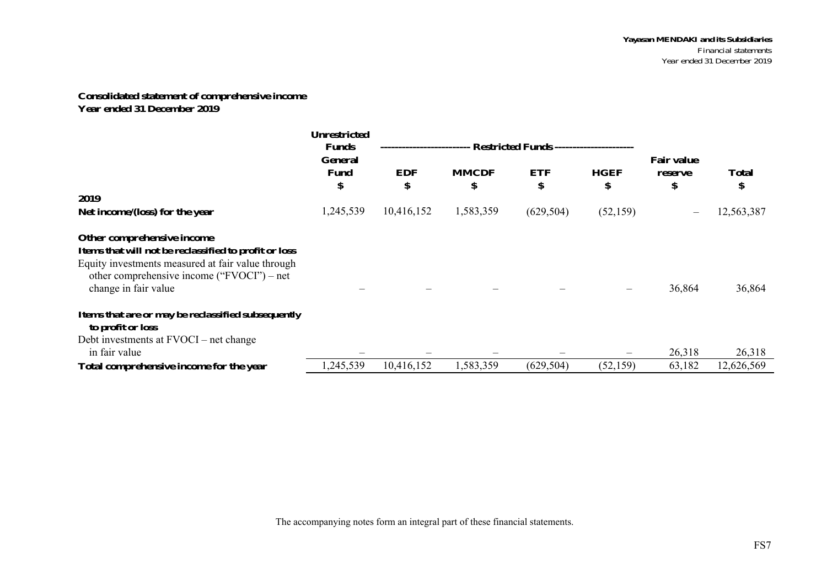#### **Consolidated statement of comprehensive income Year ended 31 December 2019**

|                                                                                                                                                                                                                | <b>Unrestricted</b><br><b>Funds</b> | ----------------------- |                    |                  |                   |                                    |                    |
|----------------------------------------------------------------------------------------------------------------------------------------------------------------------------------------------------------------|-------------------------------------|-------------------------|--------------------|------------------|-------------------|------------------------------------|--------------------|
|                                                                                                                                                                                                                | <b>General</b><br><b>Fund</b><br>\$ | <b>EDF</b><br>\$        | <b>MMCDF</b><br>\$ | <b>ETF</b><br>\$ | <b>HGEF</b><br>\$ | <b>Fair value</b><br>reserve<br>\$ | <b>Total</b><br>\$ |
| 2019                                                                                                                                                                                                           |                                     |                         |                    |                  |                   |                                    |                    |
| Net income/(loss) for the year                                                                                                                                                                                 | 1,245,539                           | 10,416,152              | 1,583,359          | (629, 504)       | (52, 159)         | $\overline{\phantom{m}}$           | 12,563,387         |
| Other comprehensive income<br>Items that will not be reclassified to profit or loss<br>Equity investments measured at fair value through<br>other comprehensive income ("FVOCI") – net<br>change in fair value |                                     |                         |                    |                  |                   | 36,864                             | 36,864             |
| Items that are or may be reclassified subsequently<br>to profit or loss<br>Debt investments at FVOCI – net change                                                                                              |                                     |                         |                    |                  |                   |                                    |                    |
| in fair value                                                                                                                                                                                                  |                                     |                         |                    |                  |                   | 26,318                             | 26,318             |
| Total comprehensive income for the year                                                                                                                                                                        | 1,245,539                           | 10,416,152              | 1,583,359          | (629, 504)       | (52, 159)         | 63,182                             | 12,626,569         |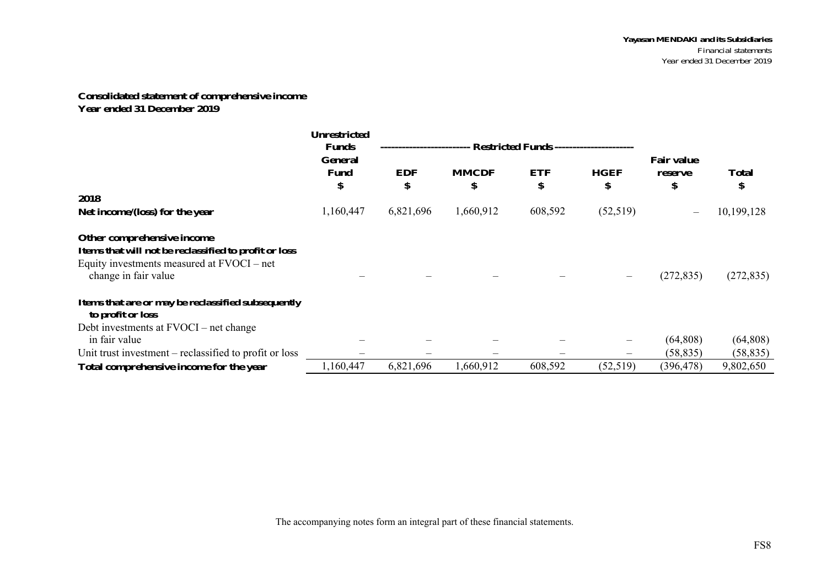## **Consolidated statement of comprehensive income Year ended 31 December 2019**

|                                                                                                                                                           | <b>Unrestricted</b><br><b>Funds</b> |                  |                    |                  |                   |                                    |                    |
|-----------------------------------------------------------------------------------------------------------------------------------------------------------|-------------------------------------|------------------|--------------------|------------------|-------------------|------------------------------------|--------------------|
|                                                                                                                                                           | <b>General</b><br><b>Fund</b><br>\$ | <b>EDF</b><br>\$ | <b>MMCDF</b><br>\$ | <b>ETF</b><br>\$ | <b>HGEF</b><br>\$ | <b>Fair value</b><br>reserve<br>\$ | <b>Total</b><br>\$ |
| 2018                                                                                                                                                      |                                     |                  |                    |                  |                   |                                    |                    |
| Net income/(loss) for the year                                                                                                                            | 1,160,447                           | 6,821,696        | 1,660,912          | 608,592          | (52, 519)         |                                    | 10,199,128         |
| Other comprehensive income<br>Items that will not be reclassified to profit or loss<br>Equity investments measured at FVOCI – net<br>change in fair value |                                     |                  |                    |                  |                   | (272, 835)                         | (272, 835)         |
| Items that are or may be reclassified subsequently<br>to profit or loss                                                                                   |                                     |                  |                    |                  |                   |                                    |                    |
| Debt investments at FVOCI – net change<br>in fair value                                                                                                   |                                     |                  |                    |                  |                   | (64,808)                           | (64,808)           |
| Unit trust investment – reclassified to profit or loss                                                                                                    |                                     |                  |                    |                  | $\qquad \qquad$   | (58, 835)                          | (58, 835)          |
| Total comprehensive income for the year                                                                                                                   | 1,160,447                           | 6,821,696        | 1,660,912          | 608,592          | (52, 519)         | (396, 478)                         | 9,802,650          |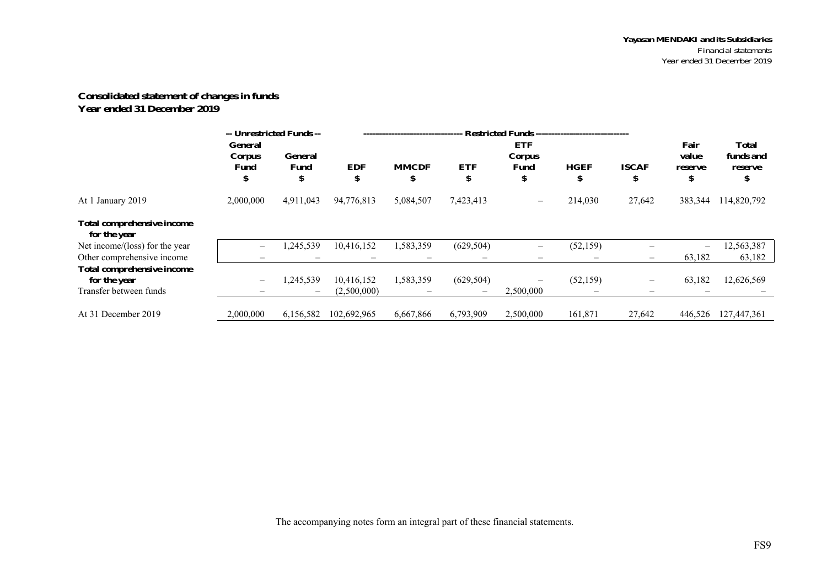## **Consolidated statement of changes in funds Year ended 31 December 2019**

|                                                   | -- Unrestricted Funds --<br><b>General</b> |                      |                  | <b>Restricted Funds --------------------------------</b><br><b>ETF</b> |                                 |                          |                   |                          |                        |                           |
|---------------------------------------------------|--------------------------------------------|----------------------|------------------|------------------------------------------------------------------------|---------------------------------|--------------------------|-------------------|--------------------------|------------------------|---------------------------|
|                                                   | Corpus<br>Fund<br>Φ                        | General<br>Fund<br>ъ | <b>EDF</b><br>\$ | <b>MMCDF</b><br>\$                                                     | <b>ETF</b><br>\$                | Corpus<br>Fund<br>\$     | <b>HGEF</b><br>\$ | <b>ISCAF</b><br>\$       | value<br>reserve<br>\$ | funds and<br>reserve<br>ъ |
| At 1 January 2019                                 | 2,000,000                                  | 4,911,043            | 94,776,813       | 5,084,507                                                              | 7,423,413                       | $\overline{\phantom{m}}$ | 214,030           | 27,642                   | 383,344                | 114,820,792               |
| <b>Total comprehensive income</b><br>for the year |                                            |                      |                  |                                                                        |                                 |                          |                   |                          |                        |                           |
| Net income/(loss) for the year                    | $\overline{\phantom{0}}$                   | 1,245,539            | 10,416,152       | 1,583,359                                                              | (629, 504)                      | $\qquad \qquad -$        | (52, 159)         |                          |                        | 12,563,387                |
| Other comprehensive income                        |                                            |                      |                  |                                                                        | $\hspace{0.1mm}-\hspace{0.1mm}$ |                          | $\hspace{0.05cm}$ | $\overline{\phantom{m}}$ | 63,182                 | 63,182                    |
| <b>Total comprehensive income</b><br>for the year |                                            | 1,245,539            | 10,416,152       | 1,583,359                                                              | (629, 504)                      | $\overline{\phantom{m}}$ | (52, 159)         | $\overline{\phantom{0}}$ | 63,182                 | 12,626,569                |
| Transfer between funds                            |                                            |                      | (2,500,000)      |                                                                        |                                 | 2,500,000                |                   |                          |                        |                           |
| At 31 December 2019                               | 2,000,000                                  | 6,156,582            | 102,692,965      | 6,667,866                                                              | 6,793,909                       | 2,500,000                | 161,871           | 27,642                   | 446,526                | 127,447,361               |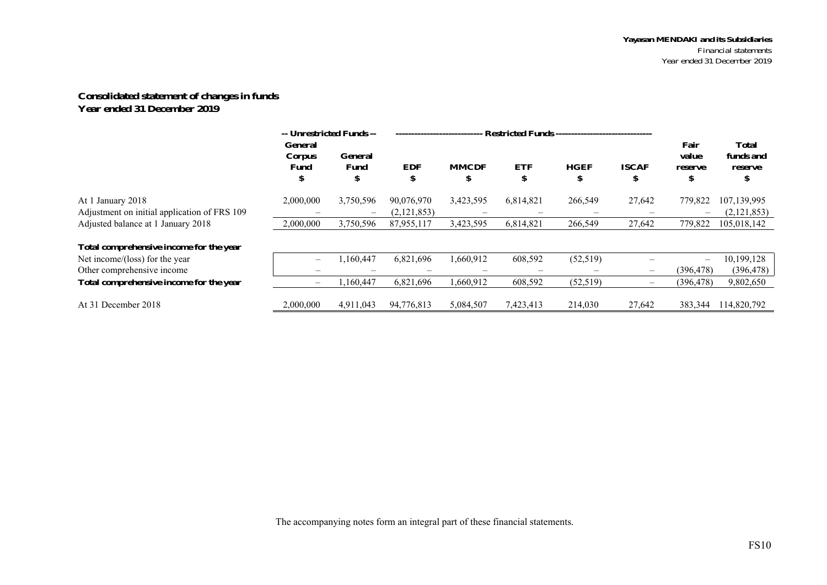#### **Consolidated statement of changes in funds Year ended 31 December 2019**

|                                                                   | -- Unrestricted Funds --         |                                       |                           | <b>Restricted Funds --------------------------------</b> |                                |                  |                          |                                |                                      |
|-------------------------------------------------------------------|----------------------------------|---------------------------------------|---------------------------|----------------------------------------------------------|--------------------------------|------------------|--------------------------|--------------------------------|--------------------------------------|
|                                                                   | <b>General</b><br>Corpus<br>Fund | <b>General</b><br><b>Fund</b><br>S    | <b>EDF</b><br>\$          | <b>MMCDF</b><br>\$                                       | <b>ETF</b><br>\$.              | <b>HGEF</b><br>ъ | <b>ISCAF</b><br>S        | Fair<br>value<br>reserve<br>\$ | <b>Total</b><br>funds and<br>reserve |
| At 1 January 2018<br>Adjustment on initial application of FRS 109 | 2,000,000                        | 3,750,596<br>$\overline{\phantom{a}}$ | 90,076,970<br>(2,121,853) | 3,423,595                                                | 6,814,821<br>$\hspace{0.05cm}$ | 266,549          | 27,642                   | 779,822                        | 107,139,995<br>(2,121,853)           |
| Adjusted balance at 1 January 2018                                | 2,000,000                        | 3,750,596                             | 87,955,117                | 3,423,595                                                | 6,814,821                      | 266,549          | 27,642                   | 779,822                        | 105,018,142                          |
| Total comprehensive income for the year                           |                                  |                                       |                           |                                                          |                                |                  |                          |                                |                                      |
| Net income/(loss) for the year                                    |                                  | .160.447                              | 6,821,696                 | 1.660.912                                                | 608,592                        | (52, 519)        |                          | $\overline{\phantom{0}}$       | 10,199,128                           |
| Other comprehensive income                                        |                                  |                                       |                           |                                                          |                                |                  | $\overline{\phantom{0}}$ | (396, 478)                     | (396, 478)                           |
| Total comprehensive income for the year                           |                                  | ,160,447                              | 6,821,696                 | 1,660,912                                                | 608,592                        | (52, 519)        |                          | (396, 478)                     | 9,802,650                            |
| At 31 December 2018                                               | 2,000,000                        | 4,911,043                             | 94,776,813                | 5,084,507                                                | 7,423,413                      | 214,030          | 27,642                   | 383,344                        | 114,820,792                          |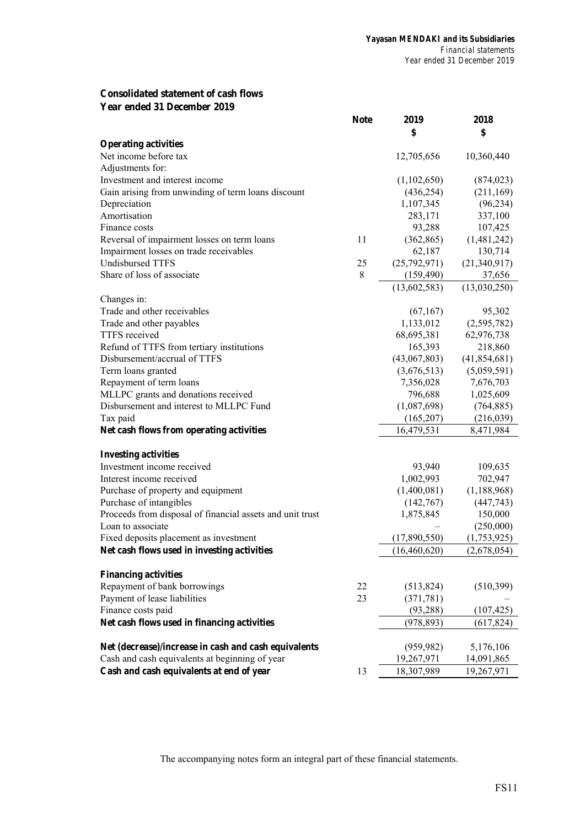## **Consolidated statement of cash flows Year ended 31 December 2019**

|                                                           | <b>Note</b> | 2019         | 2018           |
|-----------------------------------------------------------|-------------|--------------|----------------|
|                                                           |             | \$           | \$             |
| <b>Operating activities</b>                               |             |              |                |
| Net income before tax                                     |             | 12,705,656   | 10,360,440     |
| Adjustments for:                                          |             |              |                |
| Investment and interest income                            |             | (1,102,650)  | (874, 023)     |
| Gain arising from unwinding of term loans discount        |             | (436, 254)   | (211, 169)     |
| Depreciation                                              |             | 1,107,345    | (96, 234)      |
| Amortisation                                              |             | 283,171      | 337,100        |
| Finance costs                                             |             | 93,288       | 107,425        |
| Reversal of impairment losses on term loans               | 11          | (362, 865)   | (1,481,242)    |
| Impairment losses on trade receivables                    |             | 62,187       | 130,714        |
| <b>Undisbursed TTFS</b>                                   | 25          | (25,792,971) | (21,340,917)   |
| Share of loss of associate                                | 8           | (159, 490)   | 37,656         |
|                                                           |             | (13,602,583) | (13,030,250)   |
| Changes in:                                               |             |              |                |
| Trade and other receivables                               |             | (67,167)     | 95,302         |
| Trade and other payables                                  |             | 1,133,012    | (2,595,782)    |
| TTFS received                                             |             | 68,695,381   | 62,976,738     |
| Refund of TTFS from tertiary institutions                 |             | 165,393      | 218,860        |
| Disbursement/accrual of TTFS                              |             | (43,067,803) | (41, 854, 681) |
| Term loans granted                                        |             | (3,676,513)  | (5,059,591)    |
| Repayment of term loans                                   |             | 7,356,028    | 7,676,703      |
| MLLPC grants and donations received                       |             | 796,688      | 1,025,609      |
| Disbursement and interest to MLLPC Fund                   |             | (1,087,698)  | (764, 885)     |
| Tax paid                                                  |             | (165,207)    | (216,039)      |
| Net cash flows from operating activities                  |             | 16,479,531   | 8,471,984      |
|                                                           |             |              |                |
| <b>Investing activities</b>                               |             |              |                |
| Investment income received                                |             | 93,940       | 109,635        |
| Interest income received                                  |             | 1,002,993    | 702,947        |
| Purchase of property and equipment                        |             | (1,400,081)  | (1,188,968)    |
| Purchase of intangibles                                   |             | (142,767)    | (447, 743)     |
| Proceeds from disposal of financial assets and unit trust |             | 1,875,845    | 150,000        |
| Loan to associate                                         |             |              | (250,000)      |
| Fixed deposits placement as investment                    |             | (17,890,550) | (1,753,925)    |
| Net cash flows used in investing activities               |             | (16,460,620) | (2,678,054)    |
|                                                           |             |              |                |
| <b>Financing activities</b>                               |             |              |                |
| Repayment of bank borrowings                              | 22          | (513, 824)   | (510, 399)     |
| Payment of lease liabilities                              | 23          | (371, 781)   |                |
| Finance costs paid                                        |             | (93, 288)    | (107, 425)     |
| Net cash flows used in financing activities               |             | (978, 893)   | (617, 824)     |
|                                                           |             |              |                |
| Net (decrease)/increase in cash and cash equivalents      |             | (959, 982)   | 5,176,106      |
| Cash and cash equivalents at beginning of year            |             | 19,267,971   | 14,091,865     |
| Cash and cash equivalents at end of year                  | 13          | 18,307,989   | 19,267,971     |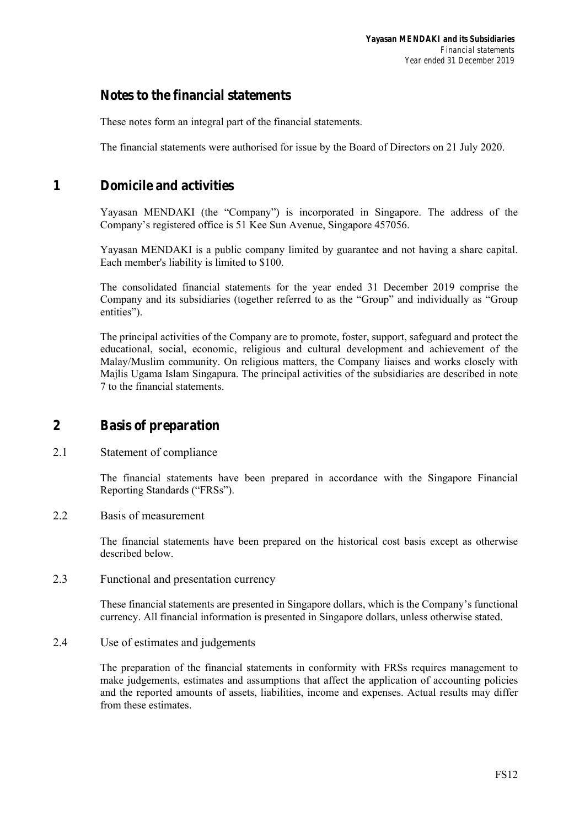## **Notes to the financial statements**

These notes form an integral part of the financial statements.

The financial statements were authorised for issue by the Board of Directors on 21 July 2020.

## **1 Domicile and activities**

Yayasan MENDAKI (the "Company") is incorporated in Singapore. The address of the Company's registered office is 51 Kee Sun Avenue, Singapore 457056.

Yayasan MENDAKI is a public company limited by guarantee and not having a share capital. Each member's liability is limited to \$100.

The consolidated financial statements for the year ended 31 December 2019 comprise the Company and its subsidiaries (together referred to as the "Group" and individually as "Group entities").

The principal activities of the Company are to promote, foster, support, safeguard and protect the educational, social, economic, religious and cultural development and achievement of the Malay/Muslim community. On religious matters, the Company liaises and works closely with Majlis Ugama Islam Singapura. The principal activities of the subsidiaries are described in note 7 to the financial statements.

## **2 Basis of preparation**

2.1 Statement of compliance

The financial statements have been prepared in accordance with the Singapore Financial Reporting Standards ("FRSs").

2.2 Basis of measurement

The financial statements have been prepared on the historical cost basis except as otherwise described below.

2.3 Functional and presentation currency

These financial statements are presented in Singapore dollars, which is the Company's functional currency. All financial information is presented in Singapore dollars, unless otherwise stated.

2.4 Use of estimates and judgements

The preparation of the financial statements in conformity with FRSs requires management to make judgements, estimates and assumptions that affect the application of accounting policies and the reported amounts of assets, liabilities, income and expenses. Actual results may differ from these estimates.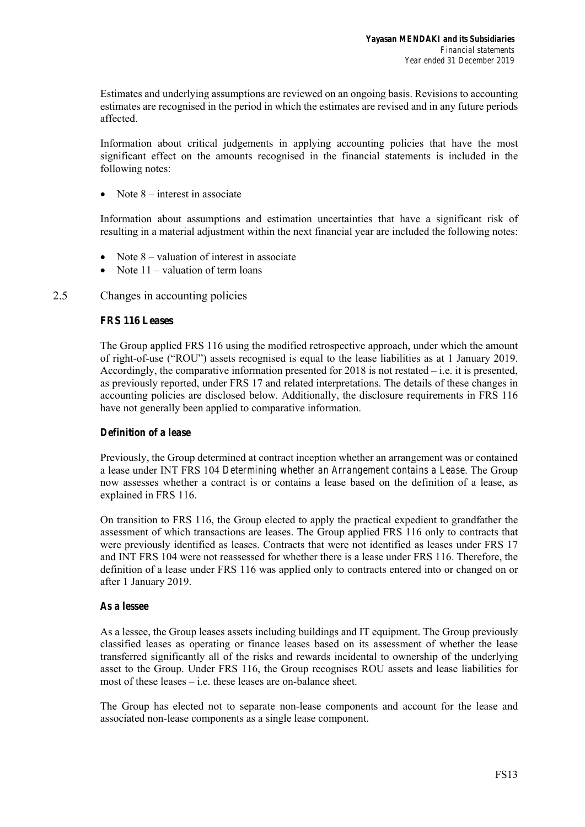Estimates and underlying assumptions are reviewed on an ongoing basis. Revisions to accounting estimates are recognised in the period in which the estimates are revised and in any future periods affected.

Information about critical judgements in applying accounting policies that have the most significant effect on the amounts recognised in the financial statements is included in the following notes:

• Note  $8$  – interest in associate

Information about assumptions and estimation uncertainties that have a significant risk of resulting in a material adjustment within the next financial year are included the following notes:

- Note 8 valuation of interest in associate
- Note 11 valuation of term loans

## 2.5 Changes in accounting policies

## **FRS 116 Leases**

The Group applied FRS 116 using the modified retrospective approach, under which the amount of right-of-use ("ROU") assets recognised is equal to the lease liabilities as at 1 January 2019. Accordingly, the comparative information presented for  $2018$  is not restated – i.e. it is presented, as previously reported, under FRS 17 and related interpretations. The details of these changes in accounting policies are disclosed below. Additionally, the disclosure requirements in FRS 116 have not generally been applied to comparative information.

## *Definition of a lease*

Previously, the Group determined at contract inception whether an arrangement was or contained a lease under INT FRS 104 *Determining whether an Arrangement contains a Lease*. The Group now assesses whether a contract is or contains a lease based on the definition of a lease, as explained in FRS 116.

On transition to FRS 116, the Group elected to apply the practical expedient to grandfather the assessment of which transactions are leases. The Group applied FRS 116 only to contracts that were previously identified as leases. Contracts that were not identified as leases under FRS 17 and INT FRS 104 were not reassessed for whether there is a lease under FRS 116. Therefore, the definition of a lease under FRS 116 was applied only to contracts entered into or changed on or after 1 January 2019.

## *As a lessee*

As a lessee, the Group leases assets including buildings and IT equipment. The Group previously classified leases as operating or finance leases based on its assessment of whether the lease transferred significantly all of the risks and rewards incidental to ownership of the underlying asset to the Group. Under FRS 116, the Group recognises ROU assets and lease liabilities for most of these leases – i.e. these leases are on-balance sheet.

The Group has elected not to separate non-lease components and account for the lease and associated non-lease components as a single lease component.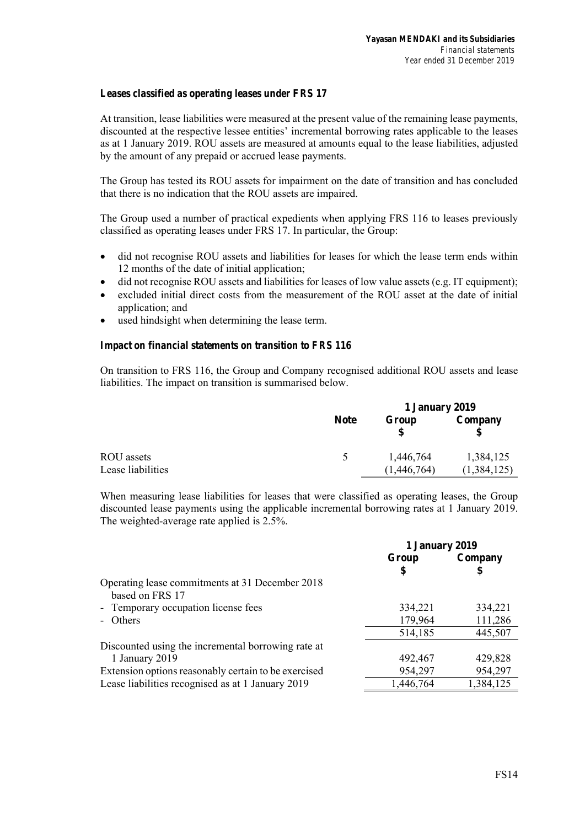## *Leases classified as operating leases under FRS 17*

At transition, lease liabilities were measured at the present value of the remaining lease payments, discounted at the respective lessee entities' incremental borrowing rates applicable to the leases as at 1 January 2019. ROU assets are measured at amounts equal to the lease liabilities, adjusted by the amount of any prepaid or accrued lease payments.

The Group has tested its ROU assets for impairment on the date of transition and has concluded that there is no indication that the ROU assets are impaired.

The Group used a number of practical expedients when applying FRS 116 to leases previously classified as operating leases under FRS 17. In particular, the Group:

- did not recognise ROU assets and liabilities for leases for which the lease term ends within 12 months of the date of initial application;
- did not recognise ROU assets and liabilities for leases of low value assets (e.g. IT equipment);
- excluded initial direct costs from the measurement of the ROU asset at the date of initial application; and
- used hindsight when determining the lease term.

## *Impact on financial statements on transition to FRS 116*

On transition to FRS 116, the Group and Company recognised additional ROU assets and lease liabilities. The impact on transition is summarised below.

|                   |               | 1 January 2019 |               |  |
|-------------------|---------------|----------------|---------------|--|
|                   | <b>Note</b>   | Group          | Company       |  |
| ROU assets        | $\rightarrow$ | 1,446,764      | 1,384,125     |  |
| Lease liabilities |               | (1.446.764)    | (1, 384, 125) |  |

When measuring lease liabilities for leases that were classified as operating leases, the Group discounted lease payments using the applicable incremental borrowing rates at 1 January 2019. The weighted-average rate applied is 2.5%.

|                                                      | 1 January 2019 |           |  |
|------------------------------------------------------|----------------|-----------|--|
|                                                      | Group          | Company   |  |
|                                                      | S              | \$        |  |
| Operating lease commitments at 31 December 2018      |                |           |  |
| based on FRS 17                                      |                |           |  |
| - Temporary occupation license fees                  | 334,221        | 334,221   |  |
| - Others                                             | 179,964        | 111,286   |  |
|                                                      | 514,185        | 445,507   |  |
| Discounted using the incremental borrowing rate at   |                |           |  |
| 1 January 2019                                       | 492,467        | 429,828   |  |
| Extension options reasonably certain to be exercised | 954,297        | 954,297   |  |
| Lease liabilities recognised as at 1 January 2019    | 1,446,764      | 1,384,125 |  |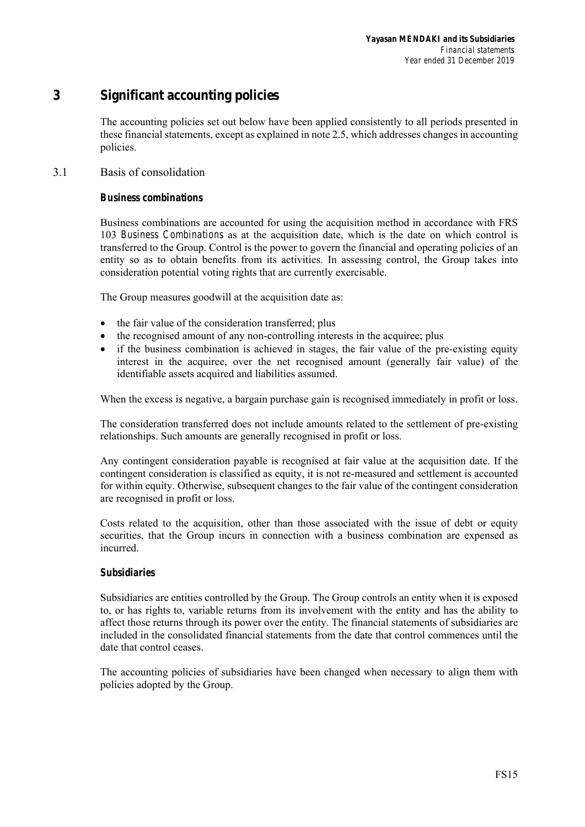## **3 Significant accounting policies**

The accounting policies set out below have been applied consistently to all periods presented in these financial statements, except as explained in note 2.5, which addresses changes in accounting policies.

## 3.1 Basis of consolidation

## *Business combinations*

Business combinations are accounted for using the acquisition method in accordance with FRS 103 *Business Combinations* as at the acquisition date, which is the date on which control is transferred to the Group. Control is the power to govern the financial and operating policies of an entity so as to obtain benefits from its activities. In assessing control, the Group takes into consideration potential voting rights that are currently exercisable.

The Group measures goodwill at the acquisition date as:

- the fair value of the consideration transferred; plus
- the recognised amount of any non-controlling interests in the acquiree; plus
- if the business combination is achieved in stages, the fair value of the pre-existing equity interest in the acquiree, over the net recognised amount (generally fair value) of the identifiable assets acquired and liabilities assumed.

When the excess is negative, a bargain purchase gain is recognised immediately in profit or loss.

The consideration transferred does not include amounts related to the settlement of pre-existing relationships. Such amounts are generally recognised in profit or loss.

Any contingent consideration payable is recognised at fair value at the acquisition date. If the contingent consideration is classified as equity, it is not re-measured and settlement is accounted for within equity. Otherwise, subsequent changes to the fair value of the contingent consideration are recognised in profit or loss.

Costs related to the acquisition, other than those associated with the issue of debt or equity securities, that the Group incurs in connection with a business combination are expensed as incurred.

## *Subsidiaries*

Subsidiaries are entities controlled by the Group. The Group controls an entity when it is exposed to, or has rights to, variable returns from its involvement with the entity and has the ability to affect those returns through its power over the entity. The financial statements of subsidiaries are included in the consolidated financial statements from the date that control commences until the date that control ceases.

The accounting policies of subsidiaries have been changed when necessary to align them with policies adopted by the Group.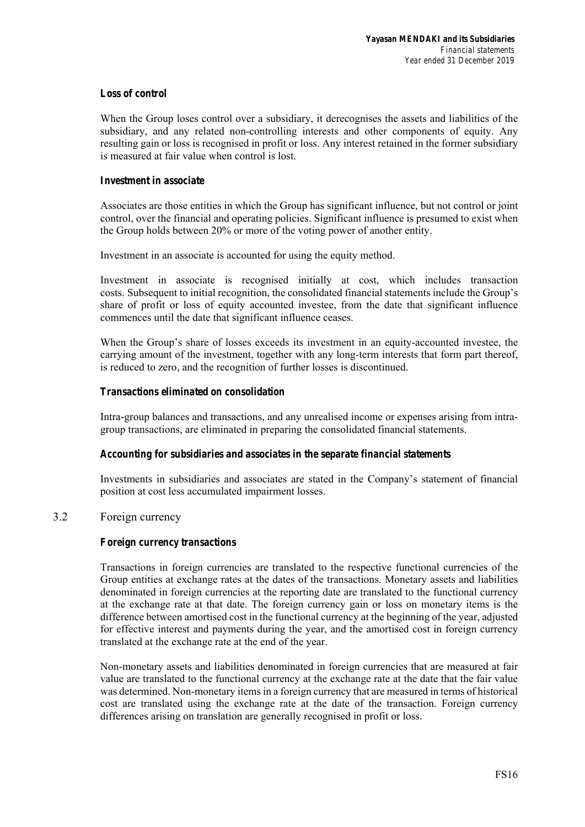## *Loss of control*

When the Group loses control over a subsidiary, it derecognises the assets and liabilities of the subsidiary, and any related non-controlling interests and other components of equity. Any resulting gain or loss is recognised in profit or loss. Any interest retained in the former subsidiary is measured at fair value when control is lost.

### *Investment in associate*

Associates are those entities in which the Group has significant influence, but not control or joint control, over the financial and operating policies. Significant influence is presumed to exist when the Group holds between 20% or more of the voting power of another entity.

Investment in an associate is accounted for using the equity method.

Investment in associate is recognised initially at cost, which includes transaction costs. Subsequent to initial recognition, the consolidated financial statements include the Group's share of profit or loss of equity accounted investee, from the date that significant influence commences until the date that significant influence ceases.

When the Group's share of losses exceeds its investment in an equity-accounted investee, the carrying amount of the investment, together with any long-term interests that form part thereof, is reduced to zero, and the recognition of further losses is discontinued.

## *Transactions eliminated on consolidation*

Intra-group balances and transactions, and any unrealised income or expenses arising from intragroup transactions, are eliminated in preparing the consolidated financial statements.

## *Accounting for subsidiaries and associates in the separate financial statements*

Investments in subsidiaries and associates are stated in the Company's statement of financial position at cost less accumulated impairment losses.

## 3.2 Foreign currency

## *Foreign currency transactions*

Transactions in foreign currencies are translated to the respective functional currencies of the Group entities at exchange rates at the dates of the transactions. Monetary assets and liabilities denominated in foreign currencies at the reporting date are translated to the functional currency at the exchange rate at that date. The foreign currency gain or loss on monetary items is the difference between amortised cost in the functional currency at the beginning of the year, adjusted for effective interest and payments during the year, and the amortised cost in foreign currency translated at the exchange rate at the end of the year.

Non-monetary assets and liabilities denominated in foreign currencies that are measured at fair value are translated to the functional currency at the exchange rate at the date that the fair value was determined. Non-monetary items in a foreign currency that are measured in terms of historical cost are translated using the exchange rate at the date of the transaction. Foreign currency differences arising on translation are generally recognised in profit or loss.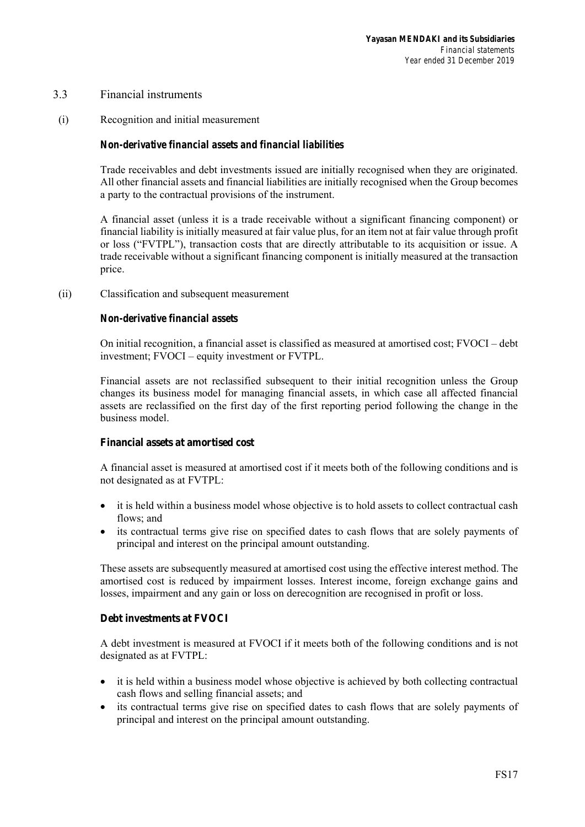## 3.3 Financial instruments

(i) Recognition and initial measurement

## *Non-derivative financial assets and financial liabilities*

Trade receivables and debt investments issued are initially recognised when they are originated. All other financial assets and financial liabilities are initially recognised when the Group becomes a party to the contractual provisions of the instrument.

A financial asset (unless it is a trade receivable without a significant financing component) or financial liability is initially measured at fair value plus, for an item not at fair value through profit or loss ("FVTPL"), transaction costs that are directly attributable to its acquisition or issue. A trade receivable without a significant financing component is initially measured at the transaction price.

(ii) Classification and subsequent measurement

### *Non-derivative financial assets*

On initial recognition, a financial asset is classified as measured at amortised cost; FVOCI – debt investment; FVOCI – equity investment or FVTPL.

Financial assets are not reclassified subsequent to their initial recognition unless the Group changes its business model for managing financial assets, in which case all affected financial assets are reclassified on the first day of the first reporting period following the change in the business model.

#### **Financial assets at amortised cost**

A financial asset is measured at amortised cost if it meets both of the following conditions and is not designated as at FVTPL:

- it is held within a business model whose objective is to hold assets to collect contractual cash flows; and
- its contractual terms give rise on specified dates to cash flows that are solely payments of principal and interest on the principal amount outstanding.

These assets are subsequently measured at amortised cost using the effective interest method. The amortised cost is reduced by impairment losses. Interest income, foreign exchange gains and losses, impairment and any gain or loss on derecognition are recognised in profit or loss.

#### **Debt investments at FVOCI**

A debt investment is measured at FVOCI if it meets both of the following conditions and is not designated as at FVTPL:

- it is held within a business model whose objective is achieved by both collecting contractual cash flows and selling financial assets; and
- its contractual terms give rise on specified dates to cash flows that are solely payments of principal and interest on the principal amount outstanding.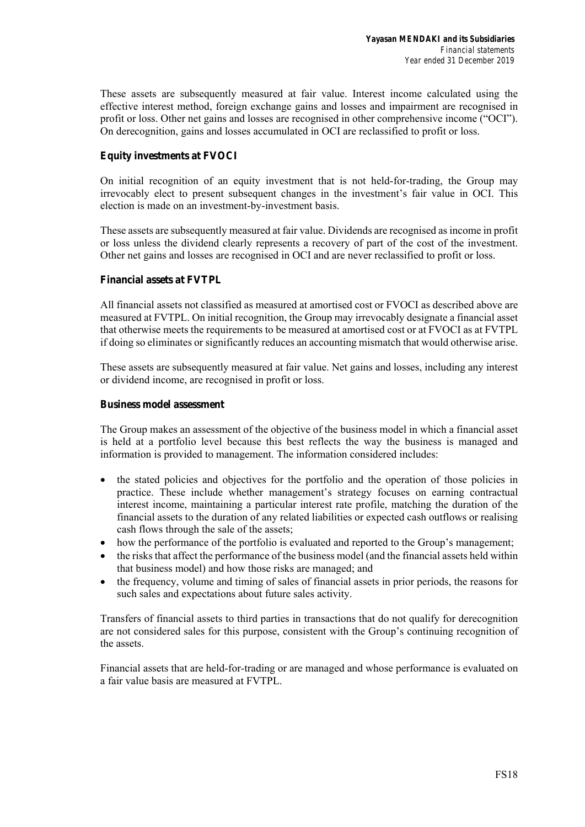These assets are subsequently measured at fair value. Interest income calculated using the effective interest method, foreign exchange gains and losses and impairment are recognised in profit or loss. Other net gains and losses are recognised in other comprehensive income ("OCI"). On derecognition, gains and losses accumulated in OCI are reclassified to profit or loss.

## **Equity investments at FVOCI**

On initial recognition of an equity investment that is not held-for-trading, the Group may irrevocably elect to present subsequent changes in the investment's fair value in OCI. This election is made on an investment-by-investment basis.

These assets are subsequently measured at fair value. Dividends are recognised as income in profit or loss unless the dividend clearly represents a recovery of part of the cost of the investment. Other net gains and losses are recognised in OCI and are never reclassified to profit or loss.

## **Financial assets at FVTPL**

All financial assets not classified as measured at amortised cost or FVOCI as described above are measured at FVTPL. On initial recognition, the Group may irrevocably designate a financial asset that otherwise meets the requirements to be measured at amortised cost or at FVOCI as at FVTPL if doing so eliminates or significantly reduces an accounting mismatch that would otherwise arise.

These assets are subsequently measured at fair value. Net gains and losses, including any interest or dividend income, are recognised in profit or loss.

### **Business model assessment**

The Group makes an assessment of the objective of the business model in which a financial asset is held at a portfolio level because this best reflects the way the business is managed and information is provided to management. The information considered includes:

- the stated policies and objectives for the portfolio and the operation of those policies in practice. These include whether management's strategy focuses on earning contractual interest income, maintaining a particular interest rate profile, matching the duration of the financial assets to the duration of any related liabilities or expected cash outflows or realising cash flows through the sale of the assets;
- how the performance of the portfolio is evaluated and reported to the Group's management;
- the risks that affect the performance of the business model (and the financial assets held within that business model) and how those risks are managed; and
- the frequency, volume and timing of sales of financial assets in prior periods, the reasons for such sales and expectations about future sales activity.

Transfers of financial assets to third parties in transactions that do not qualify for derecognition are not considered sales for this purpose, consistent with the Group's continuing recognition of the assets.

Financial assets that are held-for-trading or are managed and whose performance is evaluated on a fair value basis are measured at FVTPL.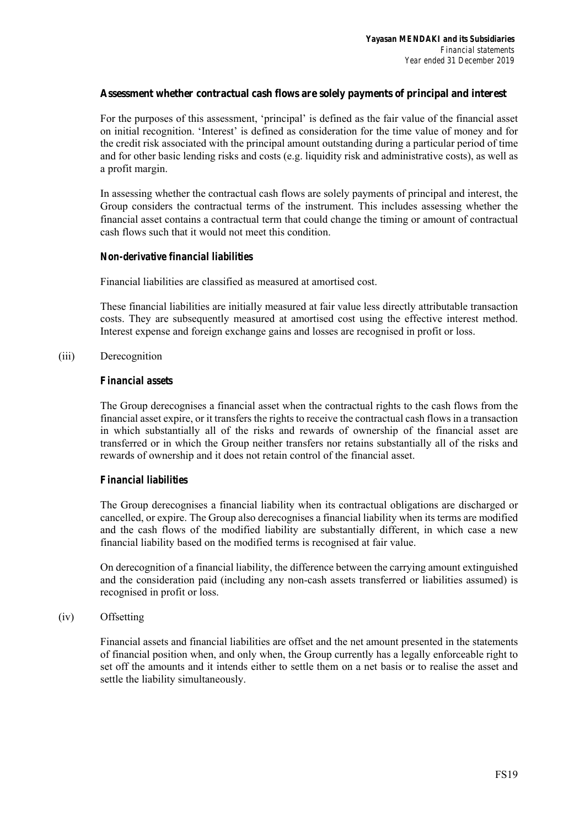## **Assessment whether contractual cash flows are solely payments of principal and interest**

For the purposes of this assessment, 'principal' is defined as the fair value of the financial asset on initial recognition. 'Interest' is defined as consideration for the time value of money and for the credit risk associated with the principal amount outstanding during a particular period of time and for other basic lending risks and costs (e.g. liquidity risk and administrative costs), as well as a profit margin.

In assessing whether the contractual cash flows are solely payments of principal and interest, the Group considers the contractual terms of the instrument. This includes assessing whether the financial asset contains a contractual term that could change the timing or amount of contractual cash flows such that it would not meet this condition.

## *Non-derivative financial liabilities*

Financial liabilities are classified as measured at amortised cost.

These financial liabilities are initially measured at fair value less directly attributable transaction costs. They are subsequently measured at amortised cost using the effective interest method. Interest expense and foreign exchange gains and losses are recognised in profit or loss.

## (iii) Derecognition

## *Financial assets*

The Group derecognises a financial asset when the contractual rights to the cash flows from the financial asset expire, or it transfers the rights to receive the contractual cash flows in a transaction in which substantially all of the risks and rewards of ownership of the financial asset are transferred or in which the Group neither transfers nor retains substantially all of the risks and rewards of ownership and it does not retain control of the financial asset.

## *Financial liabilities*

The Group derecognises a financial liability when its contractual obligations are discharged or cancelled, or expire. The Group also derecognises a financial liability when its terms are modified and the cash flows of the modified liability are substantially different, in which case a new financial liability based on the modified terms is recognised at fair value.

On derecognition of a financial liability, the difference between the carrying amount extinguished and the consideration paid (including any non-cash assets transferred or liabilities assumed) is recognised in profit or loss.

## (iv) Offsetting

Financial assets and financial liabilities are offset and the net amount presented in the statements of financial position when, and only when, the Group currently has a legally enforceable right to set off the amounts and it intends either to settle them on a net basis or to realise the asset and settle the liability simultaneously.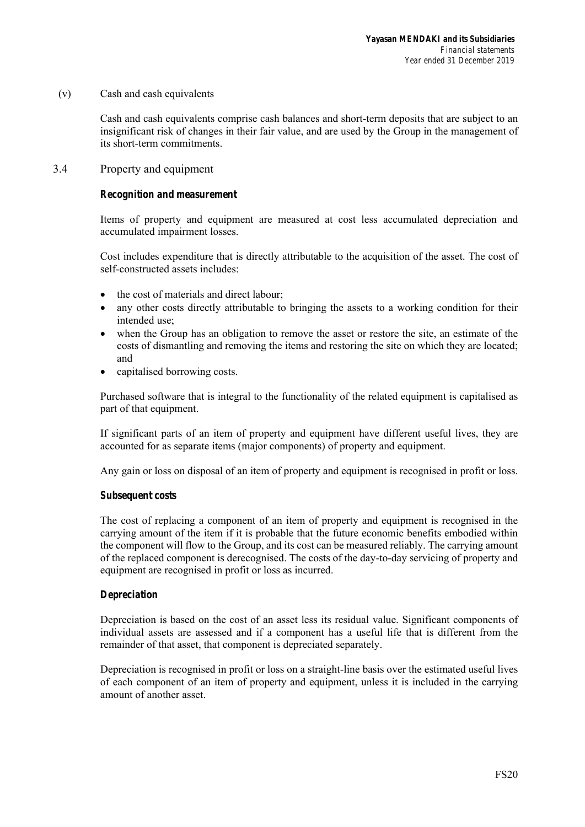(v) Cash and cash equivalents

Cash and cash equivalents comprise cash balances and short-term deposits that are subject to an insignificant risk of changes in their fair value, and are used by the Group in the management of its short-term commitments.

3.4 Property and equipment

## *Recognition and measurement*

Items of property and equipment are measured at cost less accumulated depreciation and accumulated impairment losses.

Cost includes expenditure that is directly attributable to the acquisition of the asset. The cost of self-constructed assets includes:

- the cost of materials and direct labour;
- any other costs directly attributable to bringing the assets to a working condition for their intended use;
- when the Group has an obligation to remove the asset or restore the site, an estimate of the costs of dismantling and removing the items and restoring the site on which they are located; and
- capitalised borrowing costs.

Purchased software that is integral to the functionality of the related equipment is capitalised as part of that equipment.

If significant parts of an item of property and equipment have different useful lives, they are accounted for as separate items (major components) of property and equipment.

Any gain or loss on disposal of an item of property and equipment is recognised in profit or loss.

## *Subsequent costs*

The cost of replacing a component of an item of property and equipment is recognised in the carrying amount of the item if it is probable that the future economic benefits embodied within the component will flow to the Group, and its cost can be measured reliably. The carrying amount of the replaced component is derecognised. The costs of the day-to-day servicing of property and equipment are recognised in profit or loss as incurred.

## *Depreciation*

Depreciation is based on the cost of an asset less its residual value. Significant components of individual assets are assessed and if a component has a useful life that is different from the remainder of that asset, that component is depreciated separately.

Depreciation is recognised in profit or loss on a straight-line basis over the estimated useful lives of each component of an item of property and equipment, unless it is included in the carrying amount of another asset.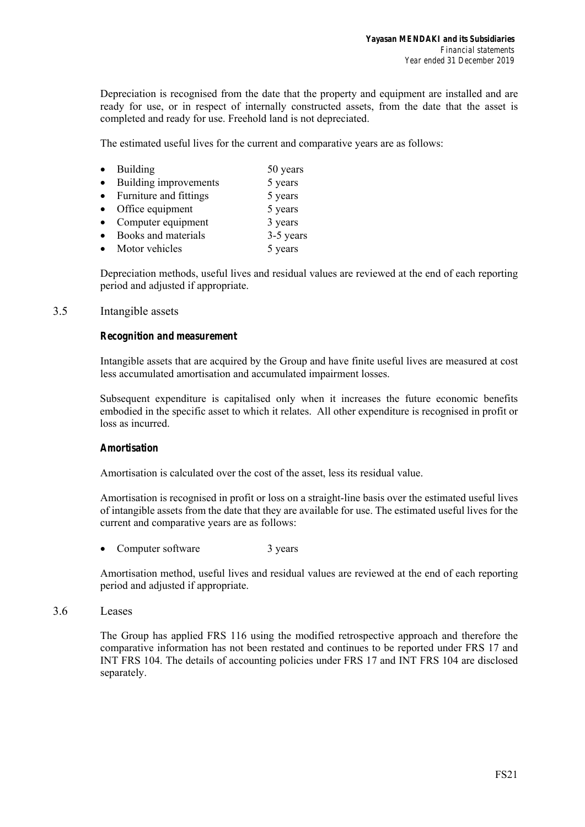Depreciation is recognised from the date that the property and equipment are installed and are ready for use, or in respect of internally constructed assets, from the date that the asset is completed and ready for use. Freehold land is not depreciated.

The estimated useful lives for the current and comparative years are as follows:

- Building 50 years
- Building improvements 5 years
- Furniture and fittings 5 years
- Office equipment 5 years
- Computer equipment  $3 \text{ years}$
- Books and materials 3-5 years
- Motor vehicles 5 years

Depreciation methods, useful lives and residual values are reviewed at the end of each reporting period and adjusted if appropriate.

## 3.5 Intangible assets

## *Recognition and measurement*

Intangible assets that are acquired by the Group and have finite useful lives are measured at cost less accumulated amortisation and accumulated impairment losses.

Subsequent expenditure is capitalised only when it increases the future economic benefits embodied in the specific asset to which it relates. All other expenditure is recognised in profit or loss as incurred.

## *Amortisation*

Amortisation is calculated over the cost of the asset, less its residual value.

Amortisation is recognised in profit or loss on a straight-line basis over the estimated useful lives of intangible assets from the date that they are available for use. The estimated useful lives for the current and comparative years are as follows:

Computer software 3 years

Amortisation method, useful lives and residual values are reviewed at the end of each reporting period and adjusted if appropriate.

3.6 Leases

The Group has applied FRS 116 using the modified retrospective approach and therefore the comparative information has not been restated and continues to be reported under FRS 17 and INT FRS 104. The details of accounting policies under FRS 17 and INT FRS 104 are disclosed separately.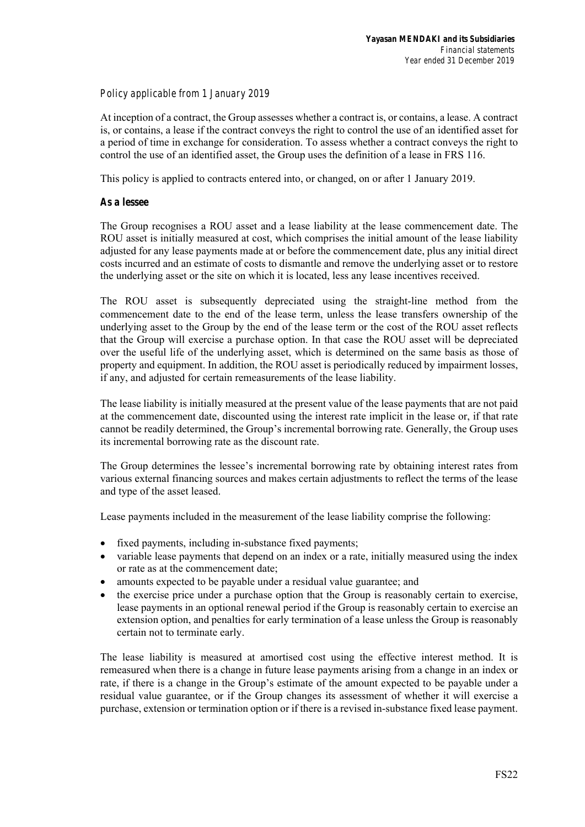## *Policy applicable from 1 January 2019*

At inception of a contract, the Group assesses whether a contract is, or contains, a lease. A contract is, or contains, a lease if the contract conveys the right to control the use of an identified asset for a period of time in exchange for consideration. To assess whether a contract conveys the right to control the use of an identified asset, the Group uses the definition of a lease in FRS 116.

This policy is applied to contracts entered into, or changed, on or after 1 January 2019.

## *As a lessee*

The Group recognises a ROU asset and a lease liability at the lease commencement date. The ROU asset is initially measured at cost, which comprises the initial amount of the lease liability adjusted for any lease payments made at or before the commencement date, plus any initial direct costs incurred and an estimate of costs to dismantle and remove the underlying asset or to restore the underlying asset or the site on which it is located, less any lease incentives received.

The ROU asset is subsequently depreciated using the straight-line method from the commencement date to the end of the lease term, unless the lease transfers ownership of the underlying asset to the Group by the end of the lease term or the cost of the ROU asset reflects that the Group will exercise a purchase option. In that case the ROU asset will be depreciated over the useful life of the underlying asset, which is determined on the same basis as those of property and equipment. In addition, the ROU asset is periodically reduced by impairment losses, if any, and adjusted for certain remeasurements of the lease liability.

The lease liability is initially measured at the present value of the lease payments that are not paid at the commencement date, discounted using the interest rate implicit in the lease or, if that rate cannot be readily determined, the Group's incremental borrowing rate. Generally, the Group uses its incremental borrowing rate as the discount rate.

The Group determines the lessee's incremental borrowing rate by obtaining interest rates from various external financing sources and makes certain adjustments to reflect the terms of the lease and type of the asset leased.

Lease payments included in the measurement of the lease liability comprise the following:

- fixed payments, including in-substance fixed payments;
- variable lease payments that depend on an index or a rate, initially measured using the index or rate as at the commencement date;
- amounts expected to be payable under a residual value guarantee; and
- the exercise price under a purchase option that the Group is reasonably certain to exercise, lease payments in an optional renewal period if the Group is reasonably certain to exercise an extension option, and penalties for early termination of a lease unless the Group is reasonably certain not to terminate early.

The lease liability is measured at amortised cost using the effective interest method. It is remeasured when there is a change in future lease payments arising from a change in an index or rate, if there is a change in the Group's estimate of the amount expected to be payable under a residual value guarantee, or if the Group changes its assessment of whether it will exercise a purchase, extension or termination option or if there is a revised in-substance fixed lease payment.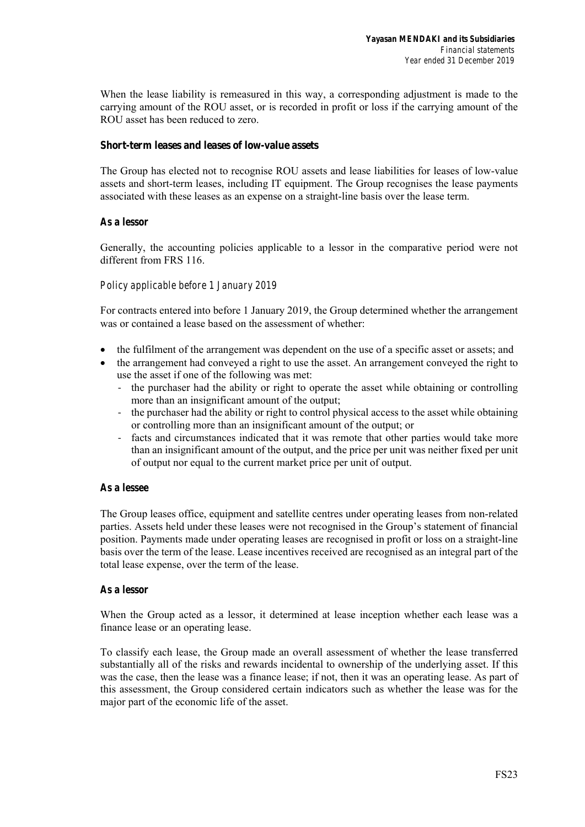When the lease liability is remeasured in this way, a corresponding adjustment is made to the carrying amount of the ROU asset, or is recorded in profit or loss if the carrying amount of the ROU asset has been reduced to zero.

### **Short-term leases and leases of low-value assets**

The Group has elected not to recognise ROU assets and lease liabilities for leases of low-value assets and short-term leases, including IT equipment. The Group recognises the lease payments associated with these leases as an expense on a straight-line basis over the lease term.

### *As a lessor*

Generally, the accounting policies applicable to a lessor in the comparative period were not different from FRS 116.

## *Policy applicable before 1 January 2019*

For contracts entered into before 1 January 2019, the Group determined whether the arrangement was or contained a lease based on the assessment of whether:

- the fulfilment of the arrangement was dependent on the use of a specific asset or assets; and
- the arrangement had conveyed a right to use the asset. An arrangement conveyed the right to use the asset if one of the following was met:
	- ‐ the purchaser had the ability or right to operate the asset while obtaining or controlling more than an insignificant amount of the output;
	- ‐ the purchaser had the ability or right to control physical access to the asset while obtaining or controlling more than an insignificant amount of the output; or
	- ‐ facts and circumstances indicated that it was remote that other parties would take more than an insignificant amount of the output, and the price per unit was neither fixed per unit of output nor equal to the current market price per unit of output.

#### *As a lessee*

The Group leases office, equipment and satellite centres under operating leases from non-related parties. Assets held under these leases were not recognised in the Group's statement of financial position. Payments made under operating leases are recognised in profit or loss on a straight-line basis over the term of the lease. Lease incentives received are recognised as an integral part of the total lease expense, over the term of the lease.

#### *As a lessor*

When the Group acted as a lessor, it determined at lease inception whether each lease was a finance lease or an operating lease.

To classify each lease, the Group made an overall assessment of whether the lease transferred substantially all of the risks and rewards incidental to ownership of the underlying asset. If this was the case, then the lease was a finance lease; if not, then it was an operating lease. As part of this assessment, the Group considered certain indicators such as whether the lease was for the major part of the economic life of the asset.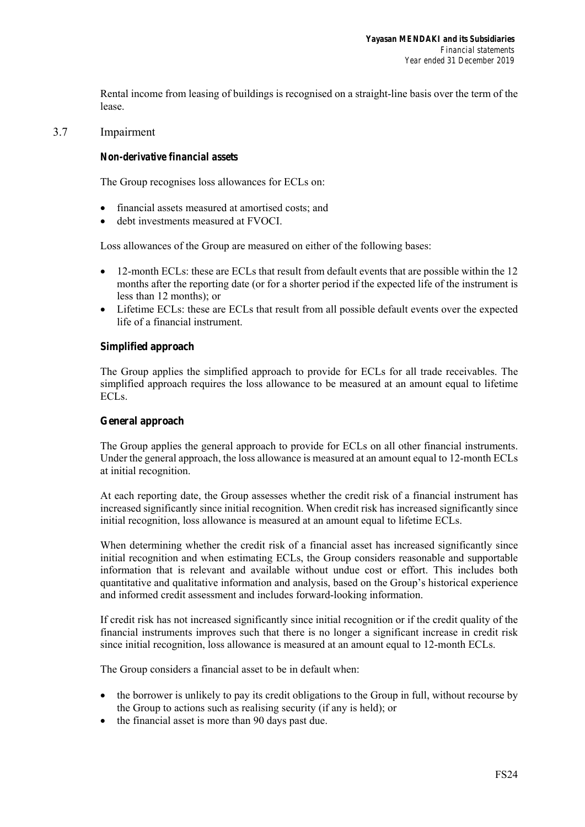Rental income from leasing of buildings is recognised on a straight-line basis over the term of the lease.

## 3.7 Impairment

### *Non-derivative financial assets*

The Group recognises loss allowances for ECLs on:

- financial assets measured at amortised costs; and
- debt investments measured at FVOCI.

Loss allowances of the Group are measured on either of the following bases:

- 12-month ECLs: these are ECLs that result from default events that are possible within the 12 months after the reporting date (or for a shorter period if the expected life of the instrument is less than 12 months); or
- Lifetime ECLs: these are ECLs that result from all possible default events over the expected life of a financial instrument.

### **Simplified approach**

The Group applies the simplified approach to provide for ECLs for all trade receivables. The simplified approach requires the loss allowance to be measured at an amount equal to lifetime ECLs.

#### **General approach**

The Group applies the general approach to provide for ECLs on all other financial instruments. Under the general approach, the loss allowance is measured at an amount equal to 12-month ECLs at initial recognition.

At each reporting date, the Group assesses whether the credit risk of a financial instrument has increased significantly since initial recognition. When credit risk has increased significantly since initial recognition, loss allowance is measured at an amount equal to lifetime ECLs.

When determining whether the credit risk of a financial asset has increased significantly since initial recognition and when estimating ECLs, the Group considers reasonable and supportable information that is relevant and available without undue cost or effort. This includes both quantitative and qualitative information and analysis, based on the Group's historical experience and informed credit assessment and includes forward-looking information.

If credit risk has not increased significantly since initial recognition or if the credit quality of the financial instruments improves such that there is no longer a significant increase in credit risk since initial recognition, loss allowance is measured at an amount equal to 12-month ECLs.

The Group considers a financial asset to be in default when:

- the borrower is unlikely to pay its credit obligations to the Group in full, without recourse by the Group to actions such as realising security (if any is held); or
- the financial asset is more than 90 days past due.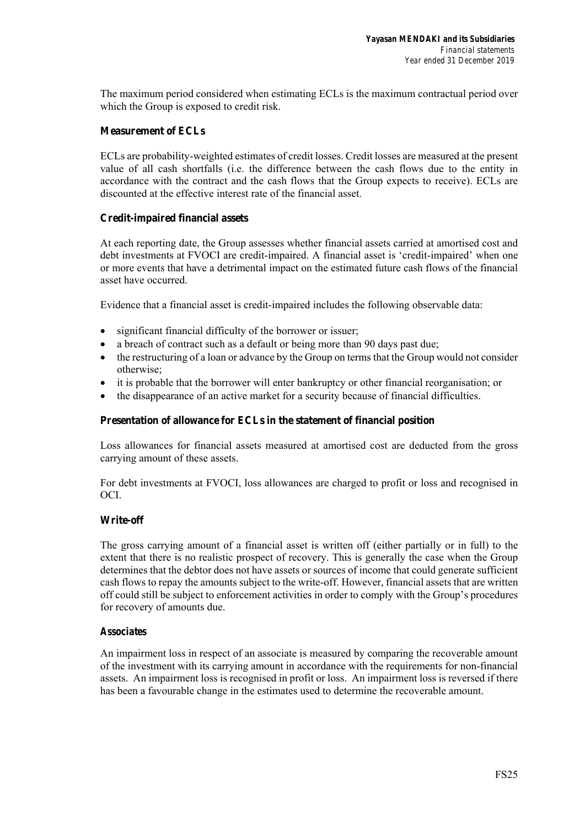The maximum period considered when estimating ECLs is the maximum contractual period over which the Group is exposed to credit risk.

## **Measurement of ECLs**

ECLs are probability-weighted estimates of credit losses. Credit losses are measured at the present value of all cash shortfalls (i.e. the difference between the cash flows due to the entity in accordance with the contract and the cash flows that the Group expects to receive). ECLs are discounted at the effective interest rate of the financial asset.

## **Credit-impaired financial assets**

At each reporting date, the Group assesses whether financial assets carried at amortised cost and debt investments at FVOCI are credit-impaired. A financial asset is 'credit-impaired' when one or more events that have a detrimental impact on the estimated future cash flows of the financial asset have occurred.

Evidence that a financial asset is credit-impaired includes the following observable data:

- significant financial difficulty of the borrower or issuer;
- a breach of contract such as a default or being more than 90 days past due;
- the restructuring of a loan or advance by the Group on terms that the Group would not consider otherwise;
- it is probable that the borrower will enter bankruptcy or other financial reorganisation; or
- the disappearance of an active market for a security because of financial difficulties.

## **Presentation of allowance for ECLs in the statement of financial position**

Loss allowances for financial assets measured at amortised cost are deducted from the gross carrying amount of these assets.

For debt investments at FVOCI, loss allowances are charged to profit or loss and recognised in OCI.

## **Write-off**

The gross carrying amount of a financial asset is written off (either partially or in full) to the extent that there is no realistic prospect of recovery. This is generally the case when the Group determines that the debtor does not have assets or sources of income that could generate sufficient cash flows to repay the amounts subject to the write-off. However, financial assets that are written off could still be subject to enforcement activities in order to comply with the Group's procedures for recovery of amounts due.

## *Associates*

An impairment loss in respect of an associate is measured by comparing the recoverable amount of the investment with its carrying amount in accordance with the requirements for non-financial assets. An impairment loss is recognised in profit or loss. An impairment loss is reversed if there has been a favourable change in the estimates used to determine the recoverable amount.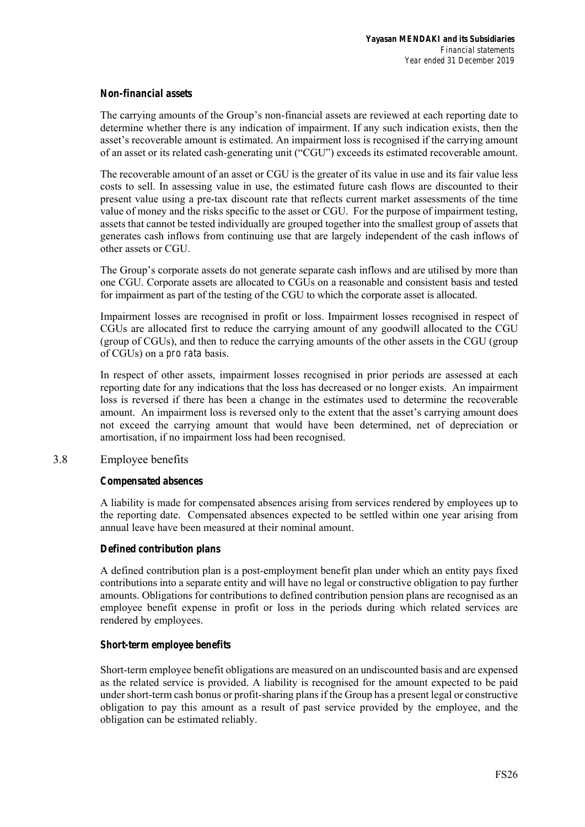## *Non-financial assets*

The carrying amounts of the Group's non-financial assets are reviewed at each reporting date to determine whether there is any indication of impairment. If any such indication exists, then the asset's recoverable amount is estimated. An impairment loss is recognised if the carrying amount of an asset or its related cash-generating unit ("CGU") exceeds its estimated recoverable amount.

The recoverable amount of an asset or CGU is the greater of its value in use and its fair value less costs to sell. In assessing value in use, the estimated future cash flows are discounted to their present value using a pre-tax discount rate that reflects current market assessments of the time value of money and the risks specific to the asset or CGU. For the purpose of impairment testing, assets that cannot be tested individually are grouped together into the smallest group of assets that generates cash inflows from continuing use that are largely independent of the cash inflows of other assets or CGU.

The Group's corporate assets do not generate separate cash inflows and are utilised by more than one CGU. Corporate assets are allocated to CGUs on a reasonable and consistent basis and tested for impairment as part of the testing of the CGU to which the corporate asset is allocated.

Impairment losses are recognised in profit or loss. Impairment losses recognised in respect of CGUs are allocated first to reduce the carrying amount of any goodwill allocated to the CGU (group of CGUs), and then to reduce the carrying amounts of the other assets in the CGU (group of CGUs) on a *pro rata* basis.

In respect of other assets, impairment losses recognised in prior periods are assessed at each reporting date for any indications that the loss has decreased or no longer exists. An impairment loss is reversed if there has been a change in the estimates used to determine the recoverable amount. An impairment loss is reversed only to the extent that the asset's carrying amount does not exceed the carrying amount that would have been determined, net of depreciation or amortisation, if no impairment loss had been recognised.

## 3.8 Employee benefits

## *Compensated absences*

A liability is made for compensated absences arising from services rendered by employees up to the reporting date. Compensated absences expected to be settled within one year arising from annual leave have been measured at their nominal amount.

## *Defined contribution plans*

A defined contribution plan is a post-employment benefit plan under which an entity pays fixed contributions into a separate entity and will have no legal or constructive obligation to pay further amounts. Obligations for contributions to defined contribution pension plans are recognised as an employee benefit expense in profit or loss in the periods during which related services are rendered by employees.

## *Short-term employee benefits*

Short-term employee benefit obligations are measured on an undiscounted basis and are expensed as the related service is provided. A liability is recognised for the amount expected to be paid under short-term cash bonus or profit-sharing plans if the Group has a present legal or constructive obligation to pay this amount as a result of past service provided by the employee, and the obligation can be estimated reliably.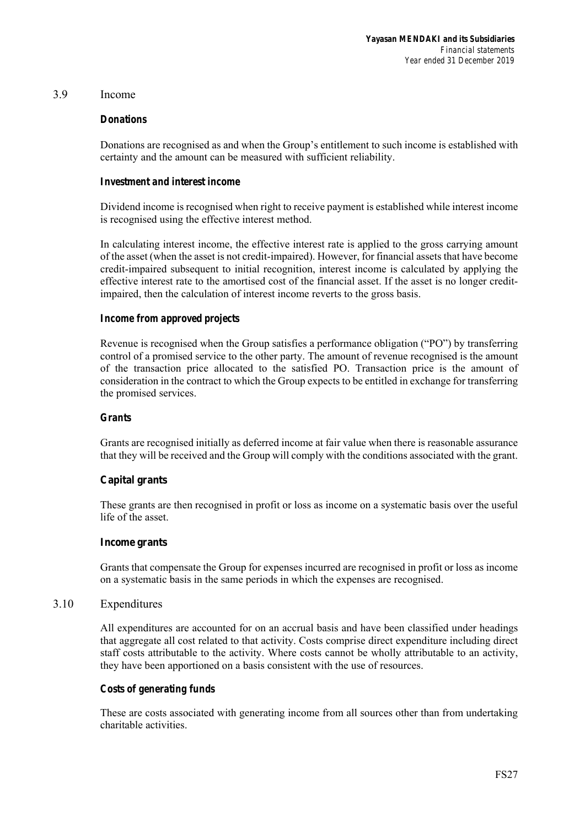## 3.9 Income

### *Donations*

Donations are recognised as and when the Group's entitlement to such income is established with certainty and the amount can be measured with sufficient reliability.

### *Investment and interest income*

Dividend income is recognised when right to receive payment is established while interest income is recognised using the effective interest method.

In calculating interest income, the effective interest rate is applied to the gross carrying amount of the asset (when the asset is not credit-impaired). However, for financial assets that have become credit-impaired subsequent to initial recognition, interest income is calculated by applying the effective interest rate to the amortised cost of the financial asset. If the asset is no longer creditimpaired, then the calculation of interest income reverts to the gross basis.

### *Income from approved projects*

Revenue is recognised when the Group satisfies a performance obligation ("PO") by transferring control of a promised service to the other party. The amount of revenue recognised is the amount of the transaction price allocated to the satisfied PO. Transaction price is the amount of consideration in the contract to which the Group expects to be entitled in exchange for transferring the promised services.

#### *Grants*

Grants are recognised initially as deferred income at fair value when there is reasonable assurance that they will be received and the Group will comply with the conditions associated with the grant.

## **Capital grants**

These grants are then recognised in profit or loss as income on a systematic basis over the useful life of the asset.

#### **Income grants**

Grants that compensate the Group for expenses incurred are recognised in profit or loss as income on a systematic basis in the same periods in which the expenses are recognised.

#### 3.10 Expenditures

All expenditures are accounted for on an accrual basis and have been classified under headings that aggregate all cost related to that activity. Costs comprise direct expenditure including direct staff costs attributable to the activity. Where costs cannot be wholly attributable to an activity, they have been apportioned on a basis consistent with the use of resources.

#### *Costs of generating funds*

These are costs associated with generating income from all sources other than from undertaking charitable activities.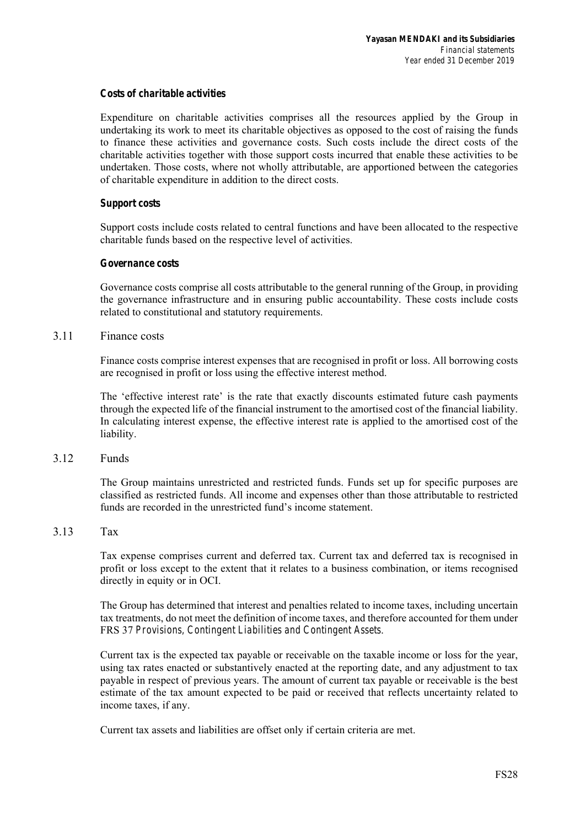## *Costs of charitable activities*

Expenditure on charitable activities comprises all the resources applied by the Group in undertaking its work to meet its charitable objectives as opposed to the cost of raising the funds to finance these activities and governance costs. Such costs include the direct costs of the charitable activities together with those support costs incurred that enable these activities to be undertaken. Those costs, where not wholly attributable, are apportioned between the categories of charitable expenditure in addition to the direct costs.

## *Support costs*

Support costs include costs related to central functions and have been allocated to the respective charitable funds based on the respective level of activities.

## *Governance costs*

Governance costs comprise all costs attributable to the general running of the Group, in providing the governance infrastructure and in ensuring public accountability. These costs include costs related to constitutional and statutory requirements.

## 3.11 Finance costs

Finance costs comprise interest expenses that are recognised in profit or loss. All borrowing costs are recognised in profit or loss using the effective interest method.

The 'effective interest rate' is the rate that exactly discounts estimated future cash payments through the expected life of the financial instrument to the amortised cost of the financial liability. In calculating interest expense, the effective interest rate is applied to the amortised cost of the liability.

## 3.12 Funds

The Group maintains unrestricted and restricted funds. Funds set up for specific purposes are classified as restricted funds. All income and expenses other than those attributable to restricted funds are recorded in the unrestricted fund's income statement.

## 3.13 Tax

Tax expense comprises current and deferred tax. Current tax and deferred tax is recognised in profit or loss except to the extent that it relates to a business combination, or items recognised directly in equity or in OCI.

The Group has determined that interest and penalties related to income taxes, including uncertain tax treatments, do not meet the definition of income taxes, and therefore accounted for them under FRS 37 *Provisions, Contingent Liabilities and Contingent Assets*.

Current tax is the expected tax payable or receivable on the taxable income or loss for the year, using tax rates enacted or substantively enacted at the reporting date, and any adjustment to tax payable in respect of previous years. The amount of current tax payable or receivable is the best estimate of the tax amount expected to be paid or received that reflects uncertainty related to income taxes, if any.

Current tax assets and liabilities are offset only if certain criteria are met.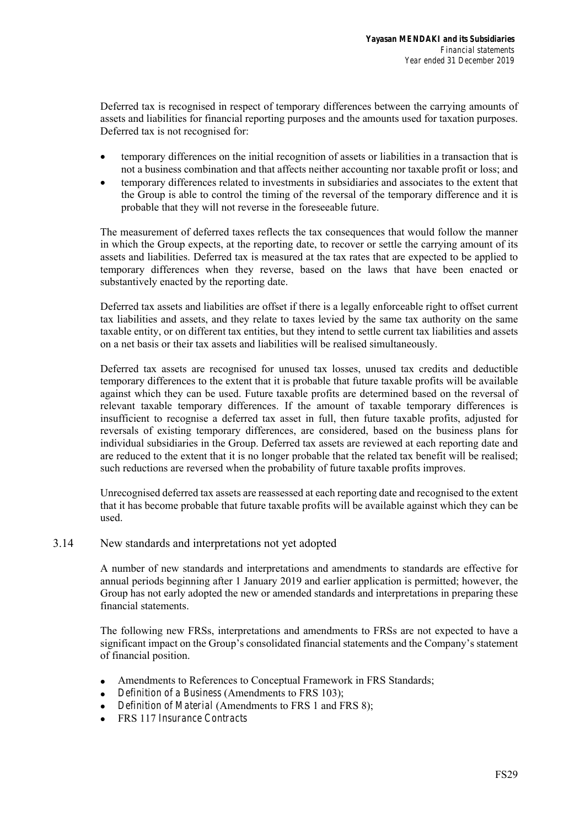Deferred tax is recognised in respect of temporary differences between the carrying amounts of assets and liabilities for financial reporting purposes and the amounts used for taxation purposes. Deferred tax is not recognised for:

- temporary differences on the initial recognition of assets or liabilities in a transaction that is not a business combination and that affects neither accounting nor taxable profit or loss; and
- temporary differences related to investments in subsidiaries and associates to the extent that the Group is able to control the timing of the reversal of the temporary difference and it is probable that they will not reverse in the foreseeable future.

The measurement of deferred taxes reflects the tax consequences that would follow the manner in which the Group expects, at the reporting date, to recover or settle the carrying amount of its assets and liabilities. Deferred tax is measured at the tax rates that are expected to be applied to temporary differences when they reverse, based on the laws that have been enacted or substantively enacted by the reporting date.

Deferred tax assets and liabilities are offset if there is a legally enforceable right to offset current tax liabilities and assets, and they relate to taxes levied by the same tax authority on the same taxable entity, or on different tax entities, but they intend to settle current tax liabilities and assets on a net basis or their tax assets and liabilities will be realised simultaneously.

Deferred tax assets are recognised for unused tax losses, unused tax credits and deductible temporary differences to the extent that it is probable that future taxable profits will be available against which they can be used. Future taxable profits are determined based on the reversal of relevant taxable temporary differences. If the amount of taxable temporary differences is insufficient to recognise a deferred tax asset in full, then future taxable profits, adjusted for reversals of existing temporary differences, are considered, based on the business plans for individual subsidiaries in the Group. Deferred tax assets are reviewed at each reporting date and are reduced to the extent that it is no longer probable that the related tax benefit will be realised; such reductions are reversed when the probability of future taxable profits improves.

Unrecognised deferred tax assets are reassessed at each reporting date and recognised to the extent that it has become probable that future taxable profits will be available against which they can be used.

## 3.14 New standards and interpretations not yet adopted

A number of new standards and interpretations and amendments to standards are effective for annual periods beginning after 1 January 2019 and earlier application is permitted; however, the Group has not early adopted the new or amended standards and interpretations in preparing these financial statements.

The following new FRSs, interpretations and amendments to FRSs are not expected to have a significant impact on the Group's consolidated financial statements and the Company's statement of financial position.

- Amendments to References to Conceptual Framework in FRS Standards;
- *Definition of a Business* (Amendments to FRS 103);
- *Definition of Material* (Amendments to FRS 1 and FRS 8);
- FRS 117 *Insurance Contracts*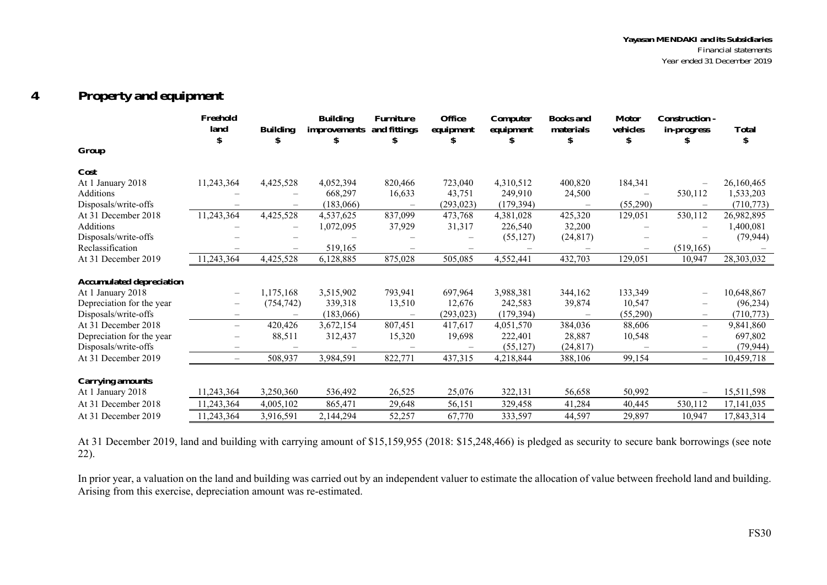#### **4Property and equipment**

|                                 | Freehold<br>land         | <b>Building</b><br>\$ | <b>Building</b><br><i>improvements</i> | <b>Furniture</b><br>and fittings | <b>Office</b><br>equipment | Computer<br>equipment | <b>Books</b> and<br>materials | <b>Motor</b><br>vehicles | <b>Construction -</b><br>in-progress | <b>Total</b> |
|---------------------------------|--------------------------|-----------------------|----------------------------------------|----------------------------------|----------------------------|-----------------------|-------------------------------|--------------------------|--------------------------------------|--------------|
| Group                           |                          |                       |                                        |                                  |                            |                       |                               |                          |                                      |              |
| Cost                            |                          |                       |                                        |                                  |                            |                       |                               |                          |                                      |              |
| At 1 January 2018               | 11,243,364               | 4,425,528             | 4,052,394                              | 820,466                          | 723,040                    | 4,310,512             | 400,820                       | 184,341                  |                                      | 26,160,465   |
| Additions                       |                          |                       | 668,297                                | 16,633                           | 43,751                     | 249,910               | 24,500                        |                          | 530,112                              | 1,533,203    |
| Disposals/write-offs            |                          |                       | (183,066)                              |                                  | (293, 023)                 | (179, 394)            |                               | (55,290)                 |                                      | (710, 773)   |
| At 31 December 2018             | 11,243,364               | 4,425,528             | 4,537,625                              | 837,099                          | 473,768                    | 4,381,028             | 425,320                       | 129,051                  | 530,112                              | 26,982,895   |
| Additions                       |                          |                       | 1,072,095                              | 37,929                           | 31,317                     | 226,540               | 32,200                        |                          |                                      | 1,400,081    |
| Disposals/write-offs            |                          |                       |                                        |                                  |                            | (55, 127)             | (24, 817)                     |                          |                                      | (79, 944)    |
| Reclassification                |                          |                       | 519,165                                |                                  |                            |                       |                               |                          | (519, 165)                           |              |
| At 31 December 2019             | 11,243,364               | 4,425,528             | 6,128,885                              | 875,028                          | 505,085                    | 4,552,441             | 432,703                       | 129,051                  | 10,947                               | 28,303,032   |
|                                 |                          |                       |                                        |                                  |                            |                       |                               |                          |                                      |              |
| <b>Accumulated depreciation</b> |                          |                       |                                        |                                  |                            |                       |                               |                          |                                      |              |
| At 1 January 2018               | $\overline{\phantom{0}}$ | 1,175,168             | 3,515,902                              | 793,941                          | 697,964                    | 3,988,381             | 344,162                       | 133,349                  | $\overline{\phantom{0}}$             | 10,648,867   |
| Depreciation for the year       |                          | (754, 742)            | 339,318                                | 13,510                           | 12,676                     | 242,583               | 39,874                        | 10,547                   | $\overline{\phantom{m}}$             | (96, 234)    |
| Disposals/write-offs            |                          |                       | (183,066)                              |                                  | (293, 023)                 | (179, 394)            |                               | (55,290)                 | $\overline{\phantom{0}}$             | (710, 773)   |
| At 31 December 2018             | $\overline{\phantom{0}}$ | 420,426               | 3,672,154                              | 807,451                          | 417,617                    | 4,051,570             | 384,036                       | 88,606                   | $\overline{\phantom{0}}$             | 9,841,860    |
| Depreciation for the year       |                          | 88,511                | 312,437                                | 15,320                           | 19,698                     | 222,401               | 28,887                        | 10,548                   | $\overline{\phantom{0}}$             | 697,802      |
| Disposals/write-offs            |                          |                       |                                        |                                  |                            | (55, 127)             | (24, 817)                     |                          |                                      | (79, 944)    |
| At 31 December 2019             |                          | 508,937               | 3,984,591                              | 822,771                          | 437,315                    | 4,218,844             | 388,106                       | 99,154                   | $\overline{\phantom{0}}$             | 10,459,718   |
| <b>Carrying amounts</b>         |                          |                       |                                        |                                  |                            |                       |                               |                          |                                      |              |
| At 1 January 2018               | 11,243,364               | 3,250,360             | 536,492                                | 26,525                           | 25,076                     | 322,131               | 56,658                        | 50,992                   |                                      | 15,511,598   |
| At 31 December 2018             | 11,243,364               | 4,005,102             | 865,471                                | 29,648                           | 56,151                     | 329,458               | 41,284                        | 40,445                   | 530,112                              | 17,141,035   |
| At 31 December 2019             | 11,243,364               | 3,916,591             | 2,144,294                              | 52,257                           | 67,770                     | 333,597               | 44,597                        | 29,897                   | 10,947                               | 17,843,314   |

At 31 December 2019, land and building with carrying amount of \$15,159,955 (2018: \$15,248,466) is pledged as security to secure bank borrowings (see note 22).

In prior year, a valuation on the land and building was carried out by an independent valuer to estimate the allocation of value between freehold land and building. Arising from this exercise, depreciation amount was re-estimated.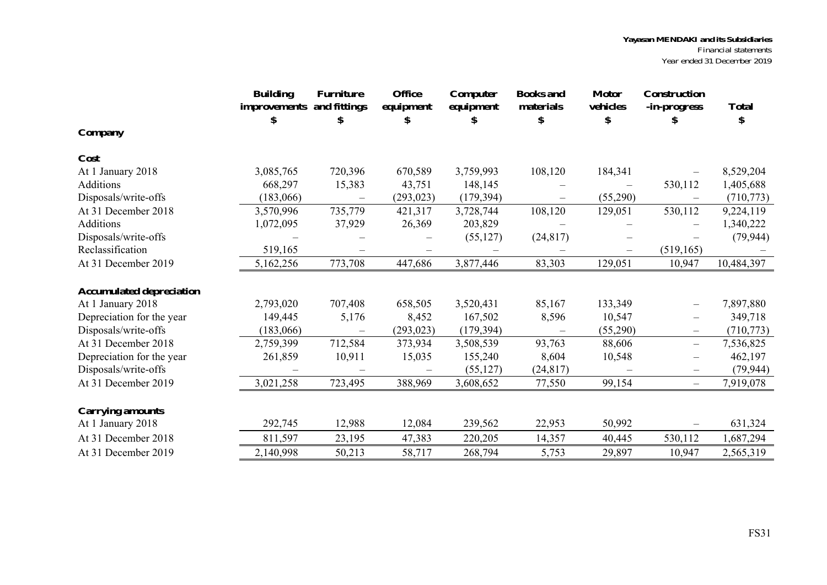|                                 | <b>Building</b><br>improvements<br>S | <b>Furniture</b><br>and fittings<br>\$ | <b>Office</b><br>equipment<br>S | Computer<br>equipment | <b>Books</b> and<br>materials<br>\$ | <b>Motor</b><br>vehicles<br>\$ | <b>Construction</b><br>-in-progress<br>ж | <b>Total</b><br>\$ |
|---------------------------------|--------------------------------------|----------------------------------------|---------------------------------|-----------------------|-------------------------------------|--------------------------------|------------------------------------------|--------------------|
| Company                         |                                      |                                        |                                 |                       |                                     |                                |                                          |                    |
| Cost                            |                                      |                                        |                                 |                       |                                     |                                |                                          |                    |
| At 1 January 2018               | 3,085,765                            | 720,396                                | 670,589                         | 3,759,993             | 108,120                             | 184,341                        |                                          | 8,529,204          |
| Additions                       | 668,297                              | 15,383                                 | 43,751                          | 148,145               |                                     |                                | 530,112                                  | 1,405,688          |
| Disposals/write-offs            | (183,066)                            |                                        | (293, 023)                      | (179, 394)            | $\overline{\phantom{0}}$            | (55,290)                       |                                          | (710, 773)         |
| At 31 December 2018             | 3,570,996                            | 735,779                                | 421,317                         | 3,728,744             | 108,120                             | 129,051                        | 530,112                                  | 9,224,119          |
| Additions                       | 1,072,095                            | 37,929                                 | 26,369                          | 203,829               |                                     |                                |                                          | 1,340,222          |
| Disposals/write-offs            |                                      |                                        |                                 | (55, 127)             | (24, 817)                           |                                |                                          | (79, 944)          |
| Reclassification                | 519,165                              |                                        |                                 |                       |                                     |                                | (519, 165)                               |                    |
| At 31 December 2019             | 5,162,256                            | 773,708                                | 447,686                         | 3,877,446             | 83,303                              | 129,051                        | 10,947                                   | 10,484,397         |
| <b>Accumulated depreciation</b> |                                      |                                        |                                 |                       |                                     |                                |                                          |                    |
| At 1 January 2018               | 2,793,020                            | 707,408                                | 658,505                         | 3,520,431             | 85,167                              | 133,349                        | $\overline{\phantom{0}}$                 | 7,897,880          |
| Depreciation for the year       | 149,445                              | 5,176                                  | 8,452                           | 167,502               | 8,596                               | 10,547                         | $\qquad \qquad -$                        | 349,718            |
| Disposals/write-offs            | (183,066)                            |                                        | (293, 023)                      | (179, 394)            |                                     | (55,290)                       | $\qquad \qquad -$                        | (710, 773)         |
| At 31 December 2018             | 2,759,399                            | 712,584                                | 373,934                         | 3,508,539             | 93,763                              | 88,606                         | $\overline{\phantom{0}}$                 | 7,536,825          |
| Depreciation for the year       | 261,859                              | 10,911                                 | 15,035                          | 155,240               | 8,604                               | 10,548                         | $\qquad \qquad -$                        | 462,197            |
| Disposals/write-offs            |                                      |                                        |                                 | (55, 127)             | (24, 817)                           |                                | $\overline{\phantom{m}}$                 | (79, 944)          |
| At 31 December 2019             | 3,021,258                            | 723,495                                | 388,969                         | 3,608,652             | 77,550                              | 99,154                         | $\overline{\phantom{0}}$                 | 7,919,078          |
| <b>Carrying amounts</b>         |                                      |                                        |                                 |                       |                                     |                                |                                          |                    |
| At 1 January 2018               | 292,745                              | 12,988                                 | 12,084                          | 239,562               | 22,953                              | 50,992                         | $\overbrace{\phantom{1232211}}$          | 631,324            |
| At 31 December 2018             | 811,597                              | 23,195                                 | 47,383                          | 220,205               | 14,357                              | 40,445                         | 530,112                                  | 1,687,294          |
| At 31 December 2019             | 2,140,998                            | 50,213                                 | 58,717                          | 268,794               | 5,753                               | 29,897                         | 10,947                                   | 2,565,319          |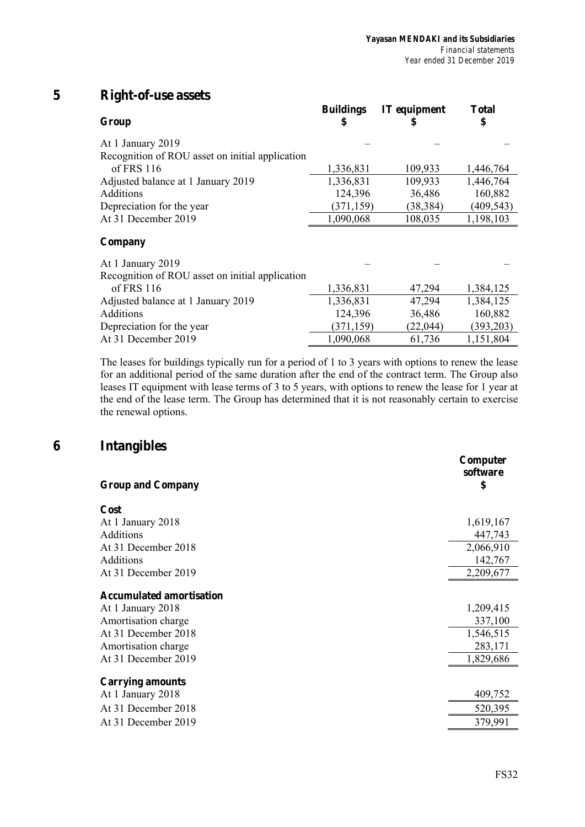# **5 Right-of-use assets**

| Group                                           | <b>Buildings</b><br>5 | <b>IT</b> equipment | <b>Total</b><br>\$ |
|-------------------------------------------------|-----------------------|---------------------|--------------------|
| At 1 January 2019                               |                       |                     |                    |
| Recognition of ROU asset on initial application |                       |                     |                    |
| of FRS $116$                                    | 1,336,831             | 109,933             | 1,446,764          |
| Adjusted balance at 1 January 2019              | 1,336,831             | 109,933             | 1,446,764          |
| Additions                                       | 124,396               | 36,486              | 160,882            |
| Depreciation for the year                       | (371, 159)            | (38, 384)           | (409, 543)         |
| At 31 December 2019                             | 1,090,068             | 108,035             | 1,198,103          |
| Company                                         |                       |                     |                    |
| At 1 January 2019                               |                       |                     |                    |
| Recognition of ROU asset on initial application |                       |                     |                    |
| of FRS $116$                                    | 1,336,831             | 47,294              | 1,384,125          |
| Adjusted balance at 1 January 2019              | 1,336,831             | 47,294              | 1,384,125          |
| Additions                                       | 124,396               | 36,486              | 160,882            |
| Depreciation for the year                       | (371, 159)            | (22, 044)           | (393, 203)         |
| At 31 December 2019                             | 1,090,068             | 61,736              | 1,151,804          |

The leases for buildings typically run for a period of 1 to 3 years with options to renew the lease for an additional period of the same duration after the end of the contract term. The Group also leases IT equipment with lease terms of 3 to 5 years, with options to renew the lease for 1 year at the end of the lease term. The Group has determined that it is not reasonably certain to exercise the renewal options.

## **6 Intangibles**

| Cost<br>At 1 January 2018<br>1,619,167<br>Additions<br>447,743<br>At 31 December 2018<br>2,066,910<br>Additions<br>142,767<br>At 31 December 2019<br>2,209,677<br><b>Accumulated amortisation</b><br>1,209,415<br>At 1 January 2018<br>Amortisation charge<br>337,100<br>At 31 December 2018<br>1,546,515<br>Amortisation charge<br>283,171<br>At 31 December 2019<br>1,829,686<br><b>Carrying amounts</b><br>409,752<br>At 1 January 2018<br>At 31 December 2018<br>520,395<br>At 31 December 2019<br>379,991 | <b>Group and Company</b> | Computer<br>software<br>\$ |
|----------------------------------------------------------------------------------------------------------------------------------------------------------------------------------------------------------------------------------------------------------------------------------------------------------------------------------------------------------------------------------------------------------------------------------------------------------------------------------------------------------------|--------------------------|----------------------------|
|                                                                                                                                                                                                                                                                                                                                                                                                                                                                                                                |                          |                            |
|                                                                                                                                                                                                                                                                                                                                                                                                                                                                                                                |                          |                            |
|                                                                                                                                                                                                                                                                                                                                                                                                                                                                                                                |                          |                            |
|                                                                                                                                                                                                                                                                                                                                                                                                                                                                                                                |                          |                            |
|                                                                                                                                                                                                                                                                                                                                                                                                                                                                                                                |                          |                            |
|                                                                                                                                                                                                                                                                                                                                                                                                                                                                                                                |                          |                            |
|                                                                                                                                                                                                                                                                                                                                                                                                                                                                                                                |                          |                            |
|                                                                                                                                                                                                                                                                                                                                                                                                                                                                                                                |                          |                            |
|                                                                                                                                                                                                                                                                                                                                                                                                                                                                                                                |                          |                            |
|                                                                                                                                                                                                                                                                                                                                                                                                                                                                                                                |                          |                            |
|                                                                                                                                                                                                                                                                                                                                                                                                                                                                                                                |                          |                            |
|                                                                                                                                                                                                                                                                                                                                                                                                                                                                                                                |                          |                            |
|                                                                                                                                                                                                                                                                                                                                                                                                                                                                                                                |                          |                            |
|                                                                                                                                                                                                                                                                                                                                                                                                                                                                                                                |                          |                            |
|                                                                                                                                                                                                                                                                                                                                                                                                                                                                                                                |                          |                            |
|                                                                                                                                                                                                                                                                                                                                                                                                                                                                                                                |                          |                            |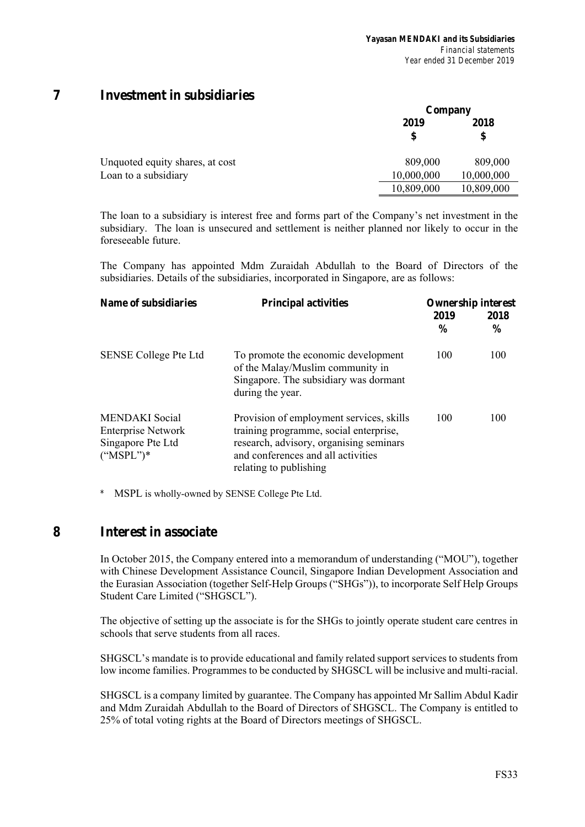## **7 Investment in subsidiaries**

|                                 |            | Company    |  |  |
|---------------------------------|------------|------------|--|--|
|                                 | 2019<br>\$ | 2018<br>\$ |  |  |
| Unquoted equity shares, at cost | 809,000    | 809,000    |  |  |
| Loan to a subsidiary            | 10,000,000 | 10,000,000 |  |  |
|                                 | 10,809,000 | 10,809,000 |  |  |

The loan to a subsidiary is interest free and forms part of the Company's net investment in the subsidiary. The loan is unsecured and settlement is neither planned nor likely to occur in the foreseeable future.

The Company has appointed Mdm Zuraidah Abdullah to the Board of Directors of the subsidiaries. Details of the subsidiaries, incorporated in Singapore, are as follows:

| Name of subsidiaries                                                                    | <b>Principal activities</b>                                                                                                                                                                   | <b>Ownership interest</b> |                       |  |
|-----------------------------------------------------------------------------------------|-----------------------------------------------------------------------------------------------------------------------------------------------------------------------------------------------|---------------------------|-----------------------|--|
|                                                                                         |                                                                                                                                                                                               | 2019<br>$\frac{6}{9}$     | 2018<br>$\frac{6}{9}$ |  |
| <b>SENSE College Pte Ltd</b>                                                            | To promote the economic development<br>of the Malay/Muslim community in<br>Singapore. The subsidiary was dormant<br>during the year.                                                          | 100                       | 100                   |  |
| <b>MENDAKI</b> Social<br><b>Enterprise Network</b><br>Singapore Pte Ltd<br>$("MSPL")^*$ | Provision of employment services, skills<br>training programme, social enterprise,<br>research, advisory, organising seminars<br>and conferences and all activities<br>relating to publishing | 100                       | 100                   |  |

*\** MSPL is wholly-owned by SENSE College Pte Ltd.

## **8 Interest in associate**

In October 2015, the Company entered into a memorandum of understanding ("MOU"), together with Chinese Development Assistance Council, Singapore Indian Development Association and the Eurasian Association (together Self-Help Groups ("SHGs")), to incorporate Self Help Groups Student Care Limited ("SHGSCL").

The objective of setting up the associate is for the SHGs to jointly operate student care centres in schools that serve students from all races.

SHGSCL's mandate is to provide educational and family related support services to students from low income families. Programmes to be conducted by SHGSCL will be inclusive and multi-racial.

SHGSCL is a company limited by guarantee. The Company has appointed Mr Sallim Abdul Kadir and Mdm Zuraidah Abdullah to the Board of Directors of SHGSCL. The Company is entitled to 25% of total voting rights at the Board of Directors meetings of SHGSCL.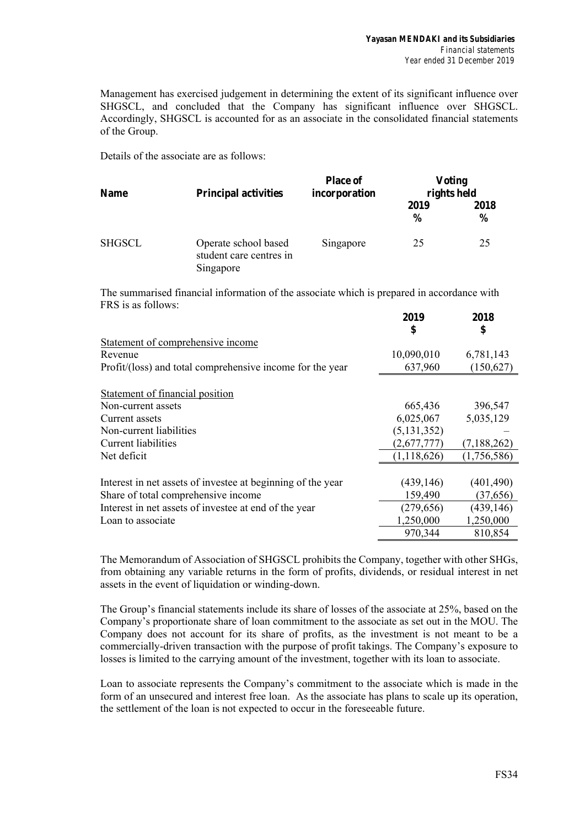Management has exercised judgement in determining the extent of its significant influence over SHGSCL, and concluded that the Company has significant influence over SHGSCL. Accordingly, SHGSCL is accounted for as an associate in the consolidated financial statements of the Group.

Details of the associate are as follows:

| <b>Name</b>   | <b>Principal activities</b>                                  | <b>Place of</b><br>incorporation | <b>Voting</b><br>rights held |                       |  |
|---------------|--------------------------------------------------------------|----------------------------------|------------------------------|-----------------------|--|
|               |                                                              |                                  | 2019<br>$\frac{6}{9}$        | 2018<br>$\frac{6}{9}$ |  |
| <b>SHGSCL</b> | Operate school based<br>student care centres in<br>Singapore | Singapore                        | 25                           | 25                    |  |

The summarised financial information of the associate which is prepared in accordance with FRS is as follows:

|                                                             | 2019          | 2018          |
|-------------------------------------------------------------|---------------|---------------|
|                                                             | \$            | \$            |
| Statement of comprehensive income                           |               |               |
| Revenue                                                     | 10,090,010    | 6,781,143     |
| Profit/(loss) and total comprehensive income for the year   | 637,960       | (150, 627)    |
| Statement of financial position                             |               |               |
| Non-current assets                                          | 665,436       | 396,547       |
| Current assets                                              | 6,025,067     | 5,035,129     |
| Non-current liabilities                                     | (5, 131, 352) |               |
| Current liabilities                                         | (2,677,777)   | (7, 188, 262) |
| Net deficit                                                 | (1, 118, 626) | (1,756,586)   |
|                                                             |               |               |
| Interest in net assets of investee at beginning of the year | (439, 146)    | (401, 490)    |
| Share of total comprehensive income                         | 159,490       | (37, 656)     |
| Interest in net assets of investee at end of the year       | (279, 656)    | (439, 146)    |
| Loan to associate                                           | 1,250,000     | 1,250,000     |
|                                                             | 970,344       | 810,854       |

The Memorandum of Association of SHGSCL prohibits the Company, together with other SHGs, from obtaining any variable returns in the form of profits, dividends, or residual interest in net assets in the event of liquidation or winding-down.

The Group's financial statements include its share of losses of the associate at 25%, based on the Company's proportionate share of loan commitment to the associate as set out in the MOU. The Company does not account for its share of profits, as the investment is not meant to be a commercially-driven transaction with the purpose of profit takings. The Company's exposure to losses is limited to the carrying amount of the investment, together with its loan to associate.

Loan to associate represents the Company's commitment to the associate which is made in the form of an unsecured and interest free loan. As the associate has plans to scale up its operation, the settlement of the loan is not expected to occur in the foreseeable future.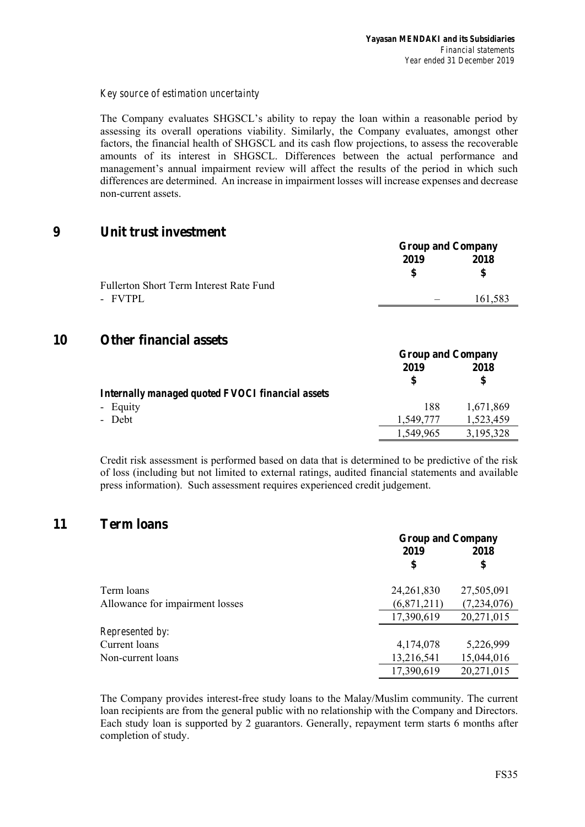## *Key source of estimation uncertainty*

The Company evaluates SHGSCL's ability to repay the loan within a reasonable period by assessing its overall operations viability. Similarly, the Company evaluates, amongst other factors, the financial health of SHGSCL and its cash flow projections, to assess the recoverable amounts of its interest in SHGSCL. Differences between the actual performance and management's annual impairment review will affect the results of the period in which such differences are determined. An increase in impairment losses will increase expenses and decrease non-current assets.

## **9 Unit trust investment**

|                                         | <b>Group and Company</b> |           |
|-----------------------------------------|--------------------------|-----------|
|                                         | 2019<br>\$               | 2018<br>S |
| Fullerton Short Term Interest Rate Fund |                          |           |
| - FVTPL                                 |                          | 161,583   |
|                                         |                          |           |

## **10 Other financial assets**

|                                                  | <b>Group and Company</b> |           |  |
|--------------------------------------------------|--------------------------|-----------|--|
|                                                  | 2019                     | 2018      |  |
|                                                  | \$.                      | \$        |  |
| Internally managed quoted FVOCI financial assets |                          |           |  |
| - Equity                                         | 188                      | 1,671,869 |  |
| - Debt                                           | 1.549.777                | 1,523,459 |  |
|                                                  | 1,549,965                | 3,195,328 |  |

Credit risk assessment is performed based on data that is determined to be predictive of the risk of loss (including but not limited to external ratings, audited financial statements and available press information). Such assessment requires experienced credit judgement.

## **11 Term loans**

|                                 | <b>Group and Company</b> |             |  |
|---------------------------------|--------------------------|-------------|--|
|                                 | 2019                     | 2018        |  |
|                                 | \$                       | \$          |  |
| Term loans                      | 24, 261, 830             | 27,505,091  |  |
| Allowance for impairment losses | (6,871,211)              | (7,234,076) |  |
|                                 | 17,390,619               | 20,271,015  |  |
| <i>Represented by:</i>          |                          |             |  |
| Current loans                   | 4,174,078                | 5,226,999   |  |
| Non-current loans               | 13,216,541               | 15,044,016  |  |
|                                 | 17,390,619               | 20,271,015  |  |

The Company provides interest-free study loans to the Malay/Muslim community. The current loan recipients are from the general public with no relationship with the Company and Directors. Each study loan is supported by 2 guarantors. Generally, repayment term starts 6 months after completion of study.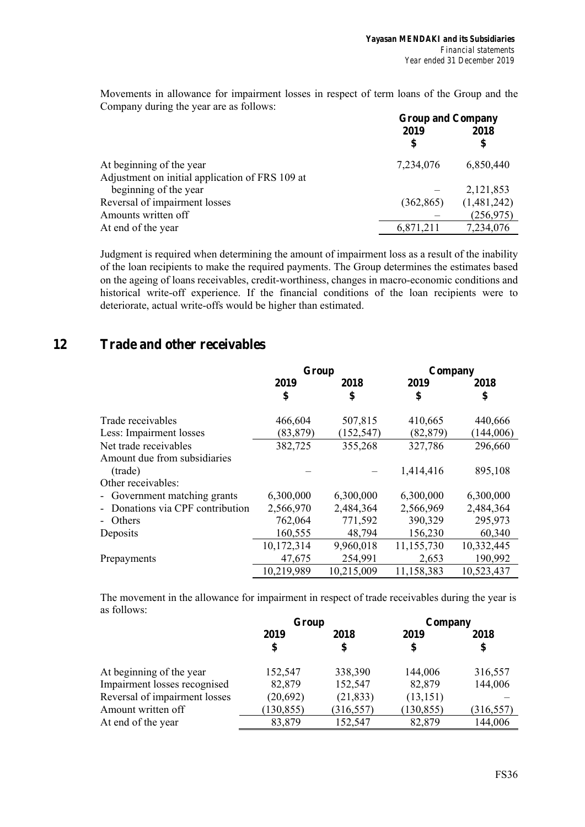Movements in allowance for impairment losses in respect of term loans of the Group and the Company during the year are as follows:

|                                                 | <b>Group and Company</b> |             |  |
|-------------------------------------------------|--------------------------|-------------|--|
|                                                 | 2019                     | 2018        |  |
|                                                 | \$                       | \$          |  |
| At beginning of the year                        | 7,234,076                | 6,850,440   |  |
| Adjustment on initial application of FRS 109 at |                          |             |  |
| beginning of the year                           |                          | 2,121,853   |  |
| Reversal of impairment losses                   | (362, 865)               | (1,481,242) |  |
| Amounts written off                             |                          | (256, 975)  |  |
| At end of the year                              | 6,871,211                | 7,234,076   |  |

Judgment is required when determining the amount of impairment loss as a result of the inability of the loan recipients to make the required payments. The Group determines the estimates based on the ageing of loans receivables, credit-worthiness, changes in macro-economic conditions and historical write-off experience. If the financial conditions of the loan recipients were to deteriorate, actual write-offs would be higher than estimated.

## **12 Trade and other receivables**

|                                | Group      |            | Company    |            |
|--------------------------------|------------|------------|------------|------------|
|                                | 2019       | 2018       | 2019       | 2018       |
|                                | \$         | \$         | \$         | \$         |
| Trade receivables              | 466,604    | 507,815    | 410,665    | 440,666    |
| Less: Impairment losses        | (83, 879)  | (152, 547) | (82, 879)  | (144,006)  |
| Net trade receivables          | 382,725    | 355,268    | 327,786    | 296,660    |
| Amount due from subsidiaries   |            |            |            |            |
| (trade)                        |            |            | 1,414,416  | 895,108    |
| Other receivables:             |            |            |            |            |
| - Government matching grants   | 6,300,000  | 6,300,000  | 6,300,000  | 6,300,000  |
| Donations via CPF contribution | 2,566,970  | 2,484,364  | 2,566,969  | 2,484,364  |
| - Others                       | 762,064    | 771,592    | 390,329    | 295,973    |
| Deposits                       | 160,555    | 48,794     | 156,230    | 60,340     |
|                                | 10,172,314 | 9,960,018  | 11,155,730 | 10,332,445 |
| Prepayments                    | 47,675     | 254,991    | 2,653      | 190,992    |
|                                | 10,219,989 | 10,215,009 | 11,158,383 | 10,523,437 |

The movement in the allowance for impairment in respect of trade receivables during the year is as follows:

|                               | Group    |            | Company    |            |
|-------------------------------|----------|------------|------------|------------|
|                               | 2019     | 2018       | 2019       | 2018       |
|                               |          | \$         | \$         | \$         |
| At beginning of the year      | 152,547  | 338,390    | 144,006    | 316,557    |
| Impairment losses recognised  | 82,879   | 152,547    | 82,879     | 144,006    |
| Reversal of impairment losses | (20,692) | (21, 833)  | (13, 151)  |            |
| Amount written off            | 130,855  | (316, 557) | (130, 855) | (316, 557) |
| At end of the year            | 83,879   | 152,547    | 82,879     | 144,006    |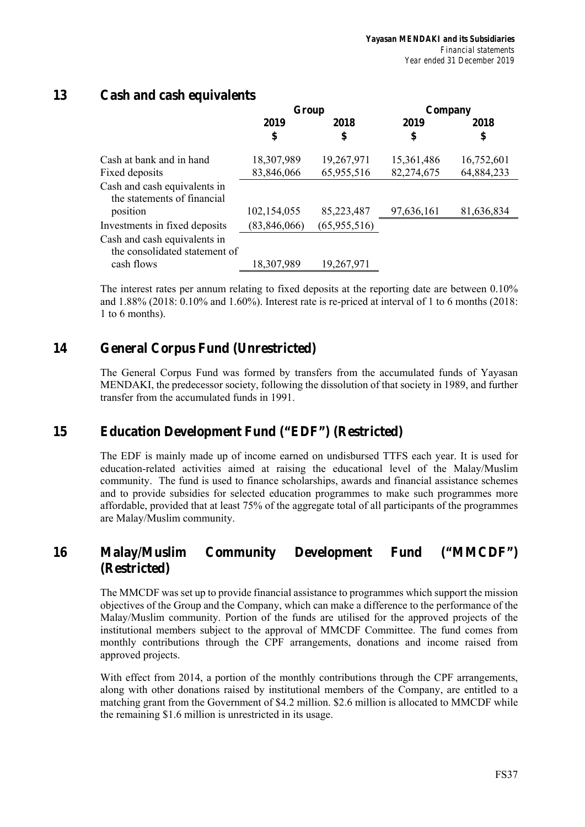## **13 Cash and cash equivalents**

|                                                               | Group        |              | Company    |            |
|---------------------------------------------------------------|--------------|--------------|------------|------------|
|                                                               | 2019         | 2018         | 2019       | 2018       |
|                                                               | \$           | \$           | \$         | \$         |
| Cash at bank and in hand                                      | 18,307,989   | 19,267,971   | 15,361,486 | 16,752,601 |
| Fixed deposits                                                | 83,846,066   | 65,955,516   | 82,274,675 | 64,884,233 |
| Cash and cash equivalents in<br>the statements of financial   |              |              |            |            |
| position                                                      | 102,154,055  | 85,223,487   | 97,636,161 | 81,636,834 |
| Investments in fixed deposits                                 | (83,846,066) | (65,955,516) |            |            |
| Cash and cash equivalents in<br>the consolidated statement of |              |              |            |            |
| cash flows                                                    | 18,307,989   | 19,267,971   |            |            |

The interest rates per annum relating to fixed deposits at the reporting date are between 0.10% and 1.88% (2018: 0.10% and 1.60%). Interest rate is re-priced at interval of 1 to 6 months (2018: 1 to 6 months).

## **14 General Corpus Fund (Unrestricted)**

The General Corpus Fund was formed by transfers from the accumulated funds of Yayasan MENDAKI, the predecessor society, following the dissolution of that society in 1989, and further transfer from the accumulated funds in 1991.

## **15 Education Development Fund ("EDF") (Restricted)**

The EDF is mainly made up of income earned on undisbursed TTFS each year. It is used for education-related activities aimed at raising the educational level of the Malay/Muslim community. The fund is used to finance scholarships, awards and financial assistance schemes and to provide subsidies for selected education programmes to make such programmes more affordable, provided that at least 75% of the aggregate total of all participants of the programmes are Malay/Muslim community.

## **16 Malay/Muslim Community Development Fund ("MMCDF") (Restricted)**

The MMCDF was set up to provide financial assistance to programmes which support the mission objectives of the Group and the Company, which can make a difference to the performance of the Malay/Muslim community. Portion of the funds are utilised for the approved projects of the institutional members subject to the approval of MMCDF Committee. The fund comes from monthly contributions through the CPF arrangements, donations and income raised from approved projects.

With effect from 2014, a portion of the monthly contributions through the CPF arrangements, along with other donations raised by institutional members of the Company, are entitled to a matching grant from the Government of \$4.2 million. \$2.6 million is allocated to MMCDF while the remaining \$1.6 million is unrestricted in its usage.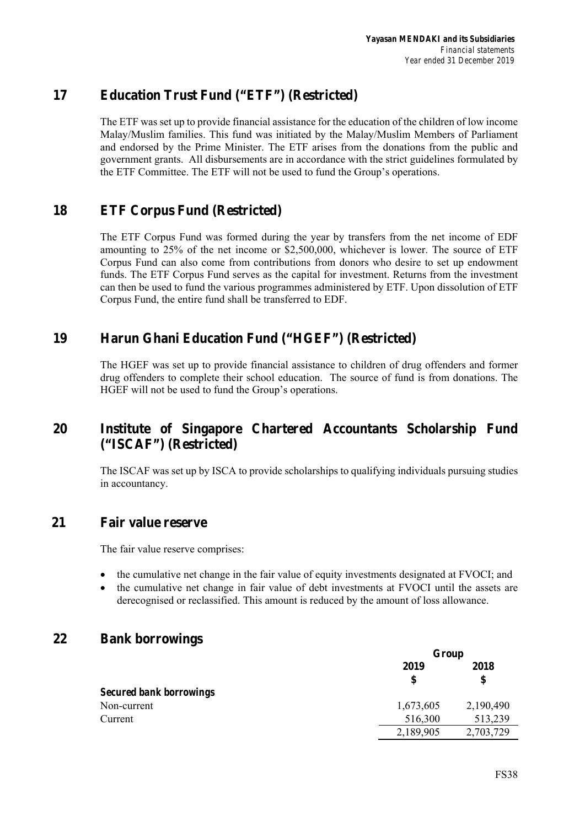## **17 Education Trust Fund ("ETF") (Restricted)**

The ETF was set up to provide financial assistance for the education of the children of low income Malay/Muslim families. This fund was initiated by the Malay/Muslim Members of Parliament and endorsed by the Prime Minister. The ETF arises from the donations from the public and government grants. All disbursements are in accordance with the strict guidelines formulated by the ETF Committee. The ETF will not be used to fund the Group's operations.

## **18 ETF Corpus Fund (Restricted)**

The ETF Corpus Fund was formed during the year by transfers from the net income of EDF amounting to 25% of the net income or \$2,500,000, whichever is lower. The source of ETF Corpus Fund can also come from contributions from donors who desire to set up endowment funds. The ETF Corpus Fund serves as the capital for investment. Returns from the investment can then be used to fund the various programmes administered by ETF. Upon dissolution of ETF Corpus Fund, the entire fund shall be transferred to EDF.

## **19 Harun Ghani Education Fund ("HGEF") (Restricted)**

The HGEF was set up to provide financial assistance to children of drug offenders and former drug offenders to complete their school education. The source of fund is from donations. The HGEF will not be used to fund the Group's operations.

## **20 Institute of Singapore Chartered Accountants Scholarship Fund ("ISCAF") (Restricted)**

The ISCAF was set up by ISCA to provide scholarships to qualifying individuals pursuing studies in accountancy.

## **21 Fair value reserve**

The fair value reserve comprises:

- the cumulative net change in the fair value of equity investments designated at FVOCI; and
- the cumulative net change in fair value of debt investments at FVOCI until the assets are derecognised or reclassified. This amount is reduced by the amount of loss allowance.

## **22 Bank borrowings**

|                                | Group      |            |  |
|--------------------------------|------------|------------|--|
|                                | 2019<br>\$ | 2018<br>\$ |  |
| <b>Secured bank borrowings</b> |            |            |  |
| Non-current                    | 1,673,605  | 2,190,490  |  |
| Current                        | 516,300    | 513,239    |  |
|                                | 2,189,905  | 2,703,729  |  |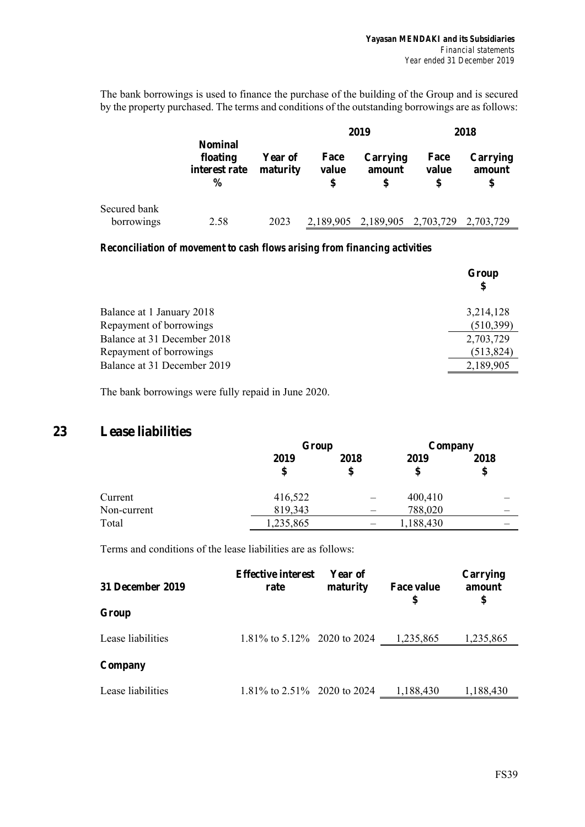The bank borrowings is used to finance the purchase of the building of the Group and is secured by the property purchased. The terms and conditions of the outstanding borrowings are as follows:

|                            |                                                              |                            | 2019                |                                         | 2018          |                          |
|----------------------------|--------------------------------------------------------------|----------------------------|---------------------|-----------------------------------------|---------------|--------------------------|
|                            | <b>Nominal</b><br>floating<br>interest rate<br>$\frac{6}{9}$ | <b>Year of</b><br>maturity | Face<br>value<br>\$ | Carrying<br>amount                      | Face<br>value | Carrying<br>amount<br>\$ |
| Secured bank<br>borrowings | 2.58                                                         | 2023                       |                     | 2,189,905 2,189,905 2,703,729 2,703,729 |               |                          |

### *Reconciliation of movement to cash flows arising from financing activities*

|                             | Group<br>\$ |
|-----------------------------|-------------|
| Balance at 1 January 2018   | 3,214,128   |
| Repayment of borrowings     | (510,399)   |
| Balance at 31 December 2018 | 2,703,729   |
| Repayment of borrowings     | (513, 824)  |
| Balance at 31 December 2019 | 2,189,905   |
|                             |             |

The bank borrowings were fully repaid in June 2020.

## **23 Lease liabilities**

|             |            | Group      |            | Company    |
|-------------|------------|------------|------------|------------|
|             | 2019<br>\$ | 2018<br>\$ | 2019<br>\$ | 2018<br>\$ |
| Current     | 416,522    |            | 400,410    |            |
| Non-current | 819,343    |            | 788,020    |            |
| Total       | 1,235,865  |            | 1,188,430  |            |

Terms and conditions of the lease liabilities are as follows:

| 31 December 2019  | <b>Effective interest</b><br>rate | Year of<br>maturity | <b>Face value</b><br>\$ | Carrying<br>amount<br>\$ |
|-------------------|-----------------------------------|---------------------|-------------------------|--------------------------|
| Group             |                                   |                     |                         |                          |
| Lease liabilities | 1.81\% to 5.12\% 2020 to 2024     |                     | 1,235,865               | 1,235,865                |
| Company           |                                   |                     |                         |                          |
| Lease liabilities | 1.81\% to 2.51\% 2020 to 2024     |                     | 1,188,430               | 1,188,430                |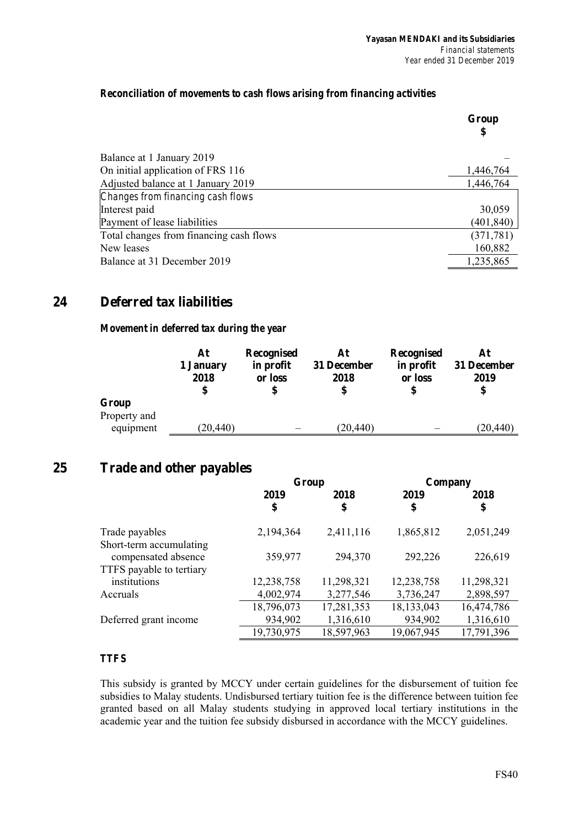## *Reconciliation of movements to cash flows arising from financing activities*

|                                         | Group<br>\$ |
|-----------------------------------------|-------------|
| Balance at 1 January 2019               |             |
| On initial application of FRS 116       | 1,446,764   |
| Adjusted balance at 1 January 2019      | 1,446,764   |
| Changes from financing cash flows       |             |
| Interest paid                           | 30,059      |
| Payment of lease liabilities            | (401,840)   |
| Total changes from financing cash flows | (371, 781)  |
| New leases                              | 160,882     |
| Balance at 31 December 2019             | 1,235,865   |

## **24 Deferred tax liabilities**

## *Movement in deferred tax during the year*

|                       | At<br>1 January<br>2018 | Recognised<br>in profit<br>or loss | At<br>31 December<br>2018 | Recognised<br>in profit<br>or loss | At<br>31 December<br>2019<br>\$ |
|-----------------------|-------------------------|------------------------------------|---------------------------|------------------------------------|---------------------------------|
| Group<br>Property and |                         |                                    |                           |                                    |                                 |
| equipment             | (20, 440)               |                                    | (20, 440)                 |                                    | (20, 440)                       |

## **25 Trade and other payables**

|                          | Group      |            | Company      |            |  |
|--------------------------|------------|------------|--------------|------------|--|
|                          | 2019       | 2018       | 2019         | 2018       |  |
|                          | \$         | \$         | \$           | \$         |  |
| Trade payables           | 2,194,364  | 2,411,116  | 1,865,812    | 2,051,249  |  |
| Short-term accumulating  |            |            |              |            |  |
| compensated absence      | 359,977    | 294,370    | 292,226      | 226,619    |  |
| TTFS payable to tertiary |            |            |              |            |  |
| institutions             | 12,238,758 | 11,298,321 | 12,238,758   | 11,298,321 |  |
| Accruals                 | 4,002,974  | 3,277,546  | 3,736,247    | 2,898,597  |  |
|                          | 18,796,073 | 17,281,353 | 18, 133, 043 | 16,474,786 |  |
| Deferred grant income    | 934,902    | 1,316,610  | 934,902      | 1,316,610  |  |
|                          | 19,730,975 | 18,597,963 | 19,067,945   | 17,791,396 |  |

## *TTFS*

This subsidy is granted by MCCY under certain guidelines for the disbursement of tuition fee subsidies to Malay students. Undisbursed tertiary tuition fee is the difference between tuition fee granted based on all Malay students studying in approved local tertiary institutions in the academic year and the tuition fee subsidy disbursed in accordance with the MCCY guidelines.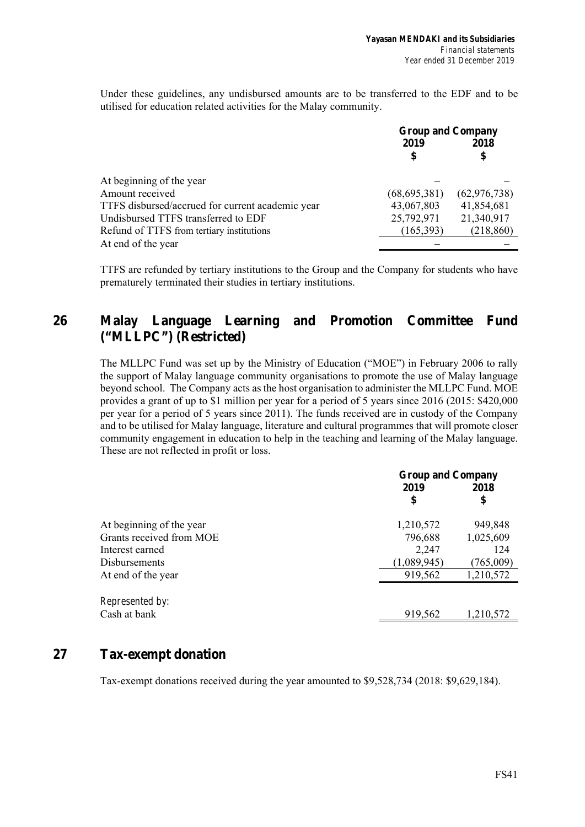Under these guidelines, any undisbursed amounts are to be transferred to the EDF and to be utilised for education related activities for the Malay community.

|                                                  | <b>Group and Company</b> |                |  |
|--------------------------------------------------|--------------------------|----------------|--|
|                                                  | 2019                     | 2018           |  |
|                                                  | \$                       | \$             |  |
| At beginning of the year                         |                          |                |  |
| Amount received                                  | (68, 695, 381)           | (62, 976, 738) |  |
| TTFS disbursed/accrued for current academic year | 43,067,803               | 41,854,681     |  |
| Undisbursed TTFS transferred to EDF              | 25,792,971               | 21,340,917     |  |
| Refund of TTFS from tertiary institutions        | (165,393)                | (218, 860)     |  |
| At end of the year                               |                          |                |  |

TTFS are refunded by tertiary institutions to the Group and the Company for students who have prematurely terminated their studies in tertiary institutions.

## **26 Malay Language Learning and Promotion Committee Fund ("MLLPC") (Restricted)**

The MLLPC Fund was set up by the Ministry of Education ("MOE") in February 2006 to rally the support of Malay language community organisations to promote the use of Malay language beyond school. The Company acts as the host organisation to administer the MLLPC Fund. MOE provides a grant of up to \$1 million per year for a period of 5 years since 2016 (2015: \$420,000 per year for a period of 5 years since 2011). The funds received are in custody of the Company and to be utilised for Malay language, literature and cultural programmes that will promote closer community engagement in education to help in the teaching and learning of the Malay language. These are not reflected in profit or loss.

|                          | <b>Group and Company</b> |           |  |
|--------------------------|--------------------------|-----------|--|
|                          | 2019                     | 2018      |  |
|                          | \$                       | \$        |  |
| At beginning of the year | 1,210,572                | 949,848   |  |
| Grants received from MOE | 796,688                  | 1,025,609 |  |
| Interest earned          | 2,247                    | 124       |  |
| Disbursements            | (1,089,945)              | (765,009) |  |
| At end of the year       | 919,562                  | 1,210,572 |  |
| Represented by:          |                          |           |  |
| Cash at bank             | 919,562                  | 1,210,572 |  |
|                          |                          |           |  |

## **27 Tax-exempt donation**

Tax-exempt donations received during the year amounted to \$9,528,734 (2018: \$9,629,184).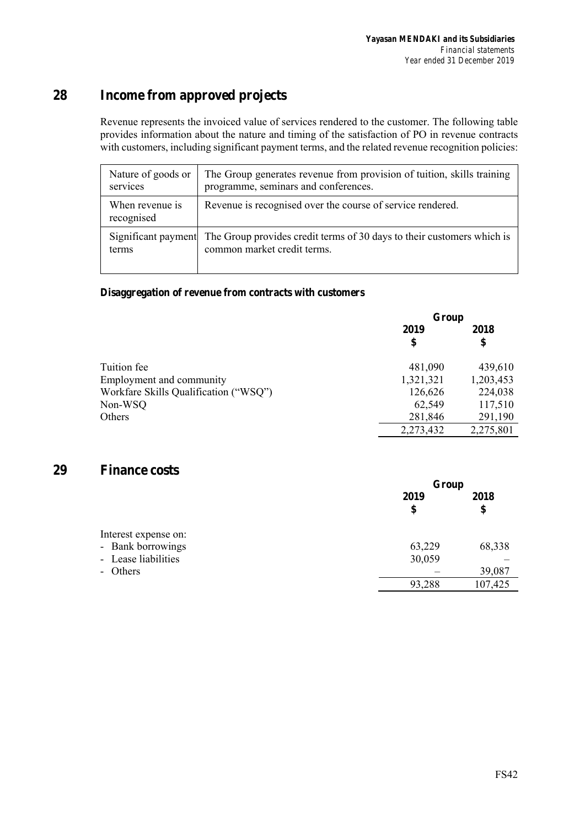# **28 Income from approved projects**

Revenue represents the invoiced value of services rendered to the customer. The following table provides information about the nature and timing of the satisfaction of PO in revenue contracts with customers, including significant payment terms, and the related revenue recognition policies:

| Nature of goods or<br>services | The Group generates revenue from provision of tuition, skills training<br>programme, seminars and conferences.            |
|--------------------------------|---------------------------------------------------------------------------------------------------------------------------|
| When revenue is<br>recognised  | Revenue is recognised over the course of service rendered.                                                                |
| terms                          | Significant payment The Group provides credit terms of 30 days to their customers which is<br>common market credit terms. |

## **Disaggregation of revenue from contracts with customers**

|                                       | Group      |            |  |
|---------------------------------------|------------|------------|--|
|                                       | 2019<br>\$ | 2018<br>\$ |  |
| Tuition fee                           | 481,090    | 439,610    |  |
| Employment and community              | 1,321,321  | 1,203,453  |  |
| Workfare Skills Qualification ("WSQ") | 126,626    | 224,038    |  |
| Non-WSQ                               | 62,549     | 117,510    |  |
| Others                                | 281,846    | 291,190    |  |
|                                       | 2,273,432  | 2,275,801  |  |

## **29 Finance costs**

|                      | Group  |         |  |
|----------------------|--------|---------|--|
|                      | 2019   | 2018    |  |
|                      | \$     | \$      |  |
| Interest expense on: |        |         |  |
| - Bank borrowings    | 63,229 | 68,338  |  |
| - Lease liabilities  | 30,059 |         |  |
| - Others             |        | 39,087  |  |
|                      | 93,288 | 107,425 |  |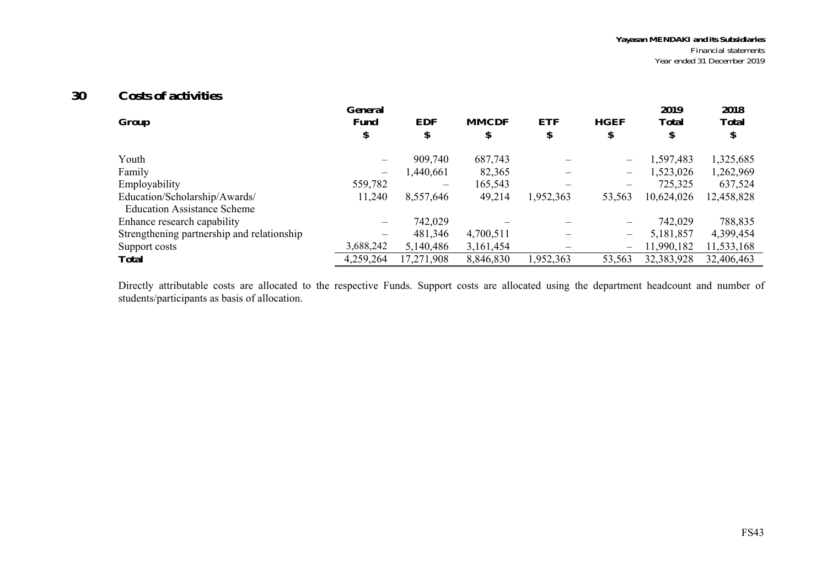#### **30Costs of activities**

|                                            | General   |                 |              |            |                          | 2019         | 2018         |
|--------------------------------------------|-----------|-----------------|--------------|------------|--------------------------|--------------|--------------|
| Group                                      | Fund      | <b>EDF</b>      | <b>MMCDF</b> | <b>ETF</b> | <b>HGEF</b>              | <b>Total</b> | <b>Total</b> |
|                                            | \$        | \$              | \$           | \$         | Φ                        | \$           |              |
| Youth                                      |           | 909,740         | 687,743      |            |                          | 1,597,483    | 1,325,685    |
| Family                                     |           | 1,440,661       | 82,365       |            | $\overline{\phantom{0}}$ | 1,523,026    | 1,262,969    |
| Employability                              | 559,782   | $\qquad \qquad$ | 165,543      |            |                          | 725,325      | 637,524      |
| Education/Scholarship/Awards/              | 11,240    | 8,557,646       | 49,214       | 1,952,363  | 53,563                   | 10,624,026   | 12,458,828   |
| <b>Education Assistance Scheme</b>         |           |                 |              |            |                          |              |              |
| Enhance research capability                |           | 742,029         |              |            |                          | 742,029      | 788,835      |
| Strengthening partnership and relationship |           | 481,346         | 4,700,511    |            | $\overline{\phantom{0}}$ | 5,181,857    | 4,399,454    |
| Support costs                              | 3,688,242 | 5,140,486       | 3,161,454    |            | $\overline{\phantom{0}}$ | 11,990,182   | 11,533,168   |
| <b>Total</b>                               | 4,259,264 | 17,271,908      | 8,846,830    | 1,952,363  | 53,563                   | 32,383,928   | 32,406,463   |

Directly attributable costs are allocated to the respective Funds. Support costs are allocated using the department headcount and number of students/participants as basis of allocation.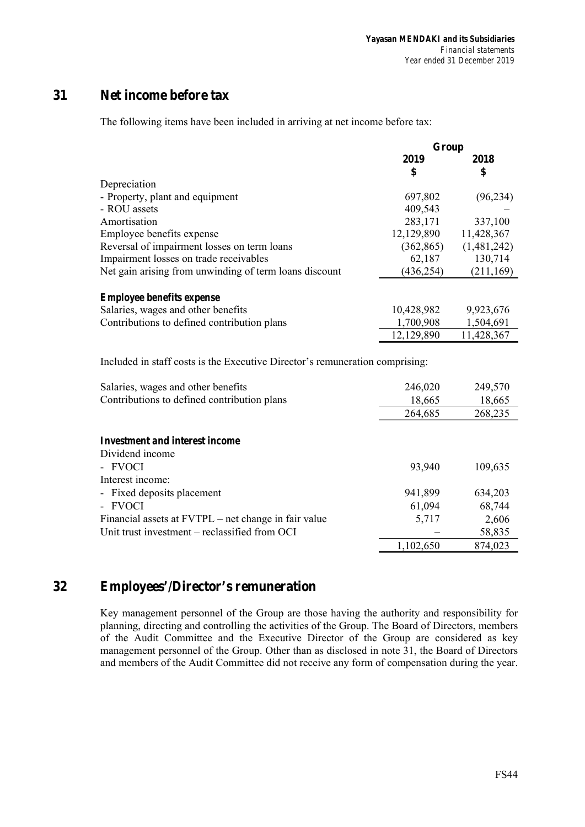## **31 Net income before tax**

The following items have been included in arriving at net income before tax:

|                                                                              | Group      |             |
|------------------------------------------------------------------------------|------------|-------------|
|                                                                              | 2019       | 2018        |
|                                                                              | \$         | \$          |
| Depreciation                                                                 |            |             |
| - Property, plant and equipment                                              | 697,802    | (96, 234)   |
| - ROU assets                                                                 | 409,543    |             |
| Amortisation                                                                 | 283,171    | 337,100     |
| Employee benefits expense                                                    | 12,129,890 | 11,428,367  |
| Reversal of impairment losses on term loans                                  | (362, 865) | (1,481,242) |
| Impairment losses on trade receivables                                       | 62,187     | 130,714     |
| Net gain arising from unwinding of term loans discount                       | (436, 254) | (211, 169)  |
|                                                                              |            |             |
| <b>Employee benefits expense</b>                                             |            |             |
| Salaries, wages and other benefits                                           | 10,428,982 | 9,923,676   |
| Contributions to defined contribution plans                                  | 1,700,908  | 1,504,691   |
|                                                                              | 12,129,890 | 11,428,367  |
|                                                                              |            |             |
| Included in staff costs is the Executive Director's remuneration comprising: |            |             |
|                                                                              |            |             |
| Salaries, wages and other benefits                                           | 246,020    | 249,570     |
| Contributions to defined contribution plans                                  | 18,665     | 18,665      |
|                                                                              | 264,685    | 268,235     |
|                                                                              |            |             |
| <b>Investment and interest income</b>                                        |            |             |
| Dividend income                                                              |            |             |
| - FVOCI                                                                      | 93,940     | 109,635     |
| Interest income:                                                             |            |             |
| Fixed deposits placement                                                     | 941,899    | 634,203     |
| - FVOCI                                                                      |            |             |
|                                                                              | 61,094     | 68,744      |
| Financial assets at FVTPL – net change in fair value                         | 5,717      | 2,606       |
| Unit trust investment - reclassified from OCI                                |            | 58,835      |
|                                                                              | 1,102,650  | 874,023     |

## **32 Employees'/Director's remuneration**

Key management personnel of the Group are those having the authority and responsibility for planning, directing and controlling the activities of the Group. The Board of Directors, members of the Audit Committee and the Executive Director of the Group are considered as key management personnel of the Group. Other than as disclosed in note 31, the Board of Directors and members of the Audit Committee did not receive any form of compensation during the year.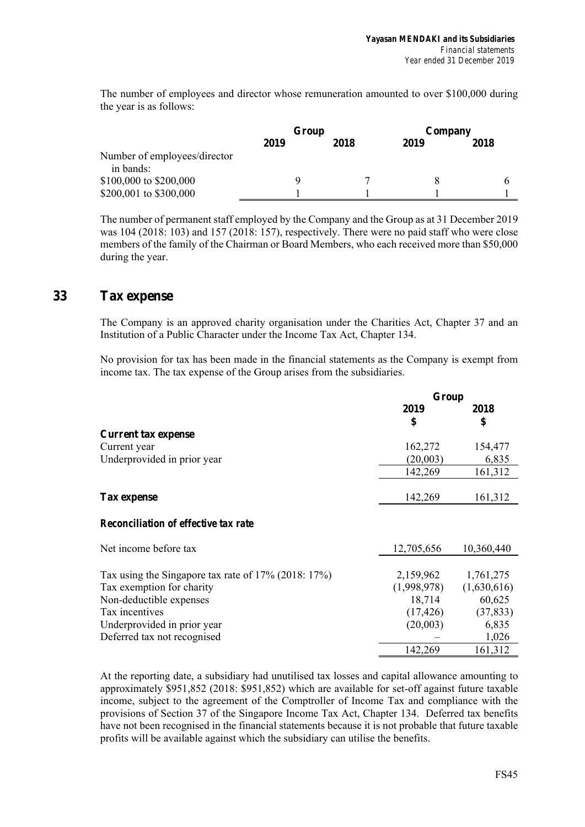The number of employees and director whose remuneration amounted to over \$100,000 during the year is as follows:

|                                           | Group |      | Company |      |
|-------------------------------------------|-------|------|---------|------|
|                                           | 2019  | 2018 | 2019    | 2018 |
| Number of employees/director<br>in bands: |       |      |         |      |
| \$100,000 to \$200,000                    |       |      | 8       |      |
| \$200,001 to \$300,000                    |       |      |         |      |

The number of permanent staff employed by the Company and the Group as at 31 December 2019 was 104 (2018: 103) and 157 (2018: 157), respectively. There were no paid staff who were close members of the family of the Chairman or Board Members, who each received more than \$50,000 during the year.

## **33 Tax expense**

The Company is an approved charity organisation under the Charities Act, Chapter 37 and an Institution of a Public Character under the Income Tax Act, Chapter 134.

No provision for tax has been made in the financial statements as the Company is exempt from income tax. The tax expense of the Group arises from the subsidiaries.

|                                                        | Group       |             |
|--------------------------------------------------------|-------------|-------------|
|                                                        | 2019        | 2018        |
|                                                        | \$          | \$          |
| <b>Current tax expense</b>                             |             |             |
| Current year                                           | 162,272     | 154,477     |
| Underprovided in prior year                            | (20,003)    | 6,835       |
|                                                        | 142,269     | 161,312     |
|                                                        |             |             |
| <b>Tax expense</b>                                     | 142,269     | 161,312     |
| <b>Reconciliation of effective tax rate</b>            |             |             |
| Net income before tax                                  | 12,705,656  | 10,360,440  |
|                                                        |             |             |
| Tax using the Singapore tax rate of $17\%$ (2018: 17%) | 2,159,962   | 1,761,275   |
| Tax exemption for charity                              | (1,998,978) | (1,630,616) |
| Non-deductible expenses                                | 18,714      | 60,625      |
| Tax incentives                                         | (17, 426)   | (37, 833)   |
| Underprovided in prior year                            | (20,003)    | 6,835       |
| Deferred tax not recognised                            |             | 1,026       |
|                                                        | 142,269     | 161,312     |

At the reporting date, a subsidiary had unutilised tax losses and capital allowance amounting to approximately \$951,852 (2018: \$951,852) which are available for set-off against future taxable income, subject to the agreement of the Comptroller of Income Tax and compliance with the provisions of Section 37 of the Singapore Income Tax Act, Chapter 134. Deferred tax benefits have not been recognised in the financial statements because it is not probable that future taxable profits will be available against which the subsidiary can utilise the benefits.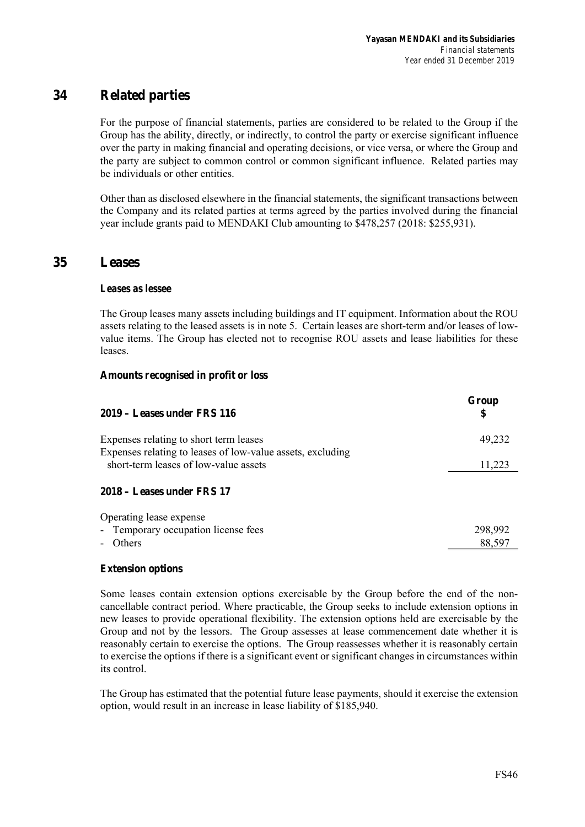## **34 Related parties**

For the purpose of financial statements, parties are considered to be related to the Group if the Group has the ability, directly, or indirectly, to control the party or exercise significant influence over the party in making financial and operating decisions, or vice versa, or where the Group and the party are subject to common control or common significant influence. Related parties may be individuals or other entities.

Other than as disclosed elsewhere in the financial statements, the significant transactions between the Company and its related parties at terms agreed by the parties involved during the financial year include grants paid to MENDAKI Club amounting to \$478,257 (2018: \$255,931).

## **35 Leases**

### *Leases as lessee*

The Group leases many assets including buildings and IT equipment. Information about the ROU assets relating to the leased assets is in note 5. Certain leases are short-term and/or leases of lowvalue items. The Group has elected not to recognise ROU assets and lease liabilities for these leases.

### **Amounts recognised in profit or loss**

| $2019 -$ Leases under FRS 116                                                                        | Group<br>S |
|------------------------------------------------------------------------------------------------------|------------|
| Expenses relating to short term leases<br>Expenses relating to leases of low-value assets, excluding | 49,232     |
| short-term leases of low-value assets                                                                | 11,223     |
| 2018 – Leases under FRS 17                                                                           |            |
| Operating lease expense                                                                              |            |
| - Temporary occupation license fees                                                                  | 298,992    |
| Others                                                                                               | 88,597     |

#### **Extension options**

Some leases contain extension options exercisable by the Group before the end of the noncancellable contract period. Where practicable, the Group seeks to include extension options in new leases to provide operational flexibility. The extension options held are exercisable by the Group and not by the lessors. The Group assesses at lease commencement date whether it is reasonably certain to exercise the options. The Group reassesses whether it is reasonably certain to exercise the options if there is a significant event or significant changes in circumstances within its control.

The Group has estimated that the potential future lease payments, should it exercise the extension option, would result in an increase in lease liability of \$185,940.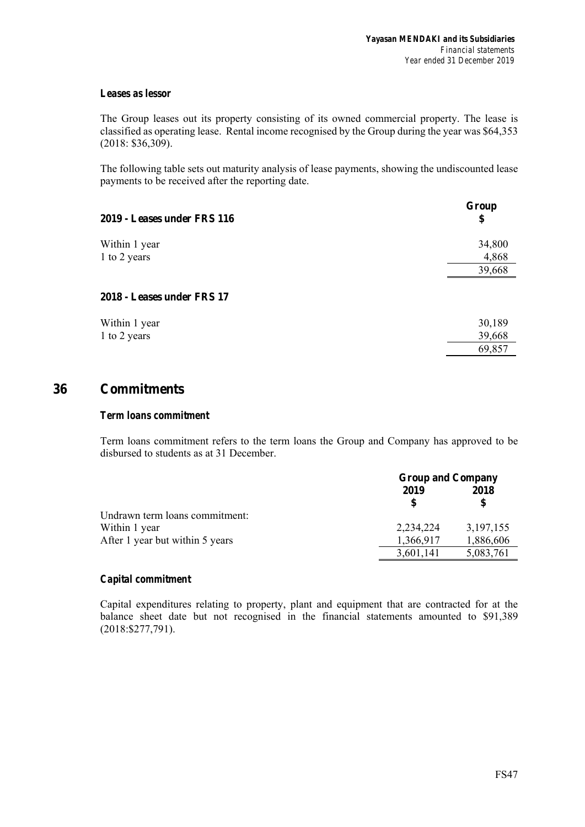## *Leases as lessor*

The Group leases out its property consisting of its owned commercial property. The lease is classified as operating lease. Rental income recognised by the Group during the year was \$64,353 (2018: \$36,309).

The following table sets out maturity analysis of lease payments, showing the undiscounted lease payments to be received after the reporting date.

| 2019 - Leases under FRS 116 | Group<br>\$ |
|-----------------------------|-------------|
| Within 1 year               | 34,800      |
| 1 to 2 years                | 4,868       |
|                             | 39,668      |
| 2018 - Leases under FRS 17  |             |
| Within 1 year               | 30,189      |
| 1 to 2 years                | 39,668      |
|                             | 69,857      |

## **36 Commitments**

#### *Term loans commitment*

Term loans commitment refers to the term loans the Group and Company has approved to be disbursed to students as at 31 December.

|                                 | <b>Group and Company</b> |             |
|---------------------------------|--------------------------|-------------|
|                                 | 2019                     | 2018        |
|                                 |                          |             |
| Undrawn term loans commitment:  |                          |             |
| Within 1 year                   | 2,234,224                | 3, 197, 155 |
| After 1 year but within 5 years | 1,366,917                | 1,886,606   |
|                                 | 3,601,141                | 5,083,761   |

## *Capital commitment*

Capital expenditures relating to property, plant and equipment that are contracted for at the balance sheet date but not recognised in the financial statements amounted to \$91,389 (2018:\$277,791).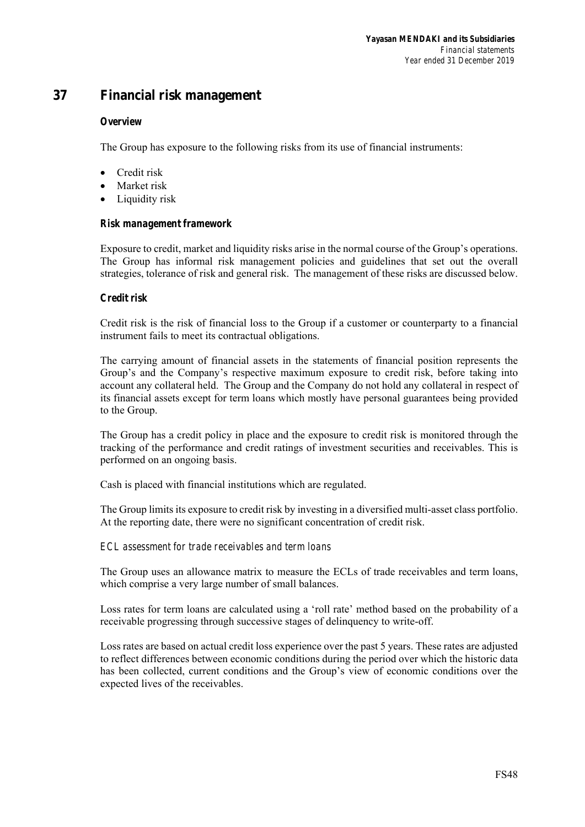## **37 Financial risk management**

## *Overview*

The Group has exposure to the following risks from its use of financial instruments:

- Credit risk
- Market risk
- Liquidity risk

## *Risk management framework*

Exposure to credit, market and liquidity risks arise in the normal course of the Group's operations. The Group has informal risk management policies and guidelines that set out the overall strategies, tolerance of risk and general risk. The management of these risks are discussed below.

## *Credit risk*

Credit risk is the risk of financial loss to the Group if a customer or counterparty to a financial instrument fails to meet its contractual obligations.

The carrying amount of financial assets in the statements of financial position represents the Group's and the Company's respective maximum exposure to credit risk, before taking into account any collateral held. The Group and the Company do not hold any collateral in respect of its financial assets except for term loans which mostly have personal guarantees being provided to the Group.

The Group has a credit policy in place and the exposure to credit risk is monitored through the tracking of the performance and credit ratings of investment securities and receivables. This is performed on an ongoing basis.

Cash is placed with financial institutions which are regulated.

The Group limits its exposure to credit risk by investing in a diversified multi-asset class portfolio. At the reporting date, there were no significant concentration of credit risk.

## *ECL assessment for trade receivables and term loans*

The Group uses an allowance matrix to measure the ECLs of trade receivables and term loans, which comprise a very large number of small balances.

Loss rates for term loans are calculated using a 'roll rate' method based on the probability of a receivable progressing through successive stages of delinquency to write-off.

Loss rates are based on actual credit loss experience over the past 5 years. These rates are adjusted to reflect differences between economic conditions during the period over which the historic data has been collected, current conditions and the Group's view of economic conditions over the expected lives of the receivables.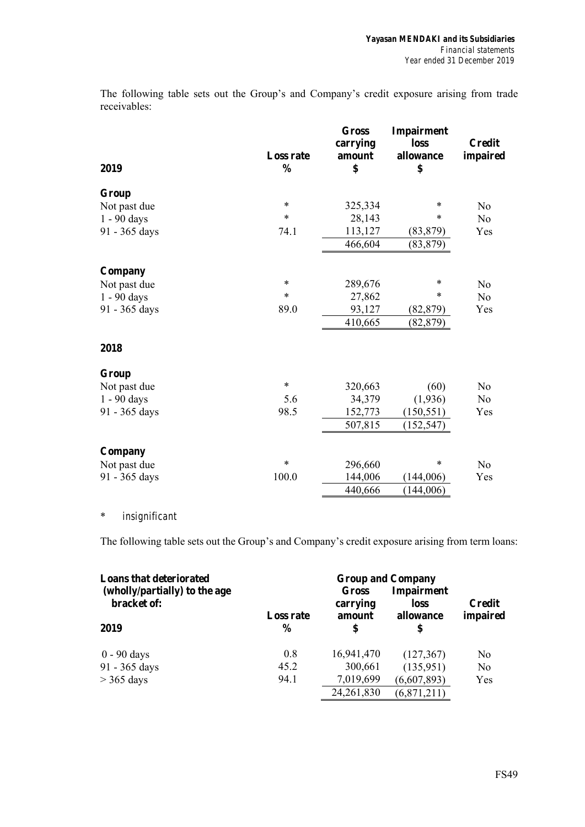The following table sets out the Group's and Company's credit exposure arising from trade receivables:

| 2019          | <b>Loss rate</b><br>$\frac{0}{0}$ | <b>Gross</b><br>carrying<br>amount<br>\$ | Impairment<br>loss<br>allowance<br>\$ | <b>Credit</b><br>impaired |
|---------------|-----------------------------------|------------------------------------------|---------------------------------------|---------------------------|
|               |                                   |                                          |                                       |                           |
| Group         |                                   |                                          |                                       |                           |
| Not past due  | $\ast$                            | 325,334                                  | $\ast$                                | No                        |
| 1 - 90 days   | *                                 | 28,143                                   | *                                     | N <sub>o</sub>            |
| 91 - 365 days | 74.1                              | 113,127                                  | (83, 879)                             | Yes                       |
|               |                                   | 466,604                                  | (83, 879)                             |                           |
| Company       |                                   |                                          |                                       |                           |
| Not past due  | $\ast$                            | 289,676                                  | $\ast$                                | No                        |
| 1 - 90 days   | *                                 | 27,862                                   | *                                     | N <sub>o</sub>            |
| 91 - 365 days | 89.0                              | 93,127                                   | (82, 879)                             | Yes                       |
|               |                                   | 410,665                                  | (82, 879)                             |                           |
| 2018          |                                   |                                          |                                       |                           |
| Group         |                                   |                                          |                                       |                           |
| Not past due  | $\ast$                            | 320,663                                  | (60)                                  | N <sub>o</sub>            |
| 1 - 90 days   | 5.6                               | 34,379                                   | (1,936)                               | N <sub>o</sub>            |
| 91 - 365 days | 98.5                              | 152,773                                  | (150, 551)                            | Yes                       |
|               |                                   | 507,815                                  | (152, 547)                            |                           |
| Company       |                                   |                                          |                                       |                           |
| Not past due  | $\ast$                            | 296,660                                  | *                                     | N <sub>o</sub>            |
| 91 - 365 days | 100.0                             | 144,006                                  | (144,006)                             | Yes                       |
|               |                                   | 440,666                                  | (144,006)                             |                           |

## \* *insignificant*

The following table sets out the Group's and Company's credit exposure arising from term loans:

| <b>Loans that deteriorated</b>               | <b>Group and Company</b> |                             |                                        |                           |  |
|----------------------------------------------|--------------------------|-----------------------------|----------------------------------------|---------------------------|--|
| (wholly/partially) to the age<br>bracket of: | <b>Loss rate</b>         | Gross<br>carrying<br>amount | <b>Impairment</b><br>loss<br>allowance | <b>Credit</b><br>impaired |  |
| 2019                                         | $\frac{6}{9}$            | \$                          | \$                                     |                           |  |
| $0 - 90$ days                                | 0.8                      | 16,941,470                  | (127, 367)                             | N <sub>0</sub>            |  |
| 91 - 365 days                                | 45.2                     | 300,661                     | (135,951)                              | N <sub>0</sub>            |  |
| $>$ 365 days                                 | 94.1                     | 7,019,699                   | (6,607,893)                            | Yes                       |  |
|                                              |                          | 24, 261, 830                | (6,871,211)                            |                           |  |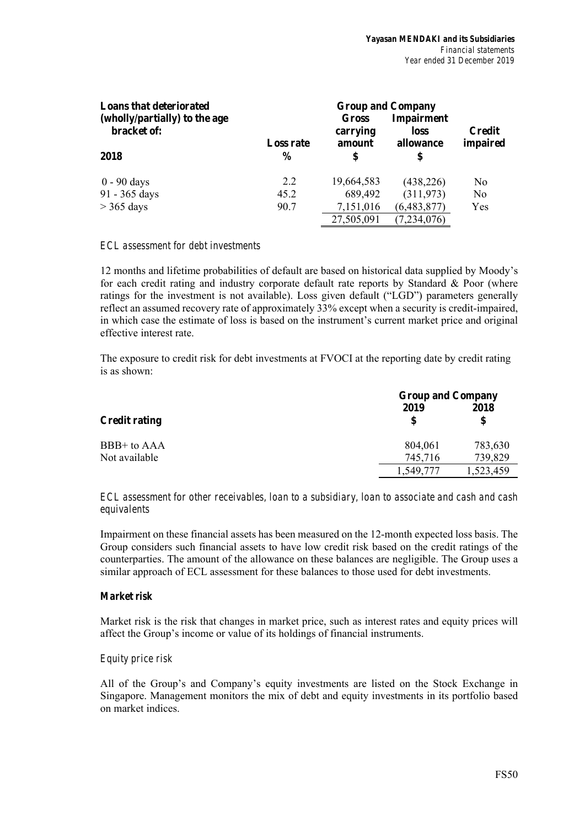| <b>Loans that deteriorated</b><br>(wholly/partially) to the age<br>bracket of: |                                   | Gross<br>carrying | <b>Group and Company</b><br><b>Impairment</b><br>loss | <b>Credit</b>  |  |
|--------------------------------------------------------------------------------|-----------------------------------|-------------------|-------------------------------------------------------|----------------|--|
| 2018                                                                           | <b>Loss rate</b><br>$\frac{6}{9}$ | amount<br>S       | allowance<br>\$                                       | impaired       |  |
| $0 - 90$ days                                                                  | 2.2                               | 19,664,583        | (438, 226)                                            | N <sub>0</sub> |  |
| 91 - 365 days                                                                  | 45.2                              | 689,492           | (311,973)                                             | No             |  |
| $>$ 365 days                                                                   | 90.7                              | 7,151,016         | (6,483,877)                                           | Yes            |  |
|                                                                                |                                   | 27,505,091        | (7,234,076)                                           |                |  |

## *ECL assessment for debt investments*

12 months and lifetime probabilities of default are based on historical data supplied by Moody's for each credit rating and industry corporate default rate reports by Standard & Poor (where ratings for the investment is not available). Loss given default ("LGD") parameters generally reflect an assumed recovery rate of approximately 33% except when a security is credit-impaired, in which case the estimate of loss is based on the instrument's current market price and original effective interest rate.

The exposure to credit risk for debt investments at FVOCI at the reporting date by credit rating is as shown:

|                      | <b>Group and Company</b> |            |  |  |  |
|----------------------|--------------------------|------------|--|--|--|
| <b>Credit rating</b> | 2019<br>S                | 2018<br>\$ |  |  |  |
| BBB+ to AAA          | 804,061                  | 783,630    |  |  |  |
| Not available        | 745,716                  | 739,829    |  |  |  |
|                      | ,549,777                 | 1,523,459  |  |  |  |

*ECL assessment for other receivables, loan to a subsidiary, loan to associate and cash and cash equivalents* 

Impairment on these financial assets has been measured on the 12-month expected loss basis. The Group considers such financial assets to have low credit risk based on the credit ratings of the counterparties. The amount of the allowance on these balances are negligible. The Group uses a similar approach of ECL assessment for these balances to those used for debt investments.

## *Market risk*

Market risk is the risk that changes in market price, such as interest rates and equity prices will affect the Group's income or value of its holdings of financial instruments.

#### *Equity price risk*

All of the Group's and Company's equity investments are listed on the Stock Exchange in Singapore. Management monitors the mix of debt and equity investments in its portfolio based on market indices.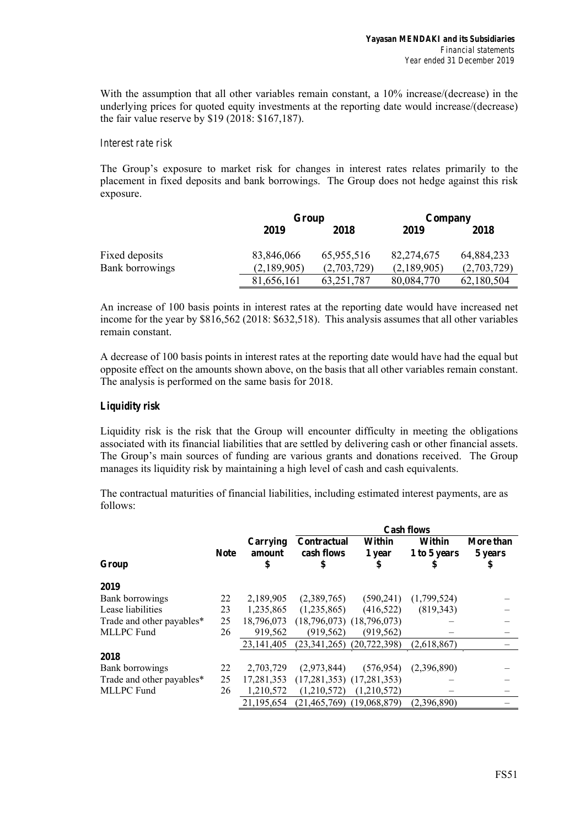With the assumption that all other variables remain constant, a 10% increase/(decrease) in the underlying prices for quoted equity investments at the reporting date would increase/(decrease) the fair value reserve by \$19 (2018: \$167,187).

#### *Interest rate risk*

The Group's exposure to market risk for changes in interest rates relates primarily to the placement in fixed deposits and bank borrowings. The Group does not hedge against this risk exposure.

|                 | Group       |              | Company     |             |  |
|-----------------|-------------|--------------|-------------|-------------|--|
|                 | 2019        | 2018         | 2019        | 2018        |  |
| Fixed deposits  | 83,846,066  | 65,955,516   | 82,274,675  | 64,884,233  |  |
| Bank borrowings | (2,189,905) | (2,703,729)  | (2,189,905) | (2,703,729) |  |
|                 | 81,656,161  | 63, 251, 787 | 80,084,770  | 62,180,504  |  |

An increase of 100 basis points in interest rates at the reporting date would have increased net income for the year by \$816,562 (2018: \$632,518). This analysis assumes that all other variables remain constant.

A decrease of 100 basis points in interest rates at the reporting date would have had the equal but opposite effect on the amounts shown above, on the basis that all other variables remain constant. The analysis is performed on the same basis for 2018.

## *Liquidity risk*

Liquidity risk is the risk that the Group will encounter difficulty in meeting the obligations associated with its financial liabilities that are settled by delivering cash or other financial assets. The Group's main sources of funding are various grants and donations received. The Group manages its liquidity risk by maintaining a high level of cash and cash equivalents.

The contractual maturities of financial liabilities, including estimated interest payments, are as follows:

|                           |             |                          | <b>Cash flows</b>                      |                        |                              |                            |  |  |
|---------------------------|-------------|--------------------------|----------------------------------------|------------------------|------------------------------|----------------------------|--|--|
| Group                     | <b>Note</b> | Carrying<br>amount<br>\$ | <b>Contractual</b><br>cash flows<br>\$ | Within<br>1 year<br>\$ | Within<br>1 to 5 years<br>\$ | More than<br>5 years<br>\$ |  |  |
| 2019                      |             |                          |                                        |                        |                              |                            |  |  |
| Bank borrowings           | 22          | 2,189,905                | (2,389,765)                            | (590, 241)             | (1,799,524)                  |                            |  |  |
| Lease liabilities         | 23          | 1,235,865                | (1,235,865)                            | (416,522)              | (819.343)                    |                            |  |  |
| Trade and other payables* | 25          | 18,796,073               | $(18,796,073)$ $(18,796,073)$          |                        |                              |                            |  |  |
| <b>MLLPC</b> Fund         | 26          | 919,562                  | (919, 562)                             | (919, 562)             |                              |                            |  |  |
|                           |             | 23, 141, 405             | $(23,341,265)$ $(20,722,398)$          |                        | (2,618,867)                  |                            |  |  |
| 2018                      |             |                          |                                        |                        |                              |                            |  |  |
| Bank borrowings           | 22          | 2,703,729                | (2,973,844)                            | (576, 954)             | (2,396,890)                  |                            |  |  |
| Trade and other payables* | 25          | 17,281,353               | $(17,281,353)$ $(17,281,353)$          |                        |                              |                            |  |  |
| <b>MLLPC</b> Fund         | 26          | 1,210,572                | (1,210,572)                            | (1,210,572)            |                              |                            |  |  |
|                           |             | 21.195.654               | $(21.465.769)$ $(19.068.879)$          |                        | (2,396,890)                  |                            |  |  |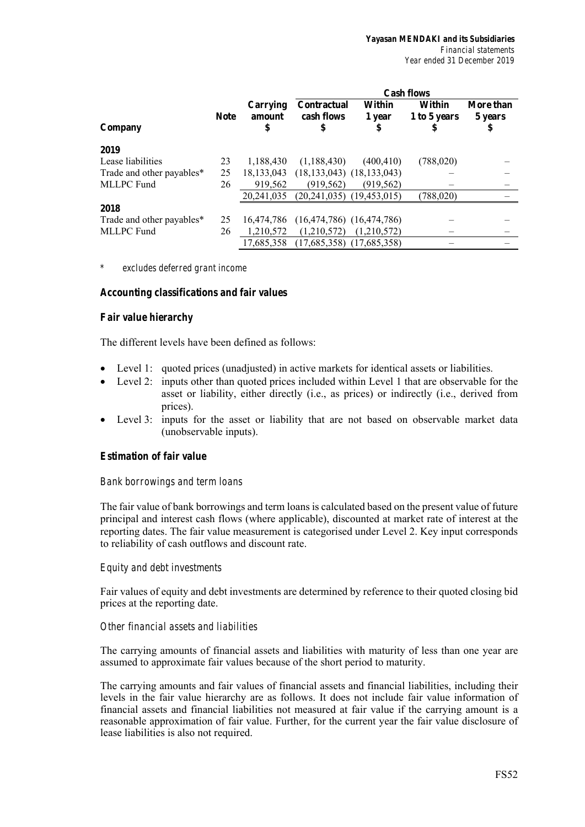|                           |             |                          | <b>Cash flows</b>                      |                        |                              |                            |  |  |
|---------------------------|-------------|--------------------------|----------------------------------------|------------------------|------------------------------|----------------------------|--|--|
| Company                   | <b>Note</b> | Carrying<br>amount<br>\$ | <b>Contractual</b><br>cash flows<br>\$ | Within<br>1 year<br>\$ | Within<br>1 to 5 years<br>\$ | More than<br>5 years<br>\$ |  |  |
| 2019                      |             |                          |                                        |                        |                              |                            |  |  |
| Lease liabilities         | 23          | 1.188.430                | (1,188,430)                            | (400, 410)             | (788,020)                    |                            |  |  |
| Trade and other payables* | 25          | 18, 133, 043             | $(18, 133, 043)$ $(18, 133, 043)$      |                        |                              |                            |  |  |
| MLLPC Fund                | 26          | 919,562                  | (919, 562)                             | (919, 562)             |                              |                            |  |  |
|                           |             | 20.241,035               | $(20,241,035)$ $(19,453,015)$          |                        | (788,020)                    |                            |  |  |
| 2018                      |             |                          |                                        |                        |                              |                            |  |  |
| Trade and other payables* | 25          | 16,474,786               | $(16,474,786)$ $(16,474,786)$          |                        |                              |                            |  |  |
| MLLPC Fund                | 26          | 1,210,572                | (1,210,572)                            | (1,210,572)            |                              |                            |  |  |
|                           |             | 17,685,358               | $(17,685,358)$ $(17,685,358)$          |                        |                              |                            |  |  |

*\* excludes deferred grant income* 

#### *Accounting classifications and fair values*

#### *Fair value hierarchy*

The different levels have been defined as follows:

- Level 1: quoted prices (unadjusted) in active markets for identical assets or liabilities.
- Level 2: inputs other than quoted prices included within Level 1 that are observable for the asset or liability, either directly (i.e., as prices) or indirectly (i.e., derived from prices).
- Level 3: inputs for the asset or liability that are not based on observable market data (unobservable inputs).

#### *Estimation of fair value*

#### *Bank borrowings and term loans*

The fair value of bank borrowings and term loans is calculated based on the present value of future principal and interest cash flows (where applicable), discounted at market rate of interest at the reporting dates. The fair value measurement is categorised under Level 2. Key input corresponds to reliability of cash outflows and discount rate.

#### *Equity and debt investments*

Fair values of equity and debt investments are determined by reference to their quoted closing bid prices at the reporting date.

#### *Other financial assets and liabilities*

The carrying amounts of financial assets and liabilities with maturity of less than one year are assumed to approximate fair values because of the short period to maturity.

The carrying amounts and fair values of financial assets and financial liabilities, including their levels in the fair value hierarchy are as follows. It does not include fair value information of financial assets and financial liabilities not measured at fair value if the carrying amount is a reasonable approximation of fair value. Further, for the current year the fair value disclosure of lease liabilities is also not required.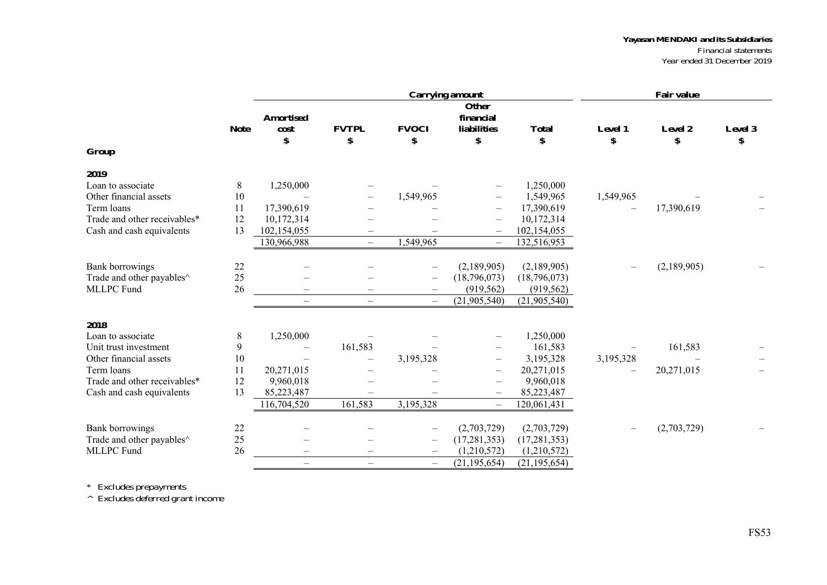#### *Yayasan MENDAKI and its Subsidiaries Financial statements*

*Year ended 31 December 2019* 

|                                                 |             |                          |                          |                          | <b>Carrying amount</b>                               |                         |                          | <b>Fair value</b> |              |
|-------------------------------------------------|-------------|--------------------------|--------------------------|--------------------------|------------------------------------------------------|-------------------------|--------------------------|-------------------|--------------|
|                                                 |             | <b>Amortised</b>         | <b>FVTPL</b>             | <b>FVOCI</b>             | Other<br>financial<br><b>liabilities</b>             |                         |                          |                   |              |
|                                                 | <b>Note</b> | cost<br>\$               | \$                       | \$                       | \$                                                   | <b>Total</b><br>\$      | <b>Level 1</b><br>\$     | Level 2<br>\$     | Level 3<br>S |
| Group                                           |             |                          |                          |                          |                                                      |                         |                          |                   |              |
| 2019                                            |             |                          |                          |                          |                                                      |                         |                          |                   |              |
| Loan to associate                               | 8           | 1,250,000                |                          |                          |                                                      | 1,250,000               |                          |                   |              |
| Other financial assets                          | 10          |                          |                          | 1,549,965                | $\overline{\phantom{0}}$                             | 1,549,965               | 1,549,965                |                   |              |
| Term loans                                      | 11          | 17,390,619               |                          |                          | $\overline{\phantom{0}}$                             | 17,390,619              |                          | 17,390,619        |              |
| Trade and other receivables*                    | 12          | 10,172,314               |                          |                          | $\overline{\phantom{0}}$                             | 10,172,314              |                          |                   |              |
| Cash and cash equivalents                       | 13          | 102,154,055              |                          |                          | $\overline{\phantom{m}}$                             | 102,154,055             |                          |                   |              |
|                                                 |             | 130,966,988              |                          | 1,549,965                | $\overline{\phantom{m}}$                             | 132,516,953             |                          |                   |              |
| <b>Bank borrowings</b>                          | 22          |                          |                          |                          | (2,189,905)                                          | (2,189,905)             |                          | (2,189,905)       |              |
| Trade and other payables^                       | 25          |                          |                          | $\overline{\phantom{m}}$ | (18,796,073)                                         | (18,796,073)            |                          |                   |              |
| MLLPC Fund                                      | 26          |                          |                          | $\overline{\phantom{m}}$ | (919, 562)                                           | (919, 562)              |                          |                   |              |
|                                                 |             | $\overline{\phantom{0}}$ | $\qquad \qquad -$        | $\overline{\phantom{m}}$ | (21,905,540)                                         | (21,905,540)            |                          |                   |              |
|                                                 |             |                          |                          |                          |                                                      |                         |                          |                   |              |
| 2018                                            |             |                          |                          |                          |                                                      |                         |                          |                   |              |
| Loan to associate                               | 8           | 1,250,000                |                          |                          |                                                      | 1,250,000               |                          |                   |              |
| Unit trust investment<br>Other financial assets | 9           | $\overline{\phantom{0}}$ | 161,583                  |                          | $\qquad \qquad -$                                    | 161,583                 |                          | 161,583           |              |
| Term loans                                      | 10          | 20,271,015               | $\overline{\phantom{0}}$ | 3,195,328                | $\overline{\phantom{m}}$                             | 3,195,328<br>20,271,015 | 3,195,328                | 20,271,015        |              |
| Trade and other receivables*                    | 11<br>12    | 9,960,018                |                          |                          | $\overline{\phantom{m}}$                             | 9,960,018               | $\overline{\phantom{0}}$ |                   |              |
| Cash and cash equivalents                       | 13          | 85,223,487               |                          |                          | $\overline{\phantom{m}}$<br>$\overline{\phantom{m}}$ | 85,223,487              |                          |                   |              |
|                                                 |             | 116,704,520              | 161,583                  | 3,195,328                |                                                      | 120,061,431             |                          |                   |              |
|                                                 |             |                          |                          |                          | $\overline{\phantom{m}}$                             |                         |                          |                   |              |
| <b>Bank borrowings</b>                          | 22          |                          |                          |                          | (2,703,729)                                          | (2,703,729)             |                          | (2,703,729)       |              |
| Trade and other payables^                       | 25          |                          |                          | $\overline{\phantom{m}}$ | (17, 281, 353)                                       | (17, 281, 353)          |                          |                   |              |
| <b>MLLPC</b> Fund                               | 26          |                          |                          | $\overline{\phantom{m}}$ | (1,210,572)                                          | (1,210,572)             |                          |                   |              |
|                                                 |             | $\overline{\phantom{0}}$ | $\overline{\phantom{0}}$ | $\overline{\phantom{m}}$ | (21, 195, 654)                                       | (21, 195, 654)          |                          |                   |              |

*\* Excludes prepayments* 

*^ Excludes deferred grant income*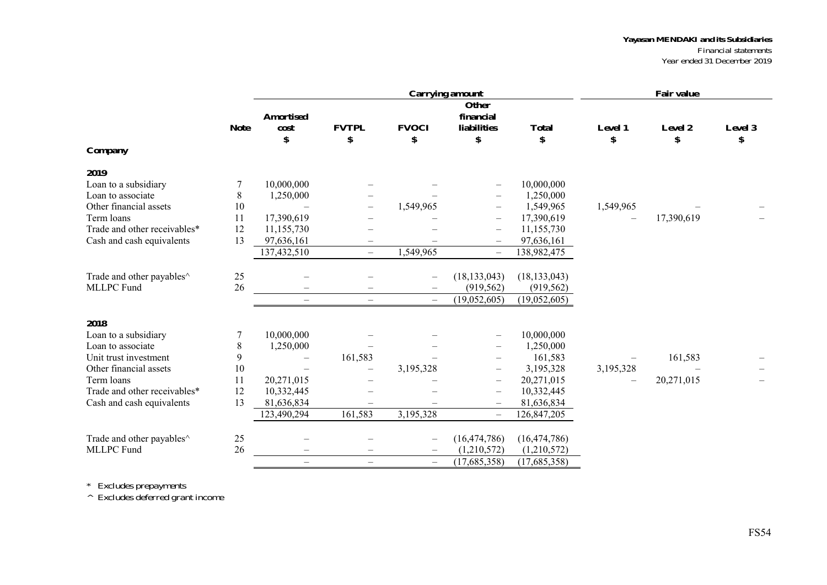## *Yayasan MENDAKI and its Subsidiaries*

*Financial statements Year ended 31 December 2019* 

|                                       |             |                                |                          |                          | <b>Carrying amount</b>                         |                    |                          | <b>Fair value</b> |               |
|---------------------------------------|-------------|--------------------------------|--------------------------|--------------------------|------------------------------------------------|--------------------|--------------------------|-------------------|---------------|
|                                       | <b>Note</b> | <b>Amortised</b><br>cost<br>\$ | <b>FVTPL</b><br>\$       | <b>FVOCI</b><br>\$       | Other<br>financial<br><b>liabilities</b><br>\$ | <b>Total</b><br>\$ | Level 1<br>\$            | Level 2<br>\$     | Level 3<br>\$ |
| Company                               |             |                                |                          |                          |                                                |                    |                          |                   |               |
| 2019                                  |             |                                |                          |                          |                                                |                    |                          |                   |               |
| Loan to a subsidiary                  |             | 10,000,000                     |                          |                          | $\qquad \qquad -$                              | 10,000,000         |                          |                   |               |
| Loan to associate                     | 8           | 1,250,000                      |                          |                          | $\qquad \qquad -$                              | 1,250,000          |                          |                   |               |
| Other financial assets                | 10          |                                |                          | 1,549,965                | $\qquad \qquad -$                              | 1,549,965          | 1,549,965                |                   |               |
| Term loans                            | 11          | 17,390,619                     | $\overline{\phantom{0}}$ |                          | $\qquad \qquad -$                              | 17,390,619         |                          | 17,390,619        |               |
| Trade and other receivables*          | 12          | 11,155,730                     |                          |                          | $\qquad \qquad -$                              | 11,155,730         |                          |                   |               |
| Cash and cash equivalents             | 13          | 97,636,161                     | $\qquad \qquad -$        |                          |                                                | 97,636,161         |                          |                   |               |
|                                       |             | 137,432,510                    | $\overline{\phantom{0}}$ | 1,549,965                | $\overline{\phantom{0}}$                       | 138,982,475        |                          |                   |               |
| Trade and other payables <sup>^</sup> | 25          |                                |                          |                          | (18, 133, 043)                                 | (18, 133, 043)     |                          |                   |               |
| <b>MLLPC</b> Fund                     | 26          |                                |                          |                          | (919, 562)                                     | (919, 562)         |                          |                   |               |
|                                       |             | $\equiv$                       | $\overline{\phantom{0}}$ | $\overline{\phantom{0}}$ | (19,052,605)                                   | (19,052,605)       |                          |                   |               |
| 2018                                  |             |                                |                          |                          |                                                |                    |                          |                   |               |
| Loan to a subsidiary                  |             | 10,000,000                     |                          |                          | $\qquad \qquad -$                              | 10,000,000         |                          |                   |               |
| Loan to associate                     | 8           | 1,250,000                      |                          |                          |                                                | 1,250,000          |                          |                   |               |
| Unit trust investment                 | 9           |                                | 161,583                  |                          |                                                | 161,583            | $\overline{\phantom{m}}$ | 161,583           |               |
| Other financial assets                | 10          |                                |                          | 3,195,328                |                                                | 3,195,328          | 3,195,328                |                   |               |
| Term loans                            | 11          | 20,271,015                     |                          |                          | $\overline{\phantom{0}}$                       | 20,271,015         |                          | 20,271,015        |               |
| Trade and other receivables*          | 12          | 10,332,445                     |                          |                          | $\qquad \qquad -$                              | 10,332,445         |                          |                   |               |
| Cash and cash equivalents             | 13          | 81,636,834                     |                          |                          | $\qquad \qquad -$                              | 81,636,834         |                          |                   |               |
|                                       |             | 123,490,294                    | 161,583                  | 3,195,328                | $\overline{\phantom{0}}$                       | 126,847,205        |                          |                   |               |
| Trade and other payables^             | 25          |                                |                          |                          | (16, 474, 786)                                 | (16, 474, 786)     |                          |                   |               |
| MLLPC Fund                            | 26          |                                | $\qquad \qquad -$        | $\overline{\phantom{m}}$ | (1,210,572)                                    | (1,210,572)        |                          |                   |               |
|                                       |             | $\overline{\phantom{0}}$       | $\overline{\phantom{m}}$ | $\overline{\phantom{0}}$ | (17,685,358)                                   | (17,685,358)       |                          |                   |               |

*\* Excludes prepayments* 

*^ Excludes deferred grant income*